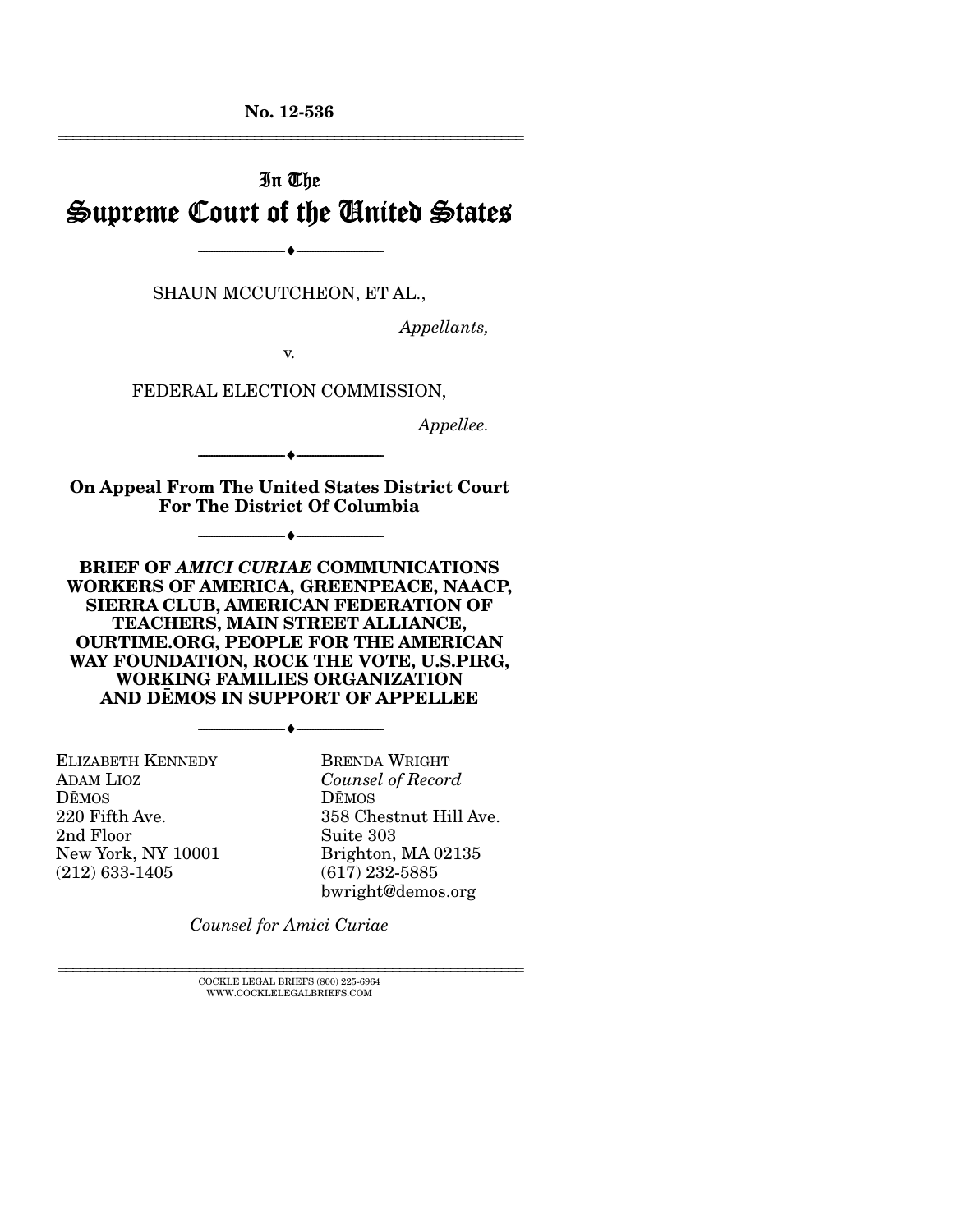**No. 12-536**  ================================================================

# In The Supreme Court of the United States

--------------------------------- i ---------------------------------

SHAUN MCCUTCHEON, ET AL.,

*Appellants,* 

v.

FEDERAL ELECTION COMMISSION,

*Appellee.* 

**On Appeal From The United States District Court For The District Of Columbia** 

--------------------------------- i ---------------------------------

--------------------------------- i ---------------------------------

**BRIEF OF** *AMICI CURIAE* **COMMUNICATIONS WORKERS OF AMERICA, GREENPEACE, NAACP, SIERRA CLUB, AMERICAN FEDERATION OF TEACHERS, MAIN STREET ALLIANCE, OURTIME.ORG, PEOPLE FOR THE AMERICAN WAY FOUNDATION, ROCK THE VOTE, U.S.PIRG, WORKING FAMILIES ORGANIZATION AND DŘMOS IN SUPPORT OF APPELLEE** 

--------------------------------- i ---------------------------------

ELIZABETH KENNEDY ADAM LIOZ DŘMOS 220 Fifth Ave. 2nd Floor New York, NY 10001 (212) 633-1405

BRENDA WRIGHT *Counsel of Record* DŘMOS 358 Chestnut Hill Ave. Suite 303 Brighton, MA 02135 (617) 232-5885 bwright@demos.org

*Counsel for Amici Curiae* 

 $\textsc{COCKLE}$  LEGAL BRIEFS (800) 225-6964 WWW.COCKLELEGALBRIEFS.COM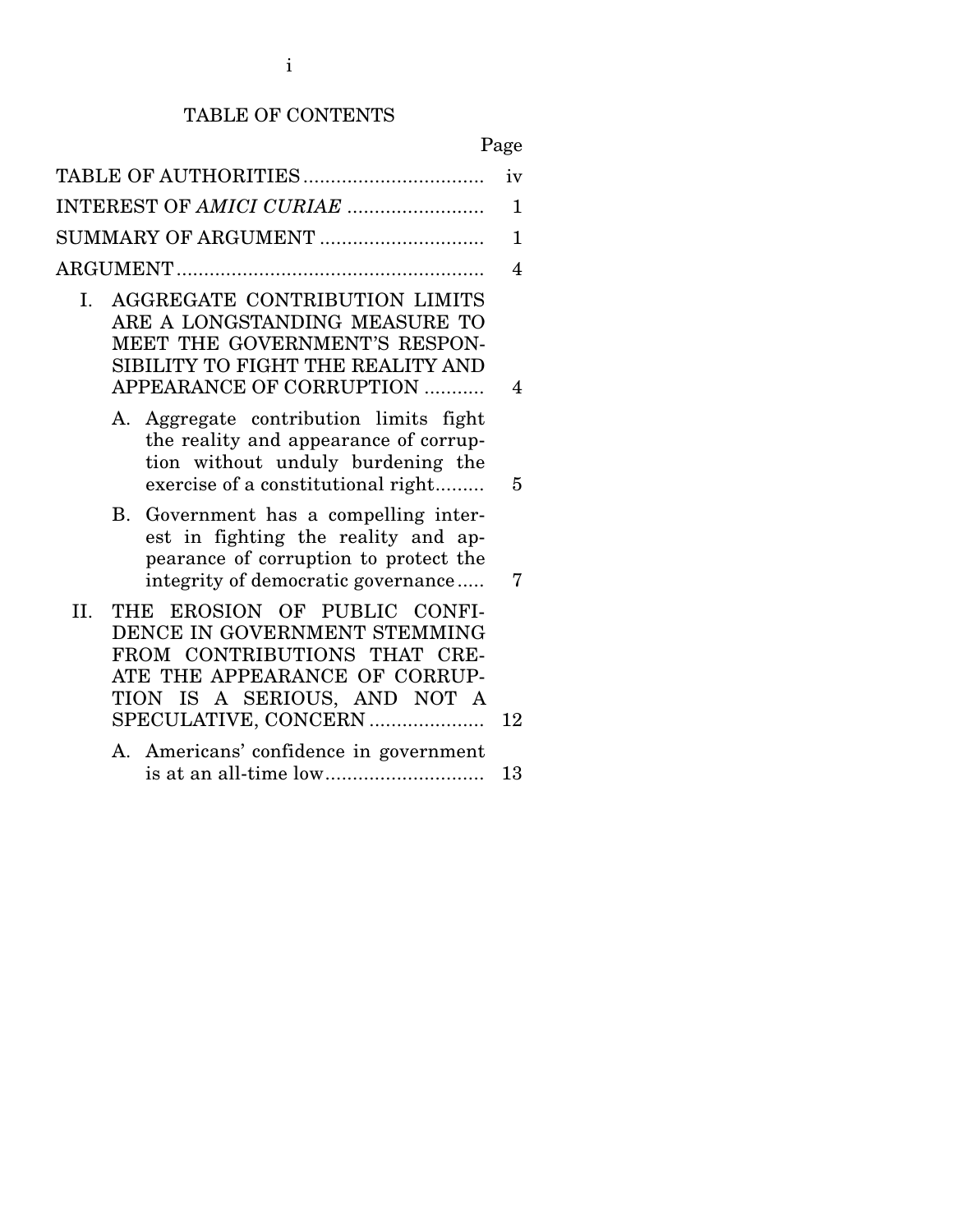## TABLE OF CONTENTS

# Page

| TABLE OF AUTHORITIES                                                                                                                                                                         | iv          |
|----------------------------------------------------------------------------------------------------------------------------------------------------------------------------------------------|-------------|
| INTEREST OF AMICI CURIAE                                                                                                                                                                     | 1           |
| SUMMARY OF ARGUMENT                                                                                                                                                                          | $\mathbf 1$ |
|                                                                                                                                                                                              | 4           |
| AGGREGATE CONTRIBUTION LIMITS<br>I.<br>ARE A LONGSTANDING MEASURE TO<br>MEET THE GOVERNMENT'S RESPON-<br>SIBILITY TO FIGHT THE REALITY AND<br>APPEARANCE OF CORRUPTION                       | 4           |
| Aggregate contribution limits fight<br>А.<br>the reality and appearance of corrup-<br>tion without unduly burdening the<br>exercise of a constitutional right                                | 5           |
| В.<br>Government has a compelling inter-<br>est in fighting the reality and ap-<br>pearance of corruption to protect the<br>integrity of democratic governance                               | 7           |
| THE EROSION OF PUBLIC CONFI-<br>II.<br>DENCE IN GOVERNMENT STEMMING<br>FROM CONTRIBUTIONS THAT CRE-<br>ATE THE APPEARANCE OF CORRUP-<br>TION IS A SERIOUS, AND NOT A<br>SPECULATIVE, CONCERN | 12          |
| A. Americans' confidence in government                                                                                                                                                       |             |
|                                                                                                                                                                                              | 13          |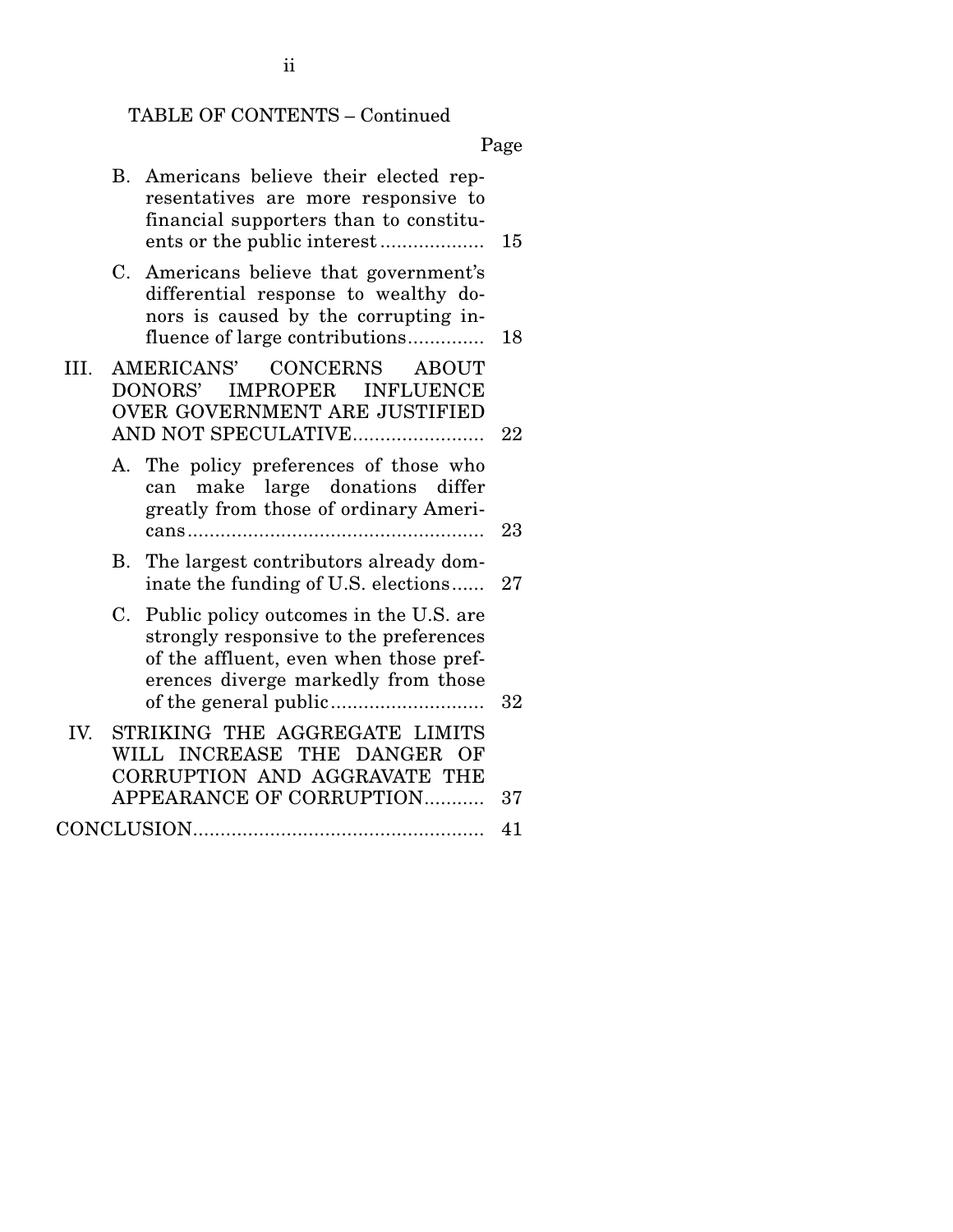## TABLE OF CONTENTS – Continued

Page

|      | В. | Americans believe their elected rep-<br>resentatives are more responsive to<br>financial supporters than to constitu-                                                | 15 |
|------|----|----------------------------------------------------------------------------------------------------------------------------------------------------------------------|----|
|      | C. | Americans believe that government's<br>differential response to wealthy do-<br>nors is caused by the corrupting in-<br>fluence of large contributions                | 18 |
| III. |    | AMERICANS'<br><b>CONCERNS</b><br><b>ABOUT</b><br>IMPROPER INFLUENCE<br>DONORS'<br>OVER GOVERNMENT ARE JUSTIFIED<br>AND NOT SPECULATIVE                               | 22 |
|      |    | A. The policy preferences of those who<br>make large donations differ<br>can<br>greatly from those of ordinary Ameri-                                                | 23 |
|      |    | B. The largest contributors already dom-<br>inate the funding of U.S. elections                                                                                      | 27 |
|      |    | C. Public policy outcomes in the U.S. are<br>strongly responsive to the preferences<br>of the affluent, even when those pref-<br>erences diverge markedly from those | 32 |
| IV.  |    | STRIKING THE AGGREGATE LIMITS<br>WILL INCREASE THE DANGER<br>OF<br>CORRUPTION AND AGGRAVATE THE                                                                      |    |
|      |    | APPEARANCE OF CORRUPTION                                                                                                                                             | 37 |
|      |    |                                                                                                                                                                      | 41 |

ii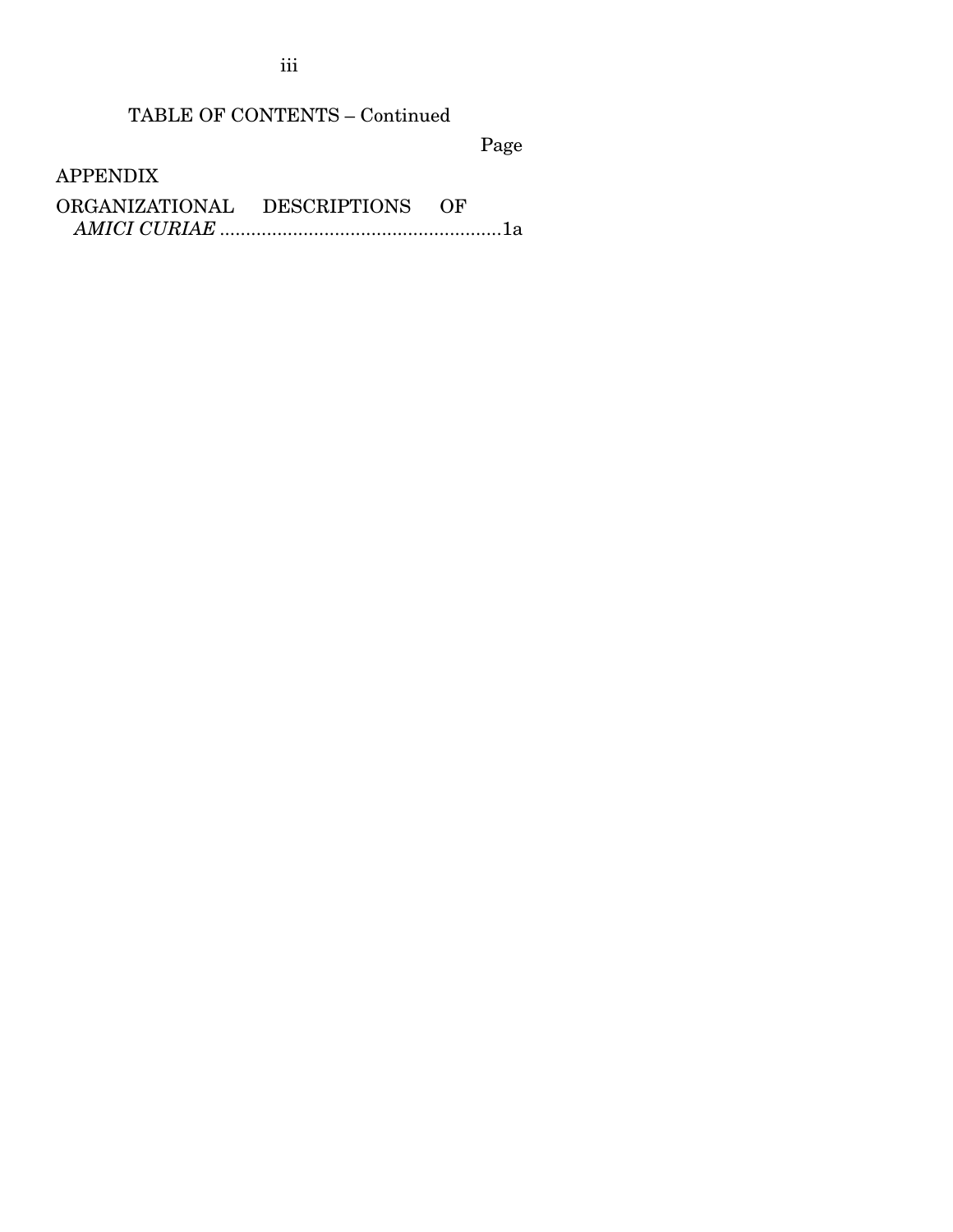iii

# TABLE OF CONTENTS – Continued

Page

APPENDIX

| ORGANIZATIONAL | DESCRIPTIONS | OF |
|----------------|--------------|----|
|                |              |    |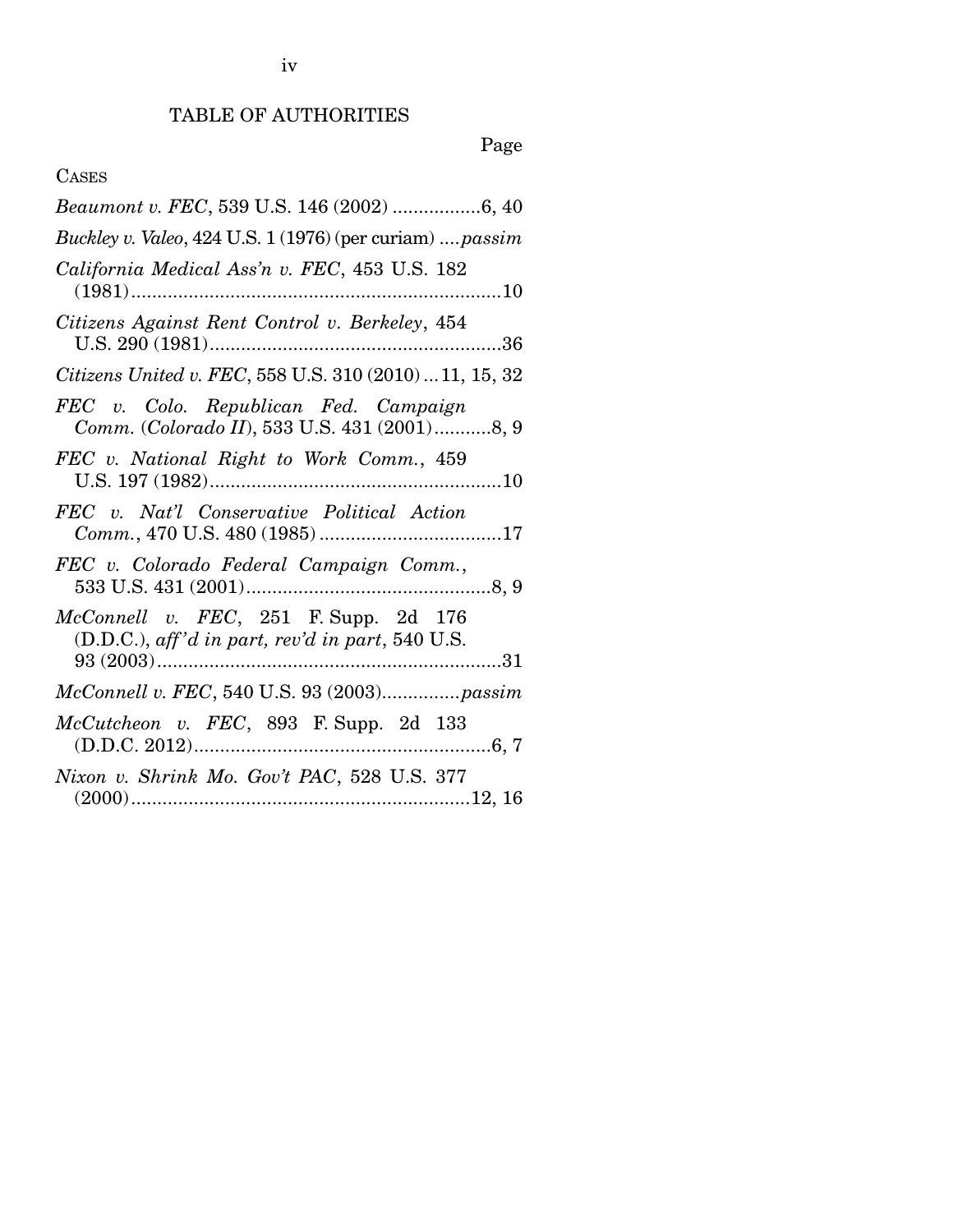iv

# TABLE OF AUTHORITIES

# Page

## CASES

| Beaumont v. FEC, 539 U.S. 146 (2002) 6, 40                                                     |
|------------------------------------------------------------------------------------------------|
| Buckley v. Valeo, 424 U.S. 1 (1976) (per curiam)  passim                                       |
| California Medical Ass'n v. FEC, 453 U.S. 182                                                  |
| Citizens Against Rent Control v. Berkeley, 454                                                 |
| Citizens United v. FEC, 558 U.S. 310 (2010)  11, 15, 32                                        |
| FEC v. Colo. Republican Fed. Campaign<br>Comm. (Colorado II), 533 U.S. 431 (2001)8, 9          |
| FEC v. National Right to Work Comm., 459                                                       |
| FEC v. Nat'l Conservative Political Action                                                     |
| FEC v. Colorado Federal Campaign Comm.,                                                        |
| $McConnell$ v. $FEC$ , 251 F. Supp. 2d 176<br>(D.D.C.), aff'd in part, rev'd in part, 540 U.S. |
|                                                                                                |
| $McCutcheon$ v. $FEC$ , 893 F. Supp. 2d 133                                                    |
| Nixon v. Shrink Mo. Gov't PAC, 528 U.S. 377                                                    |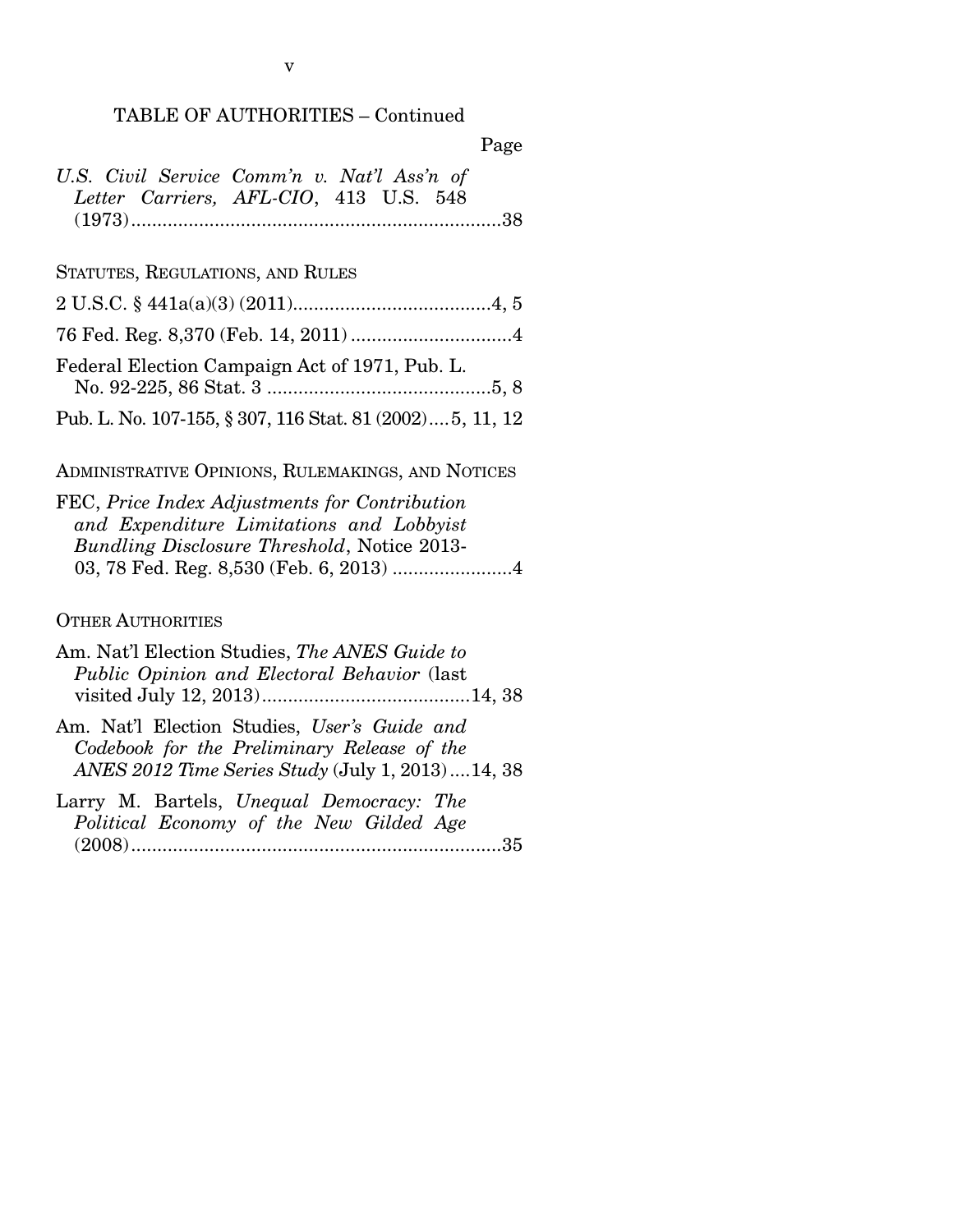### TABLE OF AUTHORITIES – Continued

| U.S. Civil Service Comm'n v. Nat'l Ass'n of |  |
|---------------------------------------------|--|
| Letter Carriers, AFL-CIO, 413 U.S. 548      |  |
|                                             |  |

## STATUTES, REGULATIONS, AND RULES

| Federal Election Campaign Act of 1971, Pub. L.           |
|----------------------------------------------------------|
| Pub. L. No. 107-155, § 307, 116 Stat. 81 (2002)5, 11, 12 |

## ADMINISTRATIVE OPINIONS, RULEMAKINGS, AND NOTICES

| FEC, Price Index Adjustments for Contribution      |
|----------------------------------------------------|
| and Expenditure Limitations and Lobbyist           |
| <b>Bundling Disclosure Threshold, Notice 2013-</b> |
|                                                    |

## OTHER AUTHORITIES

| Am. Nat'l Election Studies, The ANES Guide to                                                           |
|---------------------------------------------------------------------------------------------------------|
| Public Opinion and Electoral Behavior (last                                                             |
|                                                                                                         |
| Am. Nat'l Election Studies, User's Guide and<br>Codebook for the Preliminary Release of the             |
| ANES 2012 Time Series Study (July 1, 2013)  14, 38                                                      |
| $I_{\text{source}}$ M Deatels $I_{\text{total}}$ D <sub>ream</sub> D <sub>ream</sub> $m_{\text{total}}$ |

|  | Larry M. Bartels, Unequal Democracy: The |  |  |  |
|--|------------------------------------------|--|--|--|
|  | Political Economy of the New Gilded Age  |  |  |  |
|  |                                          |  |  |  |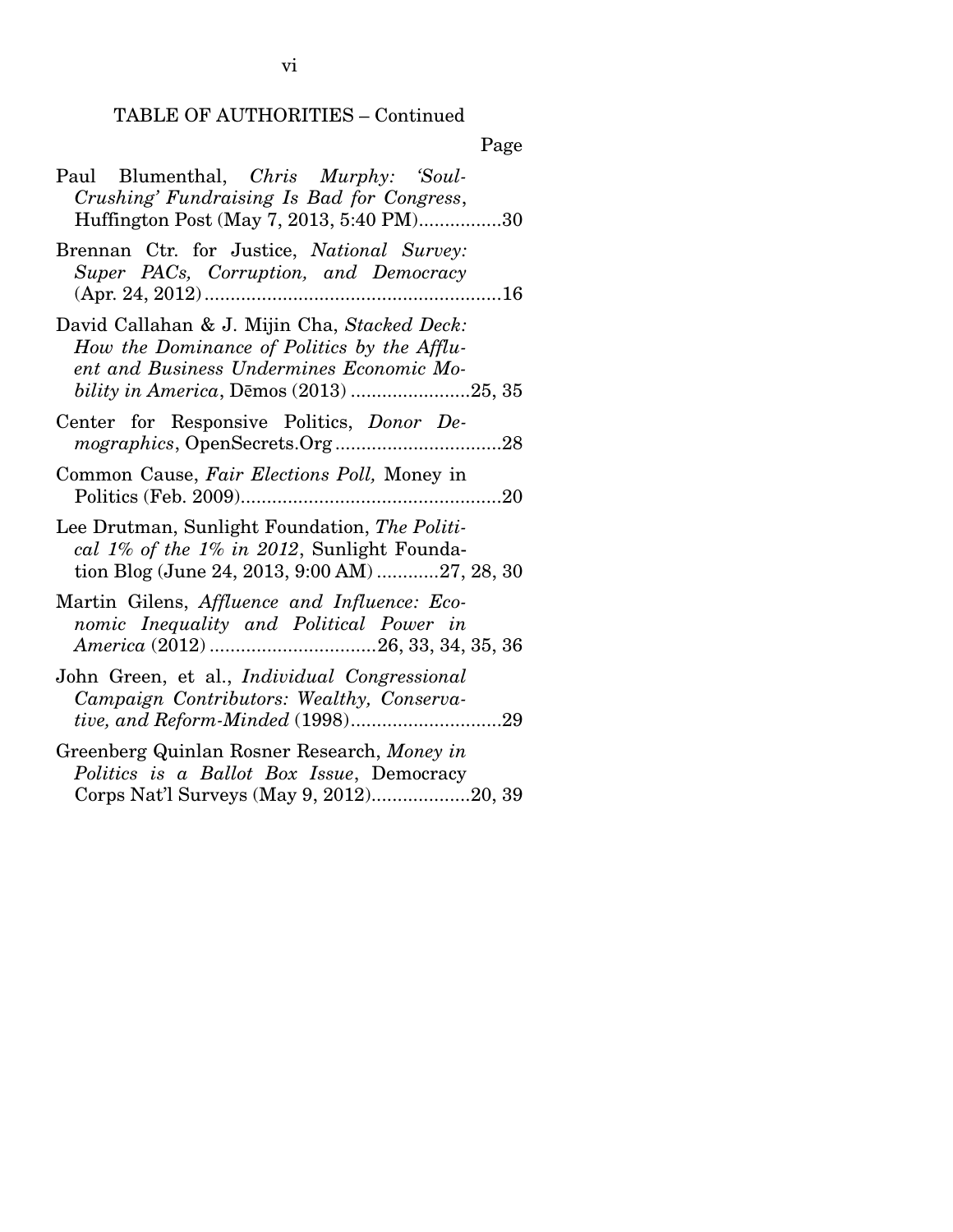## TABLE OF AUTHORITIES – Continued

## Page

| Paul Blumenthal, Chris Murphy: 'Soul-<br>Crushing' Fundraising Is Bad for Congress,<br>Huffington Post (May 7, 2013, 5:40 PM)30                                                   |
|-----------------------------------------------------------------------------------------------------------------------------------------------------------------------------------|
| Brennan Ctr. for Justice, National Survey:<br>Super PACs, Corruption, and Democracy                                                                                               |
| David Callahan & J. Mijin Cha, Stacked Deck:<br>How the Dominance of Politics by the Afflu-<br>ent and Business Undermines Economic Mo-<br>bility in America, Dēmos (2013) 25, 35 |
| Center for Responsive Politics, Donor De-                                                                                                                                         |
| Common Cause, Fair Elections Poll, Money in                                                                                                                                       |
| Lee Drutman, Sunlight Foundation, The Politi-<br>cal 1% of the 1% in 2012, Sunlight Founda-<br>tion Blog (June 24, 2013, 9:00 AM) 27, 28, 30                                      |
| Martin Gilens, Affluence and Influence: Eco-<br>nomic Inequality and Political Power in                                                                                           |
| John Green, et al., Individual Congressional<br>Campaign Contributors: Wealthy, Conserva-                                                                                         |
| Greenberg Quinlan Rosner Research, Money in<br>Politics is a Ballot Box Issue, Democracy<br>Corps Nat'l Surveys (May 9, 2012)20, 39                                               |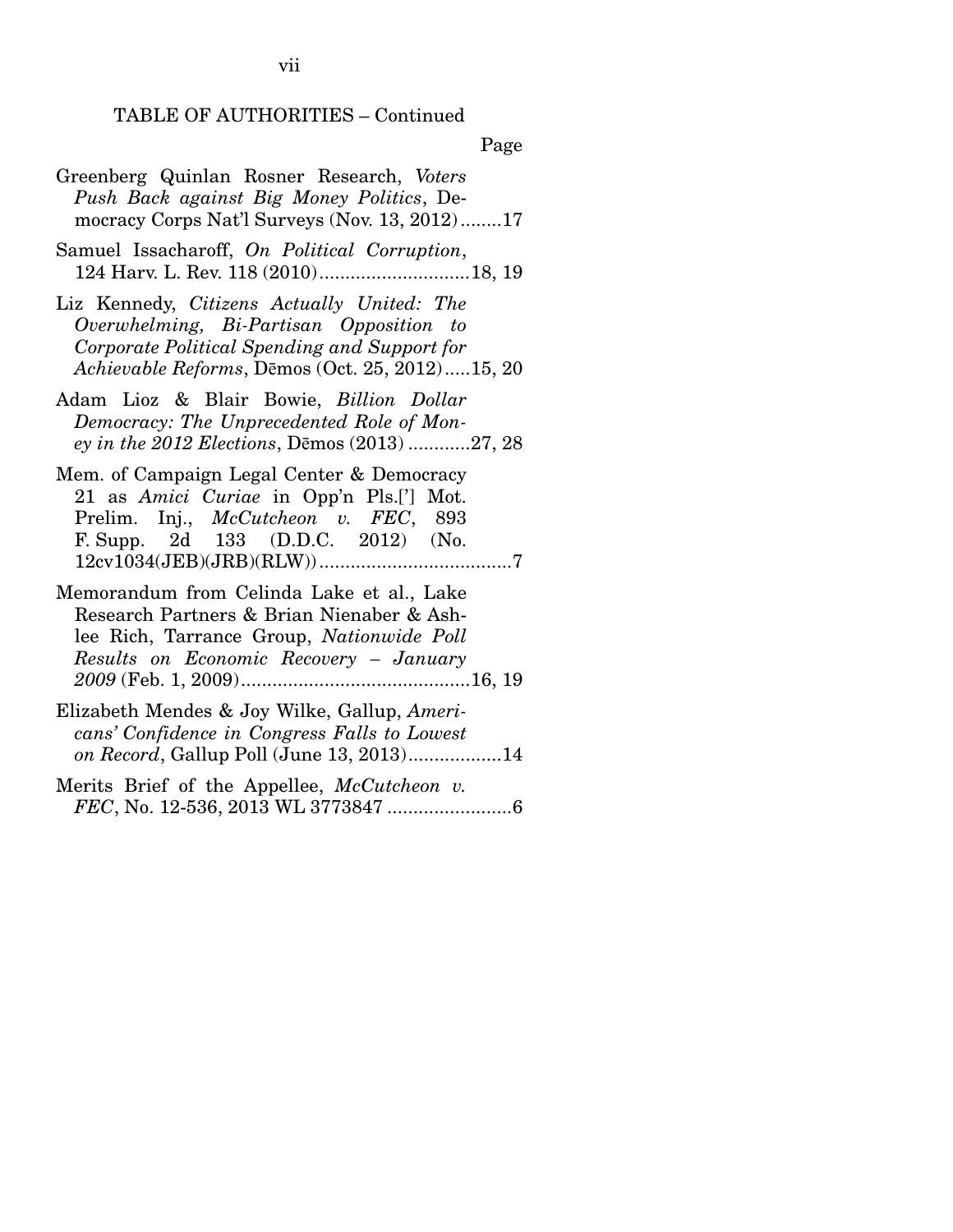TABLE OF AUTHORITIES – Continued

Page

- Greenberg Quinlan Rosner Research, *Voters Push Back against Big Money Politics*, Democracy Corps Nat'l Surveys (Nov. 13, 2012) ........ 17
- Samuel Issacharoff, *On Political Corruption*, 124 Harv. L. Rev. 118 (2010) ............................. 18, 19
- Liz Kennedy, *Citizens Actually United: The Overwhelming, Bi-Partisan Opposition to Corporate Political Spending and Support for Achievable Reforms*, DƝmos (Oct. 25, 2012) ..... 15, 20
- Adam Lioz & Blair Bowie, *Billion Dollar Democracy: The Unprecedented Role of Money in the 2012 Elections, Demos (2013) ............27, 28*
- Mem. of Campaign Legal Center & Democracy 21 as *Amici Curiae* in Opp'n Pls.['] Mot. Prelim. Inj., *McCutcheon v. FEC*, 893 F. Supp. 2d 133 (D.D.C. 2012) (No. 12cv1034(JEB)(JRB)(RLW)) ..................................... 7
- Memorandum from Celinda Lake et al., Lake Research Partners & Brian Nienaber & Ashlee Rich, Tarrance Group, *Nationwide Poll Results on Economic Recovery – January 2009* (Feb. 1, 2009) ............................................ 16, 19
- Elizabeth Mendes & Joy Wilke, Gallup, *Americans' Confidence in Congress Falls to Lowest on Record*, Gallup Poll (June 13, 2013) .................. 14
- Merits Brief of the Appellee, *McCutcheon v. FEC*, No. 12-536, 2013 WL 3773847 ........................ 6

vii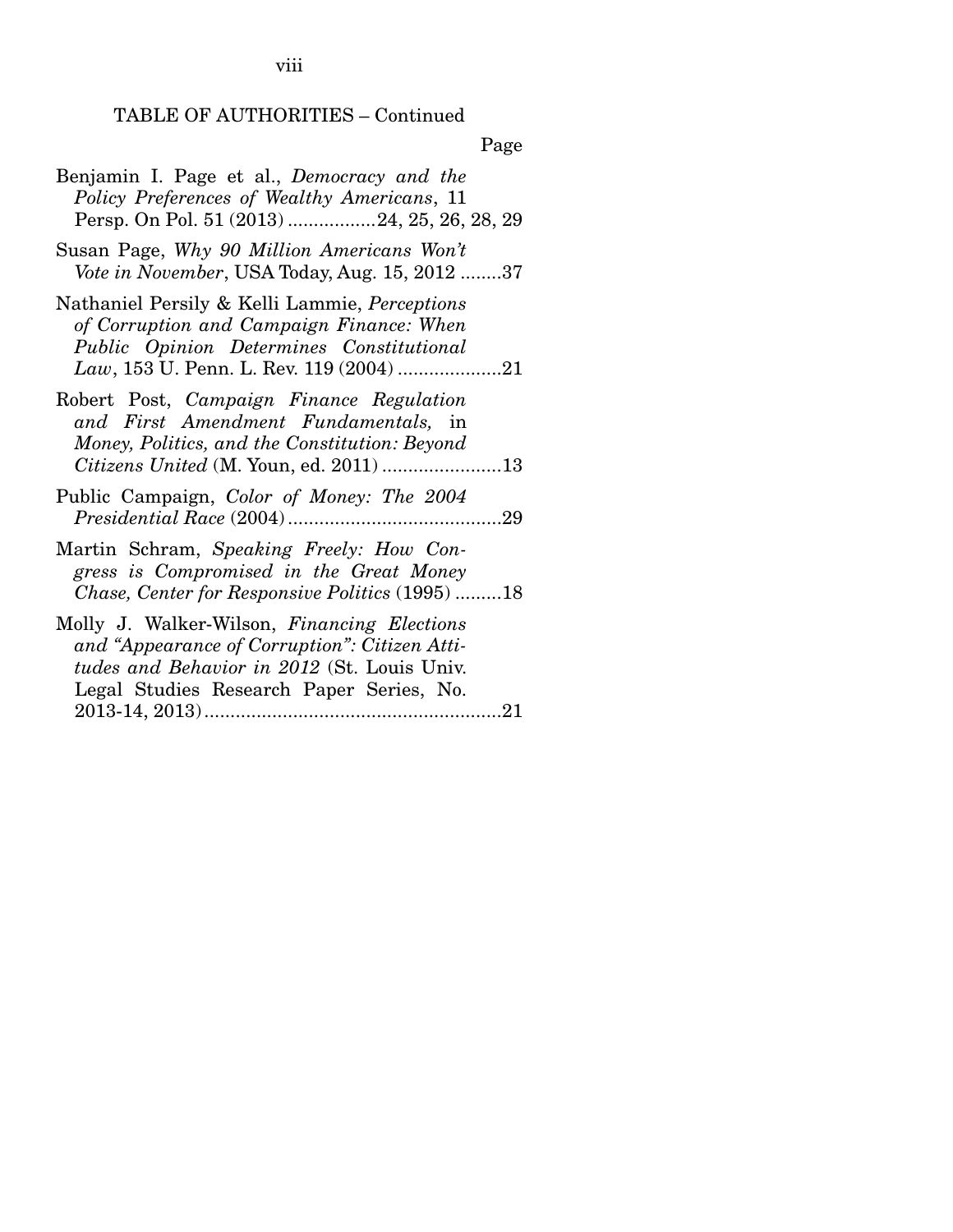viii

# TABLE OF AUTHORITIES – Continued

Page

| Benjamin I. Page et al., Democracy and the<br>Policy Preferences of Wealthy Americans, 11<br>Persp. On Pol. 51 (2013) 24, 25, 26, 28, 29                                                |
|-----------------------------------------------------------------------------------------------------------------------------------------------------------------------------------------|
| Susan Page, Why 90 Million Americans Won't<br>Vote in November, USA Today, Aug. 15, 2012 37                                                                                             |
| Nathaniel Persily & Kelli Lammie, Perceptions<br>of Corruption and Campaign Finance: When<br>Public Opinion Determines Constitutional                                                   |
| Robert Post, Campaign Finance Regulation<br>and First Amendment Fundamentals, in<br>Money, Politics, and the Constitution: Beyond                                                       |
| Public Campaign, <i>Color of Money: The 2004</i>                                                                                                                                        |
| Martin Schram, Speaking Freely: How Con-<br>gress is Compromised in the Great Money<br>Chase, Center for Responsive Politics (1995) 18                                                  |
| Molly J. Walker-Wilson, Financing Elections<br>and "Appearance of Corruption": Citizen Atti-<br>tudes and Behavior in 2012 (St. Louis Univ.<br>Legal Studies Research Paper Series, No. |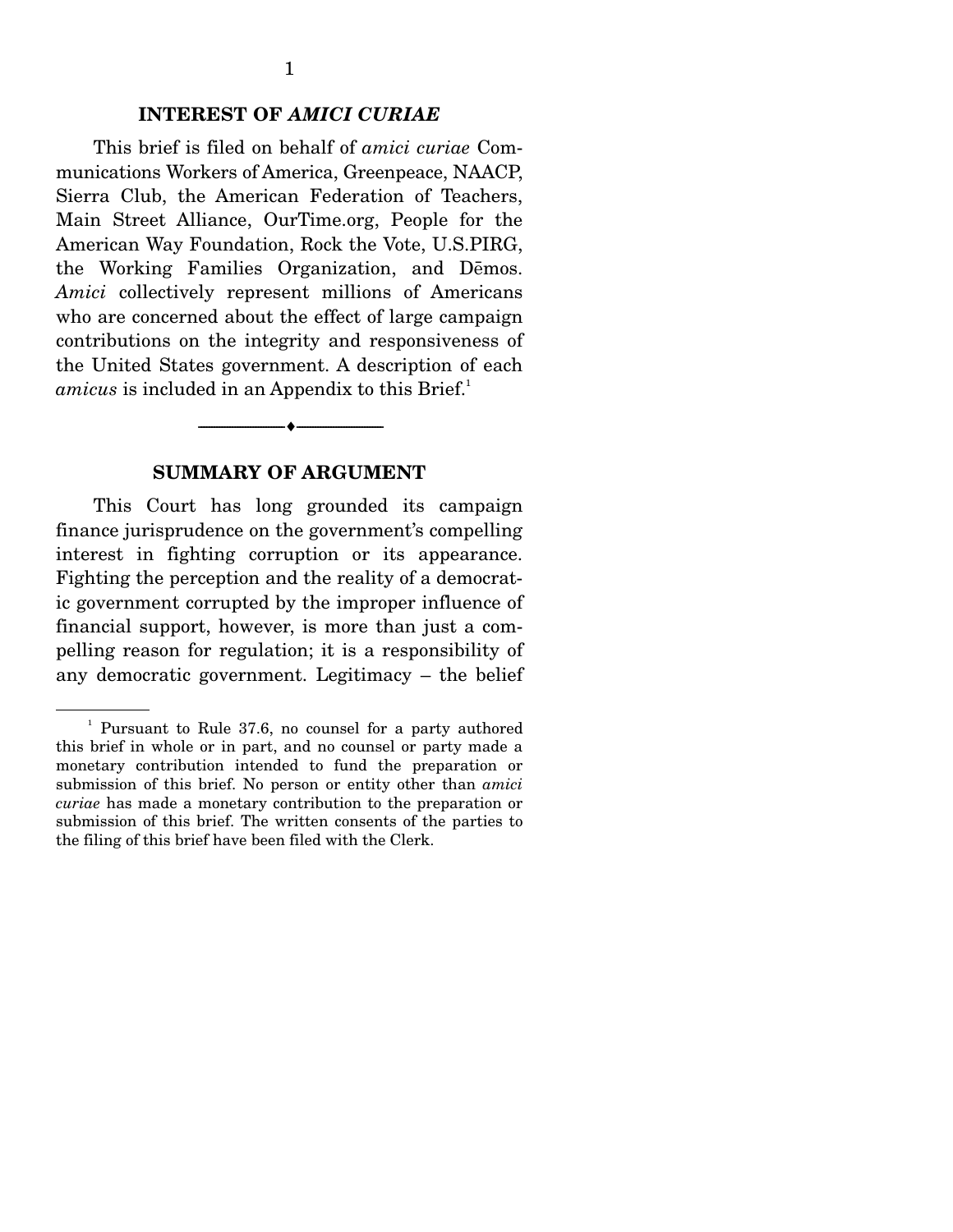This brief is filed on behalf of *amici curiae* Communications Workers of America, Greenpeace, NAACP, Sierra Club, the American Federation of Teachers, Main Street Alliance, OurTime.org, People for the American Way Foundation, Rock the Vote, U.S.PIRG, the Working Families Organization, and Demos. *Amici* collectively represent millions of Americans who are concerned about the effect of large campaign contributions on the integrity and responsiveness of the United States government. A description of each *amicus* is included in an Appendix to this Brief.<sup>1</sup>

#### **SUMMARY OF ARGUMENT**

--------------------------------- i ---------------------------------

This Court has long grounded its campaign finance jurisprudence on the government's compelling interest in fighting corruption or its appearance. Fighting the perception and the reality of a democratic government corrupted by the improper influence of financial support, however, is more than just a compelling reason for regulation; it is a responsibility of any democratic government. Legitimacy – the belief

<sup>&</sup>lt;sup>1</sup> Pursuant to Rule 37.6, no counsel for a party authored this brief in whole or in part, and no counsel or party made a monetary contribution intended to fund the preparation or submission of this brief. No person or entity other than *amici curiae* has made a monetary contribution to the preparation or submission of this brief. The written consents of the parties to the filing of this brief have been filed with the Clerk.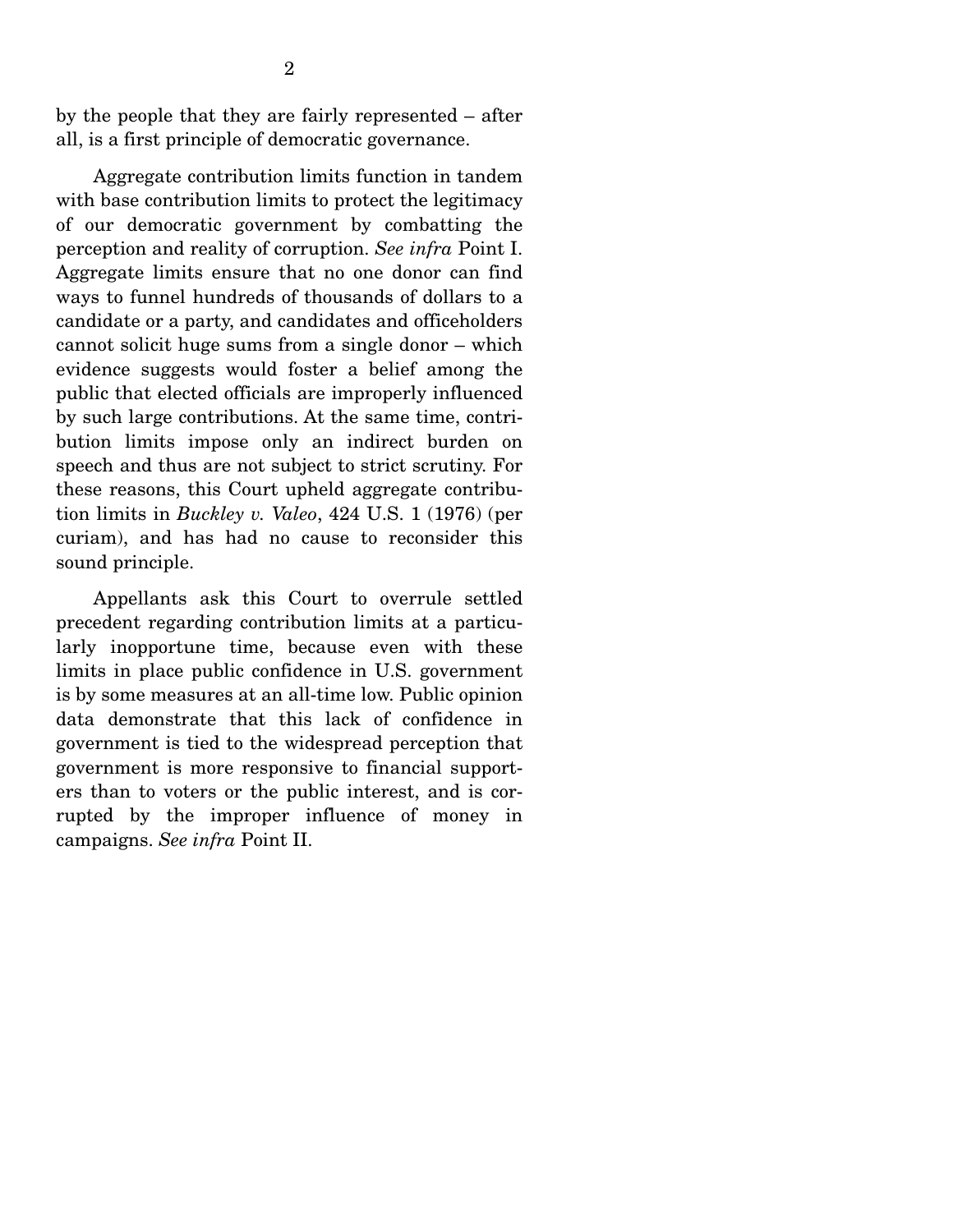by the people that they are fairly represented – after all, is a first principle of democratic governance.

 Aggregate contribution limits function in tandem with base contribution limits to protect the legitimacy of our democratic government by combatting the perception and reality of corruption. *See infra* Point I. Aggregate limits ensure that no one donor can find ways to funnel hundreds of thousands of dollars to a candidate or a party, and candidates and officeholders cannot solicit huge sums from a single donor – which evidence suggests would foster a belief among the public that elected officials are improperly influenced by such large contributions. At the same time, contribution limits impose only an indirect burden on speech and thus are not subject to strict scrutiny. For these reasons, this Court upheld aggregate contribution limits in *Buckley v. Valeo*, 424 U.S. 1 (1976) (per curiam), and has had no cause to reconsider this sound principle.

 Appellants ask this Court to overrule settled precedent regarding contribution limits at a particularly inopportune time, because even with these limits in place public confidence in U.S. government is by some measures at an all-time low. Public opinion data demonstrate that this lack of confidence in government is tied to the widespread perception that government is more responsive to financial supporters than to voters or the public interest, and is corrupted by the improper influence of money in campaigns. *See infra* Point II.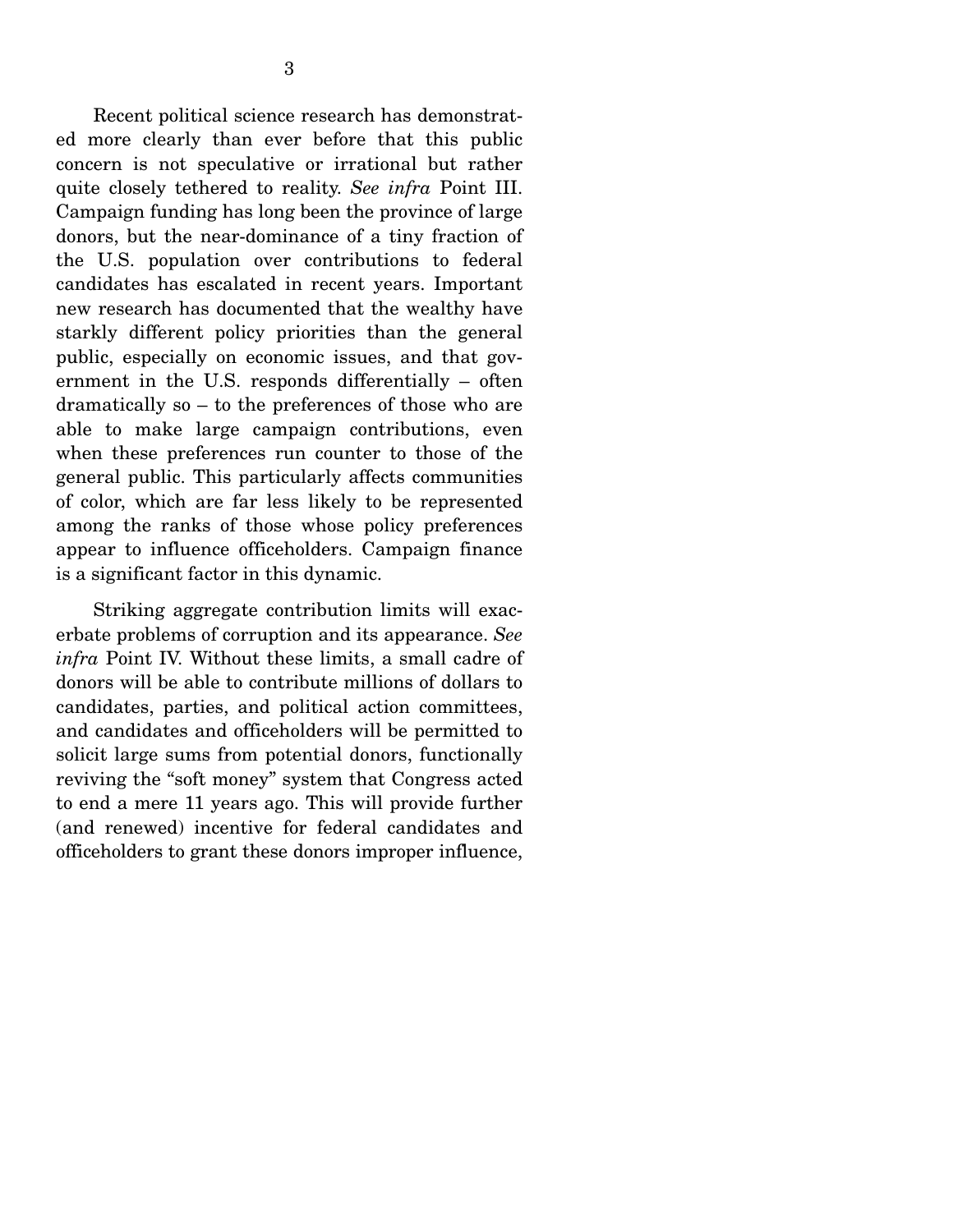Recent political science research has demonstrated more clearly than ever before that this public concern is not speculative or irrational but rather quite closely tethered to reality. *See infra* Point III. Campaign funding has long been the province of large donors, but the near-dominance of a tiny fraction of the U.S. population over contributions to federal candidates has escalated in recent years. Important new research has documented that the wealthy have starkly different policy priorities than the general public, especially on economic issues, and that government in the U.S. responds differentially – often dramatically so – to the preferences of those who are able to make large campaign contributions, even when these preferences run counter to those of the general public. This particularly affects communities of color, which are far less likely to be represented among the ranks of those whose policy preferences appear to influence officeholders. Campaign finance is a significant factor in this dynamic.

 Striking aggregate contribution limits will exacerbate problems of corruption and its appearance. *See infra* Point IV. Without these limits, a small cadre of donors will be able to contribute millions of dollars to candidates, parties, and political action committees, and candidates and officeholders will be permitted to solicit large sums from potential donors, functionally reviving the "soft money" system that Congress acted to end a mere 11 years ago. This will provide further (and renewed) incentive for federal candidates and officeholders to grant these donors improper influence,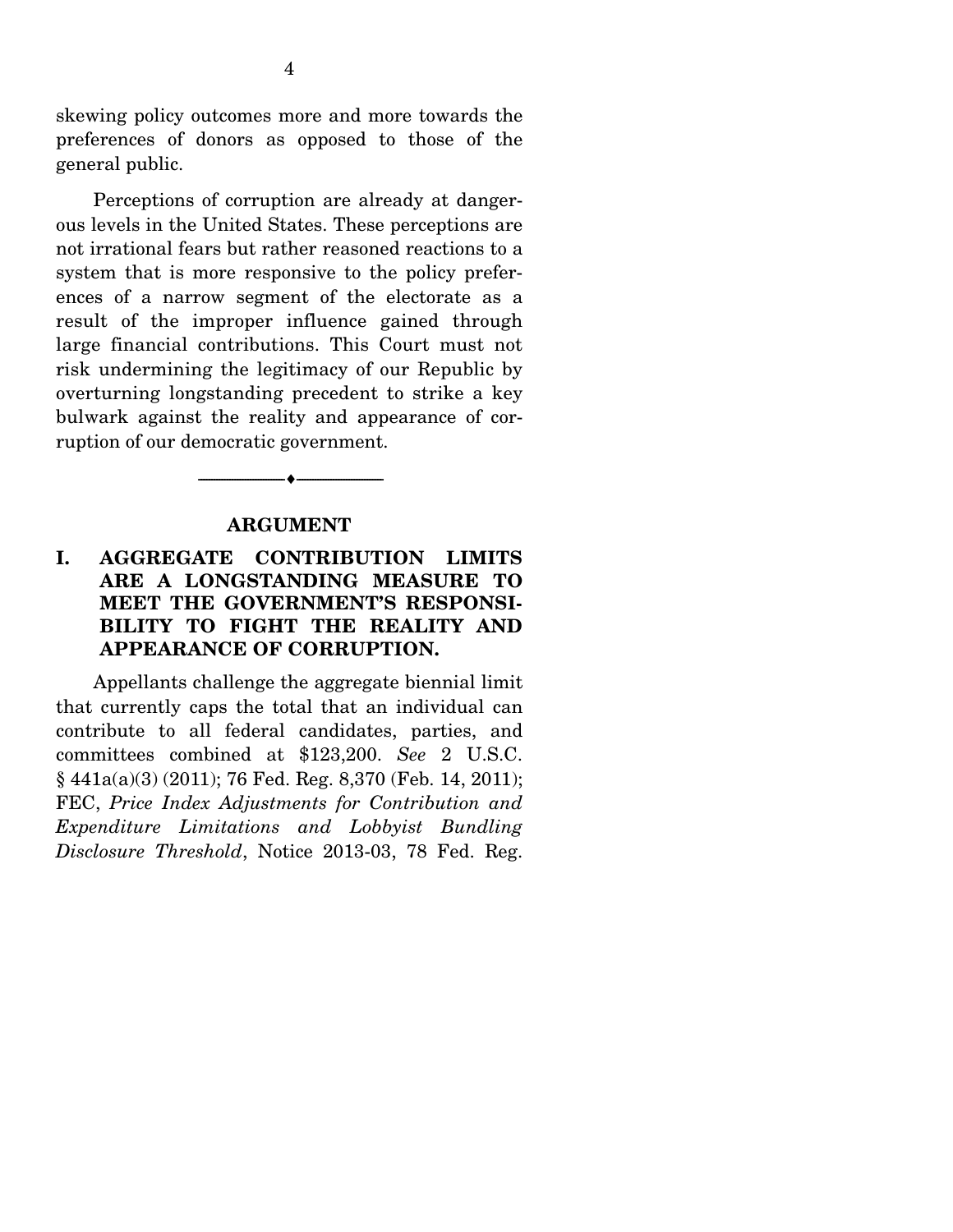skewing policy outcomes more and more towards the preferences of donors as opposed to those of the general public.

 Perceptions of corruption are already at dangerous levels in the United States. These perceptions are not irrational fears but rather reasoned reactions to a system that is more responsive to the policy preferences of a narrow segment of the electorate as a result of the improper influence gained through large financial contributions. This Court must not risk undermining the legitimacy of our Republic by overturning longstanding precedent to strike a key bulwark against the reality and appearance of corruption of our democratic government.

#### **ARGUMENT**

 $\bullet$   $-$ 

### **I. AGGREGATE CONTRIBUTION LIMITS ARE A LONGSTANDING MEASURE TO MEET THE GOVERNMENT'S RESPONSI-BILITY TO FIGHT THE REALITY AND APPEARANCE OF CORRUPTION.**

Appellants challenge the aggregate biennial limit that currently caps the total that an individual can contribute to all federal candidates, parties, and committees combined at \$123,200. *See* 2 U.S.C. § 441a(a)(3) (2011); 76 Fed. Reg. 8,370 (Feb. 14, 2011); FEC, *Price Index Adjustments for Contribution and Expenditure Limitations and Lobbyist Bundling Disclosure Threshold*, Notice 2013-03, 78 Fed. Reg.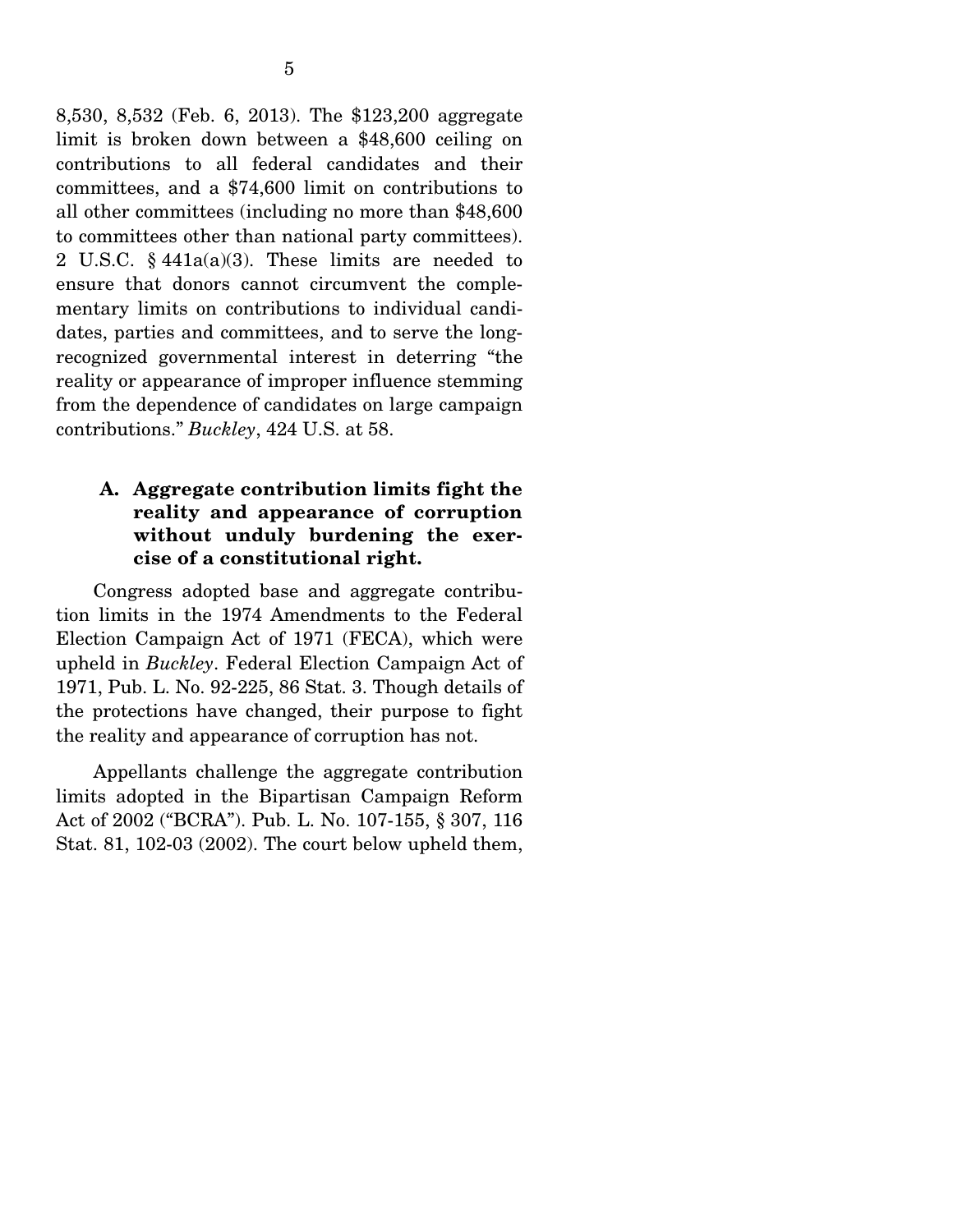8,530, 8,532 (Feb. 6, 2013). The \$123,200 aggregate limit is broken down between a \$48,600 ceiling on contributions to all federal candidates and their committees, and a \$74,600 limit on contributions to all other committees (including no more than \$48,600 to committees other than national party committees). 2 U.S.C. § 441a(a)(3). These limits are needed to ensure that donors cannot circumvent the complementary limits on contributions to individual candidates, parties and committees, and to serve the longrecognized governmental interest in deterring "the reality or appearance of improper influence stemming from the dependence of candidates on large campaign contributions." *Buckley*, 424 U.S. at 58.

#### **A. Aggregate contribution limits fight the reality and appearance of corruption without unduly burdening the exercise of a constitutional right.**

Congress adopted base and aggregate contribution limits in the 1974 Amendments to the Federal Election Campaign Act of 1971 (FECA), which were upheld in *Buckley*. Federal Election Campaign Act of 1971, Pub. L. No. 92-225, 86 Stat. 3. Though details of the protections have changed, their purpose to fight the reality and appearance of corruption has not.

 Appellants challenge the aggregate contribution limits adopted in the Bipartisan Campaign Reform Act of 2002 ("BCRA"). Pub. L. No. 107-155, § 307, 116 Stat. 81, 102-03 (2002). The court below upheld them,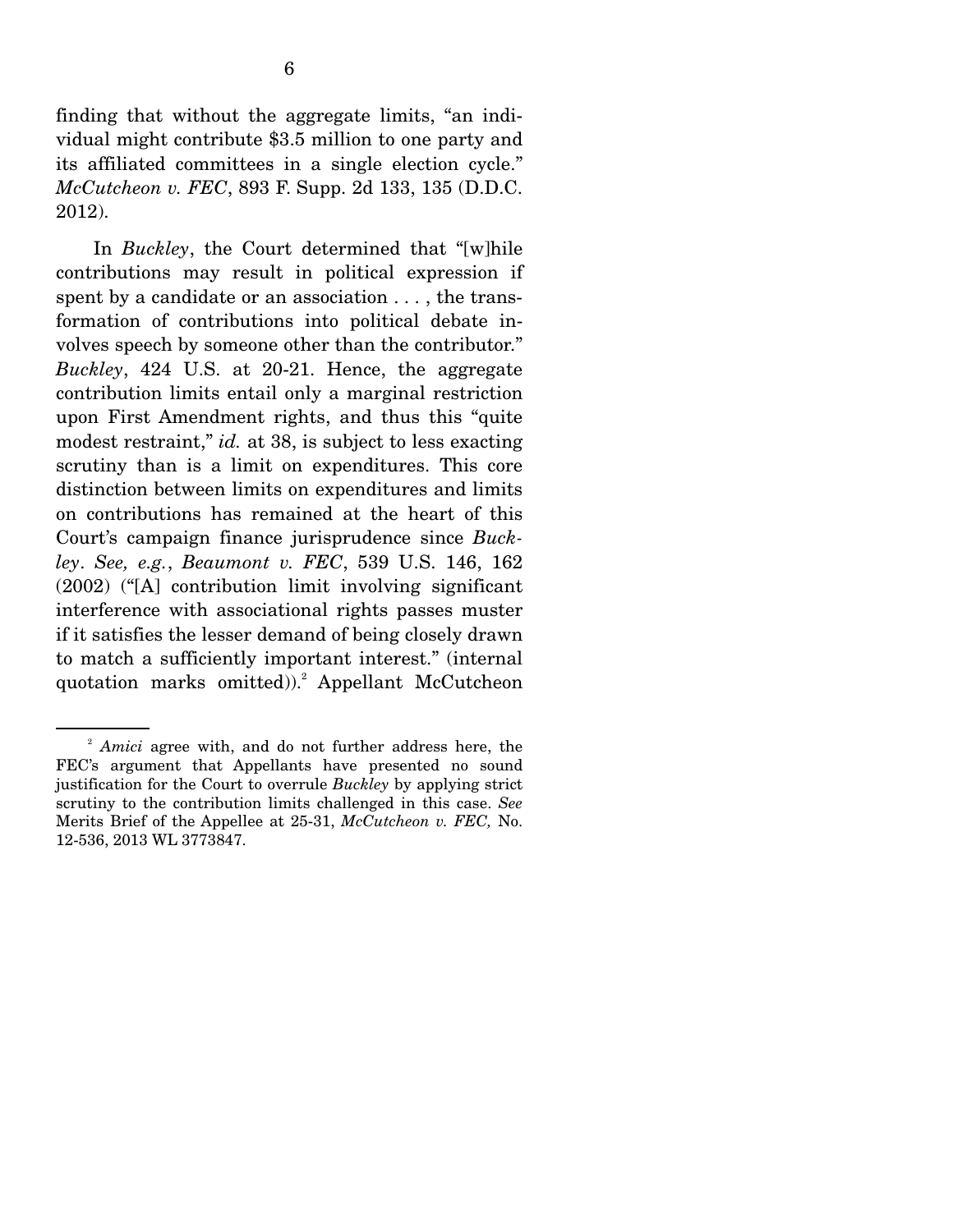finding that without the aggregate limits, "an individual might contribute \$3.5 million to one party and its affiliated committees in a single election cycle." *McCutcheon v. FEC*, 893 F. Supp. 2d 133, 135 (D.D.C. 2012).

 In *Buckley*, the Court determined that "[w]hile contributions may result in political expression if spent by a candidate or an association . . . , the transformation of contributions into political debate involves speech by someone other than the contributor." *Buckley*, 424 U.S. at 20-21. Hence, the aggregate contribution limits entail only a marginal restriction upon First Amendment rights, and thus this "quite modest restraint," *id.* at 38, is subject to less exacting scrutiny than is a limit on expenditures. This core distinction between limits on expenditures and limits on contributions has remained at the heart of this Court's campaign finance jurisprudence since *Buckley*. *See, e.g.*, *Beaumont v. FEC*, 539 U.S. 146, 162 (2002) ("[A] contribution limit involving significant interference with associational rights passes muster if it satisfies the lesser demand of being closely drawn to match a sufficiently important interest." (internal quotation marks omitted)).<sup>2</sup> Appellant McCutcheon

<sup>2</sup> *Amici* agree with, and do not further address here, the FEC's argument that Appellants have presented no sound justification for the Court to overrule *Buckley* by applying strict scrutiny to the contribution limits challenged in this case. *See*  Merits Brief of the Appellee at 25-31, *McCutcheon v. FEC,* No. 12-536, 2013 WL 3773847.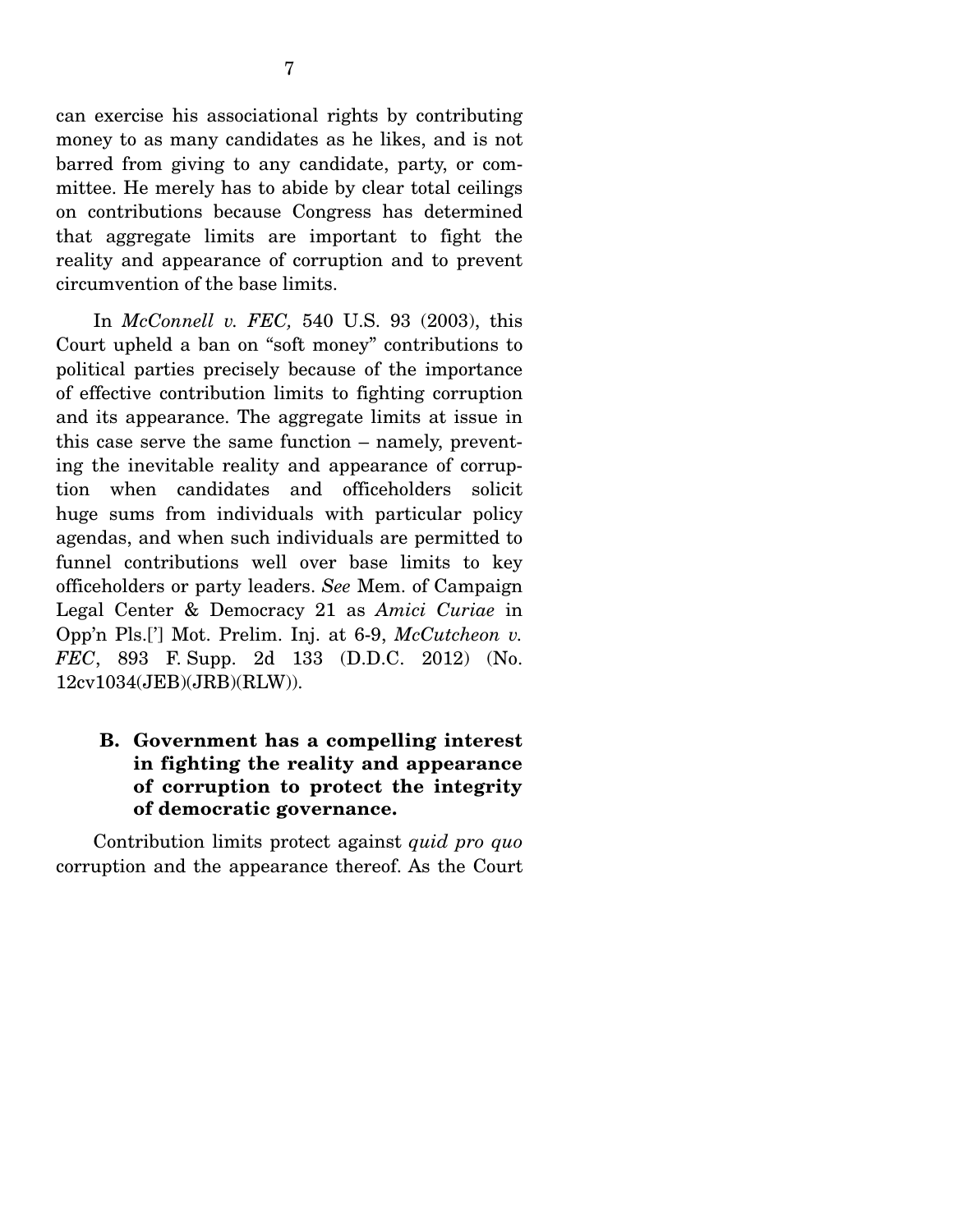can exercise his associational rights by contributing money to as many candidates as he likes, and is not barred from giving to any candidate, party, or committee. He merely has to abide by clear total ceilings on contributions because Congress has determined that aggregate limits are important to fight the reality and appearance of corruption and to prevent circumvention of the base limits.

 In *McConnell v. FEC,* 540 U.S. 93 (2003), this Court upheld a ban on "soft money" contributions to political parties precisely because of the importance of effective contribution limits to fighting corruption and its appearance. The aggregate limits at issue in this case serve the same function – namely, preventing the inevitable reality and appearance of corruption when candidates and officeholders solicit huge sums from individuals with particular policy agendas, and when such individuals are permitted to funnel contributions well over base limits to key officeholders or party leaders. *See* Mem. of Campaign Legal Center & Democracy 21 as *Amici Curiae* in Opp'n Pls.['] Mot. Prelim. Inj. at 6-9, *McCutcheon v. FEC*, 893 F. Supp. 2d 133 (D.D.C. 2012) (No. 12cv1034(JEB)(JRB)(RLW)).

### **B. Government has a compelling interest in fighting the reality and appearance of corruption to protect the integrity of democratic governance.**

Contribution limits protect against *quid pro quo* corruption and the appearance thereof. As the Court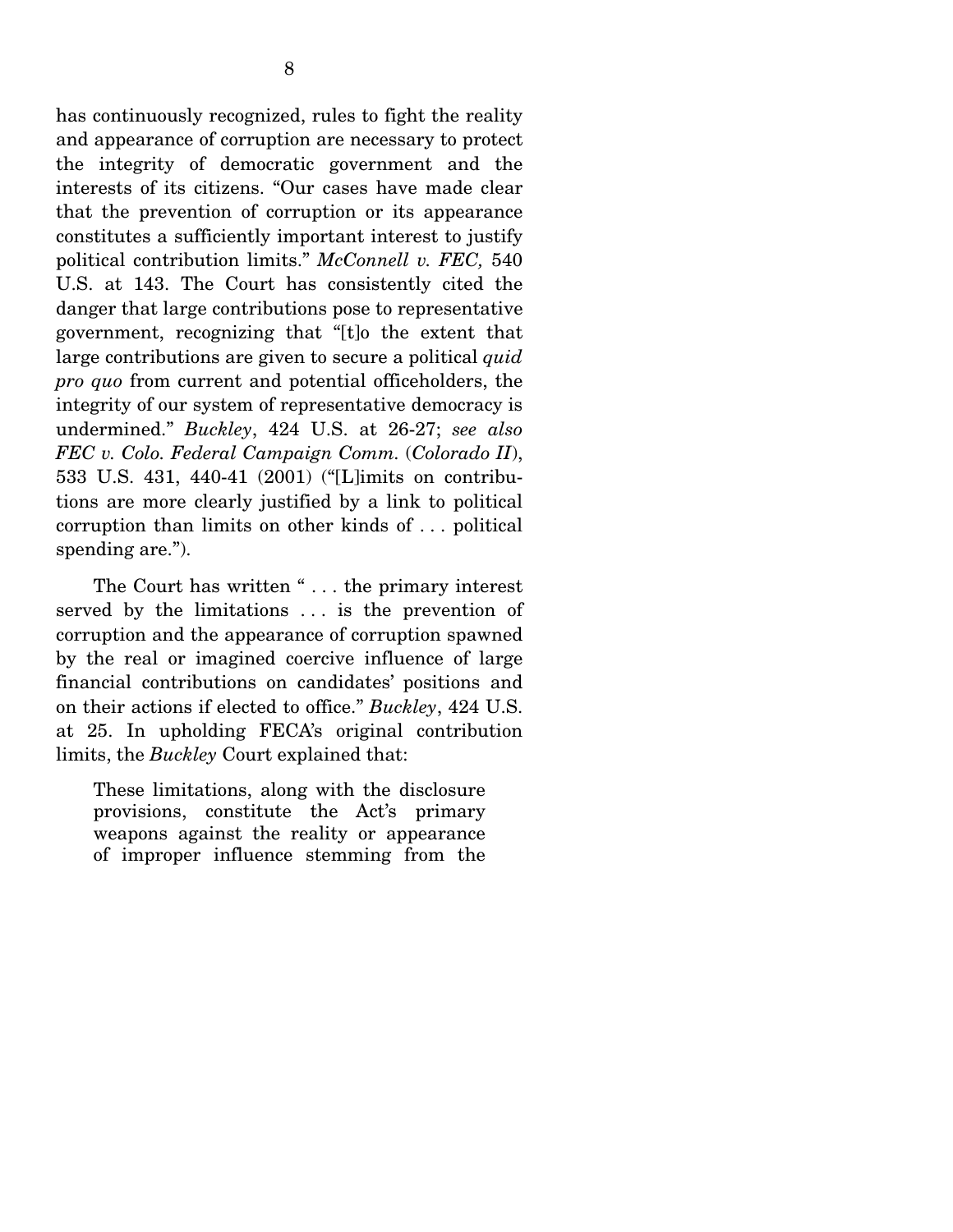has continuously recognized, rules to fight the reality and appearance of corruption are necessary to protect the integrity of democratic government and the interests of its citizens. "Our cases have made clear that the prevention of corruption or its appearance constitutes a sufficiently important interest to justify political contribution limits." *McConnell v. FEC,* 540 U.S. at 143. The Court has consistently cited the danger that large contributions pose to representative government, recognizing that "[t]o the extent that large contributions are given to secure a political *quid pro quo* from current and potential officeholders, the integrity of our system of representative democracy is undermined." *Buckley*, 424 U.S. at 26-27; *see also FEC v. Colo. Federal Campaign Comm.* (*Colorado II*), 533 U.S. 431, 440-41 (2001) ("[L]imits on contributions are more clearly justified by a link to political corruption than limits on other kinds of . . . political spending are.").

 The Court has written " . . . the primary interest served by the limitations ... is the prevention of corruption and the appearance of corruption spawned by the real or imagined coercive influence of large financial contributions on candidates' positions and on their actions if elected to office." *Buckley*, 424 U.S. at 25. In upholding FECA's original contribution limits, the *Buckley* Court explained that:

These limitations, along with the disclosure provisions, constitute the Act's primary weapons against the reality or appearance of improper influence stemming from the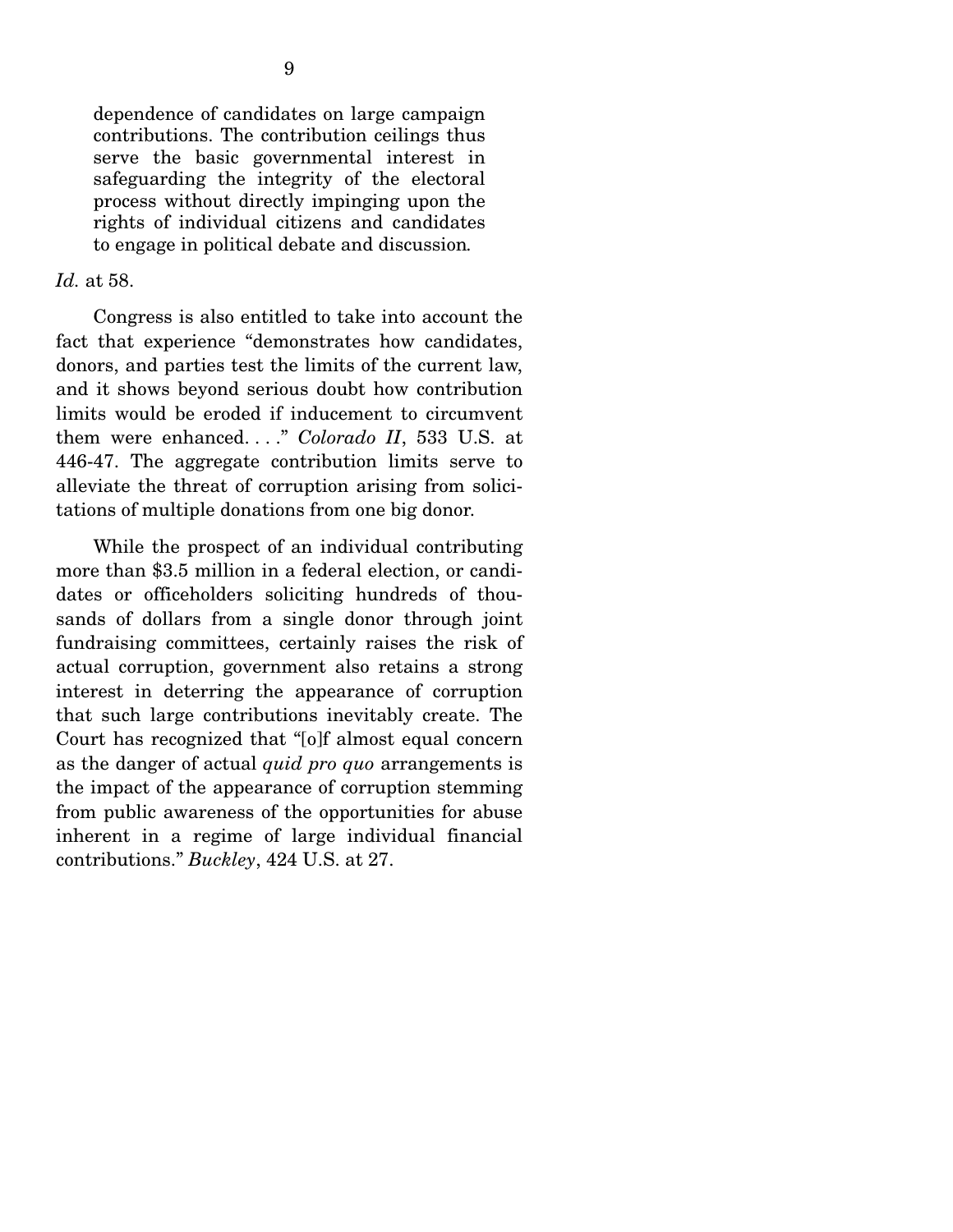dependence of candidates on large campaign contributions. The contribution ceilings thus serve the basic governmental interest in safeguarding the integrity of the electoral process without directly impinging upon the rights of individual citizens and candidates to engage in political debate and discussion*.*

#### *Id.* at 58.

 Congress is also entitled to take into account the fact that experience "demonstrates how candidates, donors, and parties test the limits of the current law, and it shows beyond serious doubt how contribution limits would be eroded if inducement to circumvent them were enhanced. . . ." *Colorado II*, 533 U.S. at 446-47. The aggregate contribution limits serve to alleviate the threat of corruption arising from solicitations of multiple donations from one big donor.

 While the prospect of an individual contributing more than \$3.5 million in a federal election, or candidates or officeholders soliciting hundreds of thousands of dollars from a single donor through joint fundraising committees, certainly raises the risk of actual corruption, government also retains a strong interest in deterring the appearance of corruption that such large contributions inevitably create. The Court has recognized that "[o]f almost equal concern as the danger of actual *quid pro quo* arrangements is the impact of the appearance of corruption stemming from public awareness of the opportunities for abuse inherent in a regime of large individual financial contributions." *Buckley*, 424 U.S. at 27.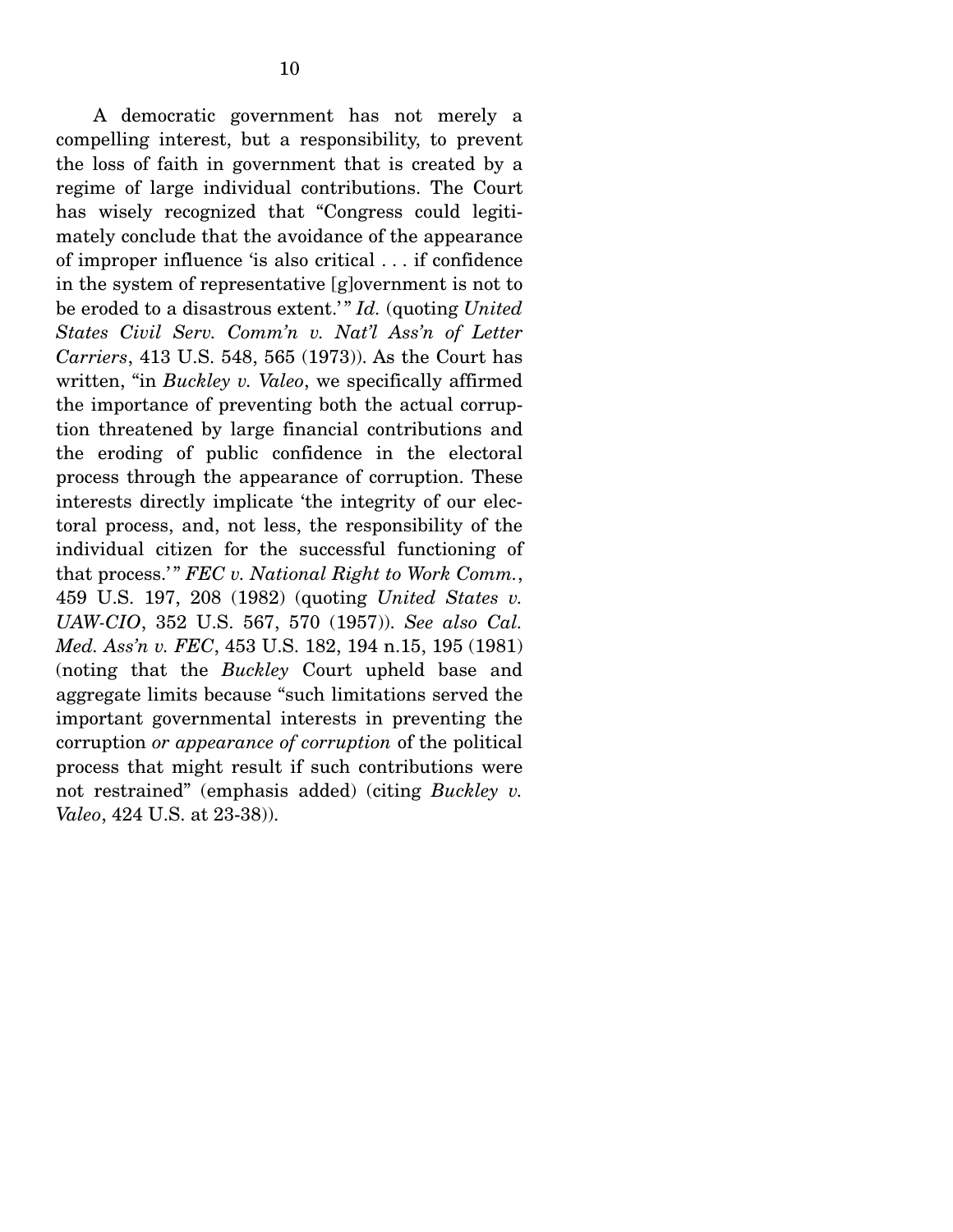A democratic government has not merely a compelling interest, but a responsibility, to prevent the loss of faith in government that is created by a regime of large individual contributions. The Court has wisely recognized that "Congress could legitimately conclude that the avoidance of the appearance of improper influence 'is also critical . . . if confidence in the system of representative [g]overnment is not to be eroded to a disastrous extent.' " *Id.* (quoting *United States Civil Serv. Comm'n v. Nat'l Ass'n of Letter Carriers*, 413 U.S. 548, 565 (1973)). As the Court has written, "in *Buckley v. Valeo*, we specifically affirmed the importance of preventing both the actual corruption threatened by large financial contributions and the eroding of public confidence in the electoral process through the appearance of corruption. These interests directly implicate 'the integrity of our electoral process, and, not less, the responsibility of the individual citizen for the successful functioning of that process." **FEC** v. National Right to Work Comm., 459 U.S. 197, 208 (1982) (quoting *United States v. UAW-CIO*, 352 U.S. 567, 570 (1957)). *See also Cal. Med. Ass'n v. FEC*, 453 U.S. 182, 194 n.15, 195 (1981) (noting that the *Buckley* Court upheld base and aggregate limits because "such limitations served the important governmental interests in preventing the corruption *or appearance of corruption* of the political process that might result if such contributions were not restrained" (emphasis added) (citing *Buckley v. Valeo*, 424 U.S. at 23-38)).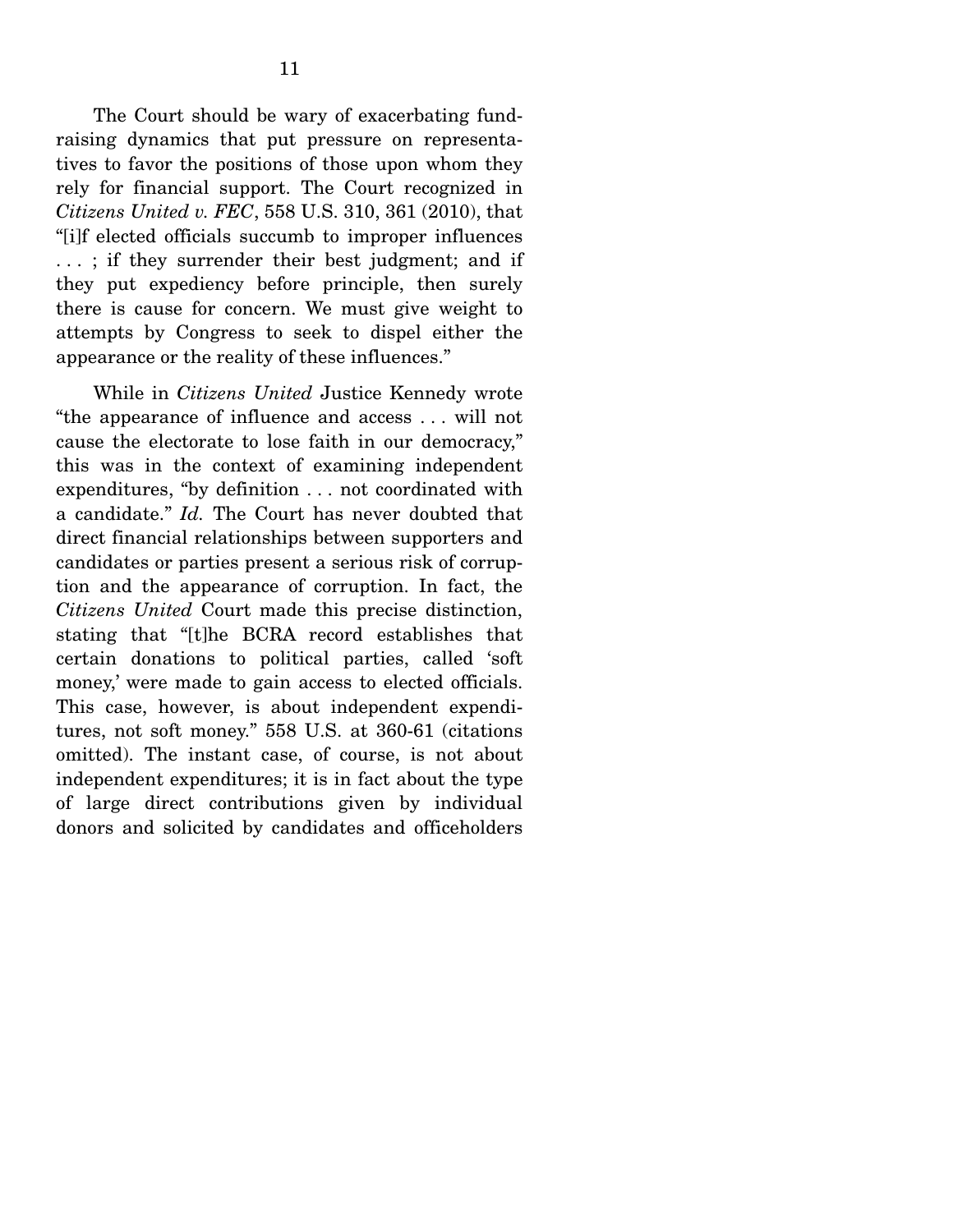The Court should be wary of exacerbating fundraising dynamics that put pressure on representatives to favor the positions of those upon whom they rely for financial support. The Court recognized in *Citizens United v. FEC*, 558 U.S. 310, 361 (2010), that "[i]f elected officials succumb to improper influences . . . ; if they surrender their best judgment; and if they put expediency before principle, then surely there is cause for concern. We must give weight to attempts by Congress to seek to dispel either the appearance or the reality of these influences."

 While in *Citizens United* Justice Kennedy wrote "the appearance of influence and access . . . will not cause the electorate to lose faith in our democracy," this was in the context of examining independent expenditures, "by definition . . . not coordinated with a candidate." *Id.* The Court has never doubted that direct financial relationships between supporters and candidates or parties present a serious risk of corruption and the appearance of corruption. In fact, the *Citizens United* Court made this precise distinction, stating that "[t]he BCRA record establishes that certain donations to political parties, called 'soft money,' were made to gain access to elected officials. This case, however, is about independent expenditures, not soft money." 558 U.S. at 360-61 (citations omitted). The instant case, of course, is not about independent expenditures; it is in fact about the type of large direct contributions given by individual donors and solicited by candidates and officeholders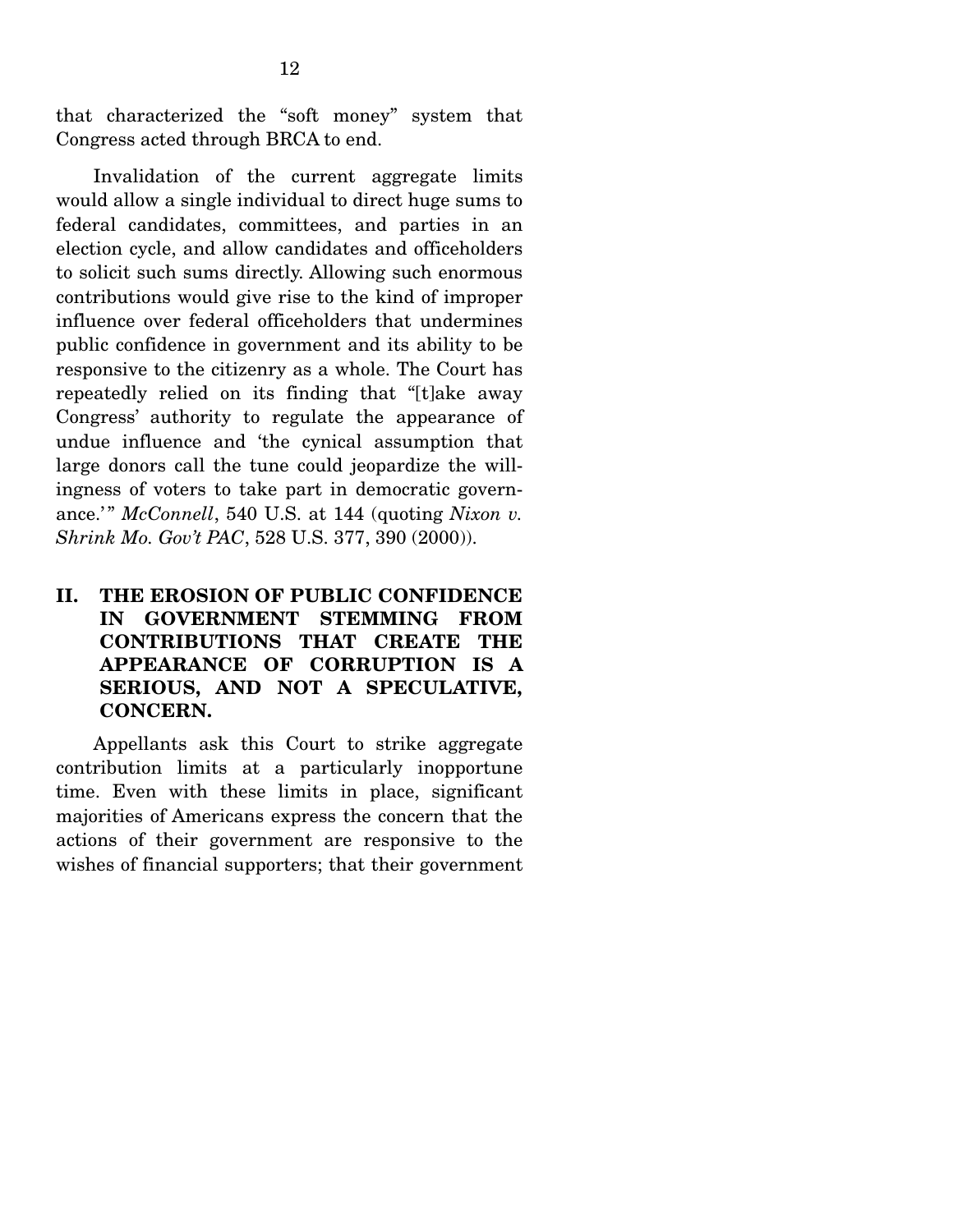that characterized the "soft money" system that Congress acted through BRCA to end.

 Invalidation of the current aggregate limits would allow a single individual to direct huge sums to federal candidates, committees, and parties in an election cycle, and allow candidates and officeholders to solicit such sums directly. Allowing such enormous contributions would give rise to the kind of improper influence over federal officeholders that undermines public confidence in government and its ability to be responsive to the citizenry as a whole. The Court has repeatedly relied on its finding that "[t]ake away Congress' authority to regulate the appearance of undue influence and 'the cynical assumption that large donors call the tune could jeopardize the willingness of voters to take part in democratic governance.'" *McConnell*, 540 U.S. at 144 (quoting *Nixon v.*) *Shrink Mo. Gov't PAC*, 528 U.S. 377, 390 (2000)).

### **II. THE EROSION OF PUBLIC CONFIDENCE IN GOVERNMENT STEMMING FROM CONTRIBUTIONS THAT CREATE THE APPEARANCE OF CORRUPTION IS A SERIOUS, AND NOT A SPECULATIVE, CONCERN.**

Appellants ask this Court to strike aggregate contribution limits at a particularly inopportune time. Even with these limits in place, significant majorities of Americans express the concern that the actions of their government are responsive to the wishes of financial supporters; that their government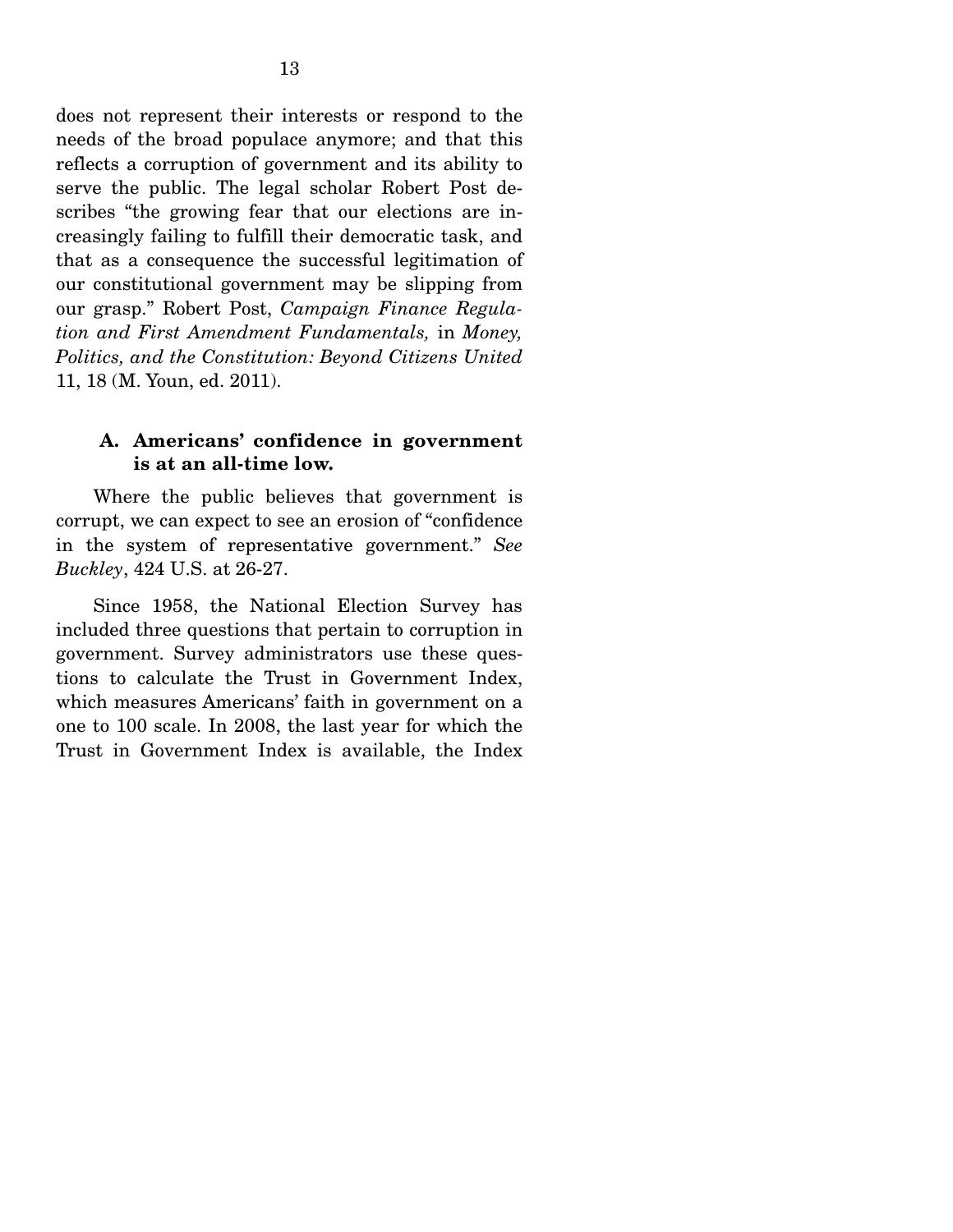does not represent their interests or respond to the needs of the broad populace anymore; and that this reflects a corruption of government and its ability to serve the public. The legal scholar Robert Post describes "the growing fear that our elections are increasingly failing to fulfill their democratic task, and that as a consequence the successful legitimation of our constitutional government may be slipping from our grasp." Robert Post, *Campaign Finance Regulation and First Amendment Fundamentals,* in *Money, Politics, and the Constitution: Beyond Citizens United* 11, 18 (M. Youn, ed. 2011).

#### **A. Americans' confidence in government is at an all-time low.**

Where the public believes that government is corrupt, we can expect to see an erosion of "confidence in the system of representative government." *See Buckley*, 424 U.S. at 26-27.

 Since 1958, the National Election Survey has included three questions that pertain to corruption in government. Survey administrators use these questions to calculate the Trust in Government Index, which measures Americans' faith in government on a one to 100 scale. In 2008, the last year for which the Trust in Government Index is available, the Index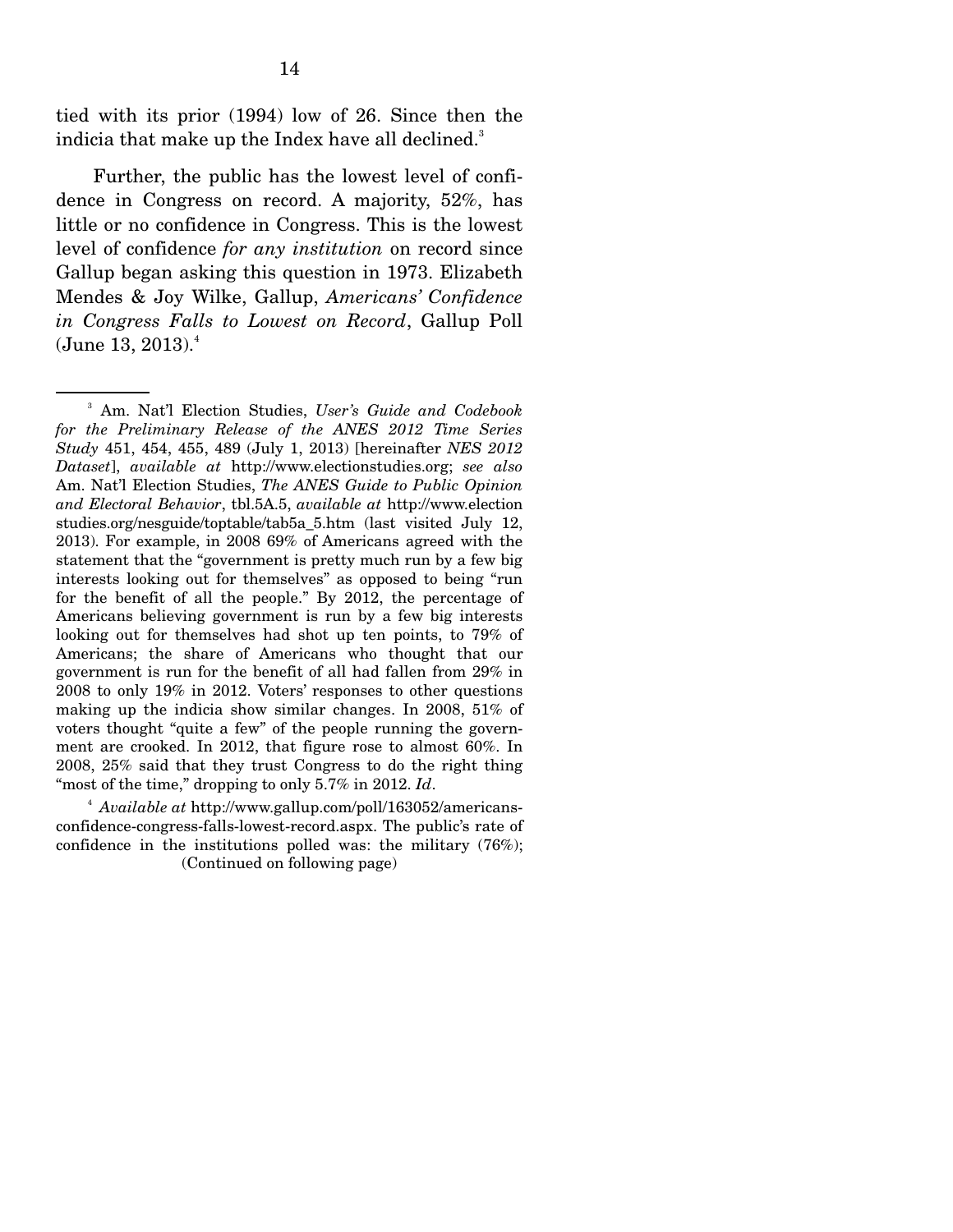tied with its prior (1994) low of 26. Since then the indicia that make up the Index have all declined.<sup>3</sup>

 Further, the public has the lowest level of confidence in Congress on record. A majority, 52%, has little or no confidence in Congress. This is the lowest level of confidence *for any institution* on record since Gallup began asking this question in 1973. Elizabeth Mendes & Joy Wilke, Gallup, *Americans' Confidence in Congress Falls to Lowest on Record*, Gallup Poll  $(J$ une 13, 2013). $4$ 

<sup>3</sup> Am. Nat'l Election Studies, *User's Guide and Codebook for the Preliminary Release of the ANES 2012 Time Series Study* 451, 454, 455, 489 (July 1, 2013) [hereinafter *NES 2012 Dataset*], *available at* http://www.electionstudies.org; *see also*  Am. Nat'l Election Studies, *The ANES Guide to Public Opinion and Electoral Behavior*, tbl.5A.5, *available at* http://www.election studies.org/nesguide/toptable/tab5a\_5.htm (last visited July 12, 2013). For example, in 2008 69% of Americans agreed with the statement that the "government is pretty much run by a few big interests looking out for themselves" as opposed to being "run for the benefit of all the people." By 2012, the percentage of Americans believing government is run by a few big interests looking out for themselves had shot up ten points, to 79% of Americans; the share of Americans who thought that our government is run for the benefit of all had fallen from 29% in 2008 to only 19% in 2012. Voters' responses to other questions making up the indicia show similar changes. In 2008, 51% of voters thought "quite a few" of the people running the government are crooked. In 2012, that figure rose to almost 60%. In 2008, 25% said that they trust Congress to do the right thing "most of the time," dropping to only 5.7% in 2012. *Id*.

<sup>4</sup>  *Available at* http://www.gallup.com/poll/163052/americansconfidence-congress-falls-lowest-record.aspx. The public's rate of confidence in the institutions polled was: the military (76%); (Continued on following page)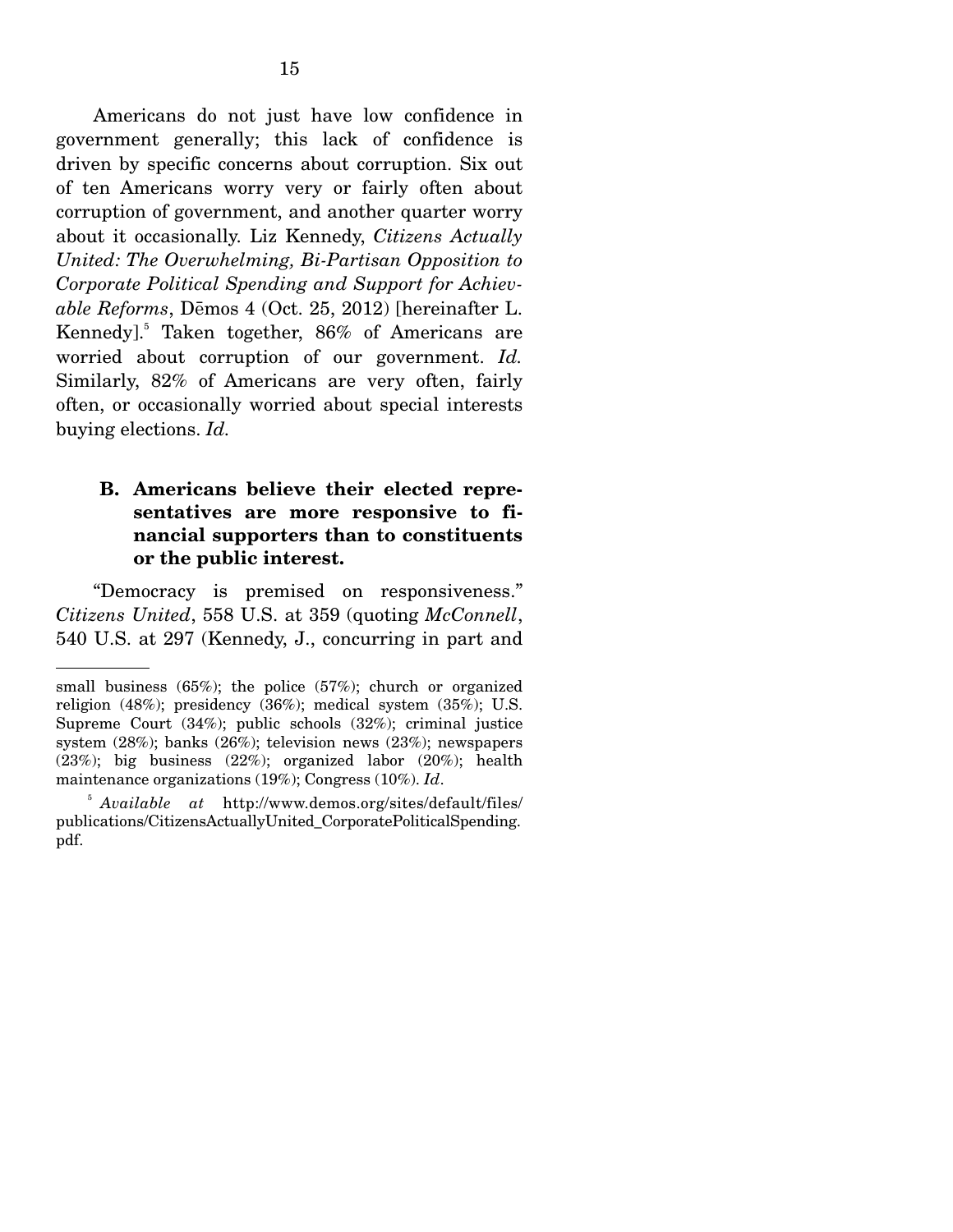Americans do not just have low confidence in government generally; this lack of confidence is driven by specific concerns about corruption. Six out of ten Americans worry very or fairly often about corruption of government, and another quarter worry about it occasionally. Liz Kennedy, *Citizens Actually United: The Overwhelming, Bi-Partisan Opposition to Corporate Political Spending and Support for Achievable Reforms*, Dřmos 4 (Oct. 25, 2012) [hereinafter L. Kennedy].5 Taken together, 86% of Americans are worried about corruption of our government. *Id.* Similarly, 82% of Americans are very often, fairly often, or occasionally worried about special interests buying elections. *Id.* 

#### **B. Americans believe their elected representatives are more responsive to financial supporters than to constituents or the public interest.**

"Democracy is premised on responsiveness." *Citizens United*, 558 U.S. at 359 (quoting *McConnell*, 540 U.S. at 297 (Kennedy, J., concurring in part and

small business (65%); the police (57%); church or organized religion (48%); presidency (36%); medical system (35%); U.S. Supreme Court (34%); public schools (32%); criminal justice system (28%); banks (26%); television news (23%); newspapers (23%); big business (22%); organized labor (20%); health maintenance organizations (19%); Congress (10%). *Id*.

<sup>5</sup> *Available at* http://www.demos.org/sites/default/files/ publications/CitizensActuallyUnited\_CorporatePoliticalSpending. pdf.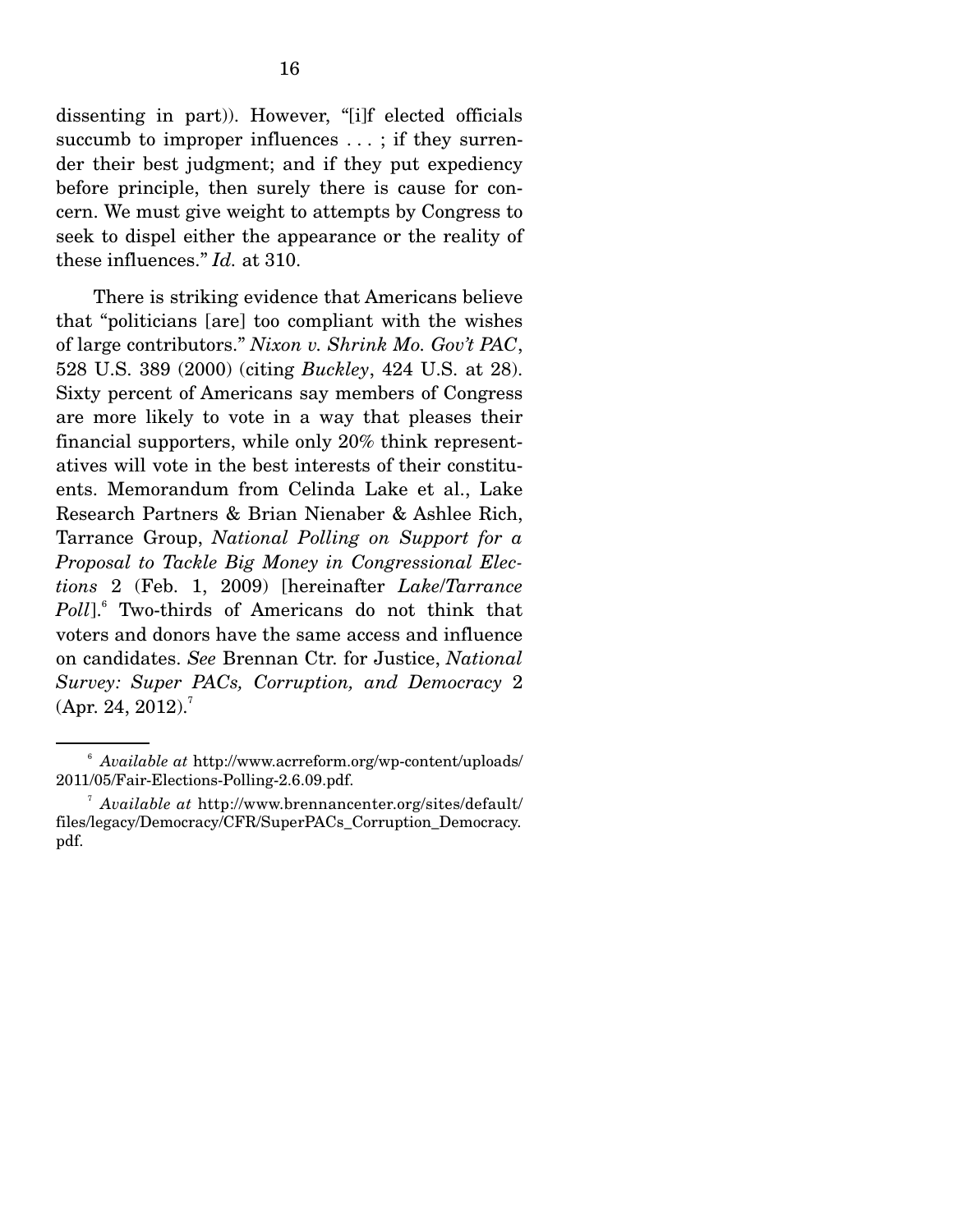dissenting in part)). However, "[i]f elected officials succumb to improper influences ...; if they surrender their best judgment; and if they put expediency before principle, then surely there is cause for concern. We must give weight to attempts by Congress to seek to dispel either the appearance or the reality of these influences." *Id.* at 310.

 There is striking evidence that Americans believe that "politicians [are] too compliant with the wishes of large contributors." *Nixon v. Shrink Mo. Gov't PAC*, 528 U.S. 389 (2000) (citing *Buckley*, 424 U.S. at 28). Sixty percent of Americans say members of Congress are more likely to vote in a way that pleases their financial supporters, while only 20% think representatives will vote in the best interests of their constituents. Memorandum from Celinda Lake et al., Lake Research Partners & Brian Nienaber & Ashlee Rich, Tarrance Group, *National Polling on Support for a Proposal to Tackle Big Money in Congressional Elections* 2 (Feb. 1, 2009) [hereinafter *Lake*/*Tarrance Poll*].6 Two-thirds of Americans do not think that voters and donors have the same access and influence on candidates. *See* Brennan Ctr. for Justice, *National Survey: Super PACs, Corruption, and Democracy* 2 (Apr. 24, 2012).<sup>7</sup>

<sup>6</sup> *Available at* http://www.acrreform.org/wp-content/uploads/ 2011/05/Fair-Elections-Polling-2.6.09.pdf. 7

*Available at* http://www.brennancenter.org/sites/default/ files/legacy/Democracy/CFR/SuperPACs\_Corruption\_Democracy. pdf.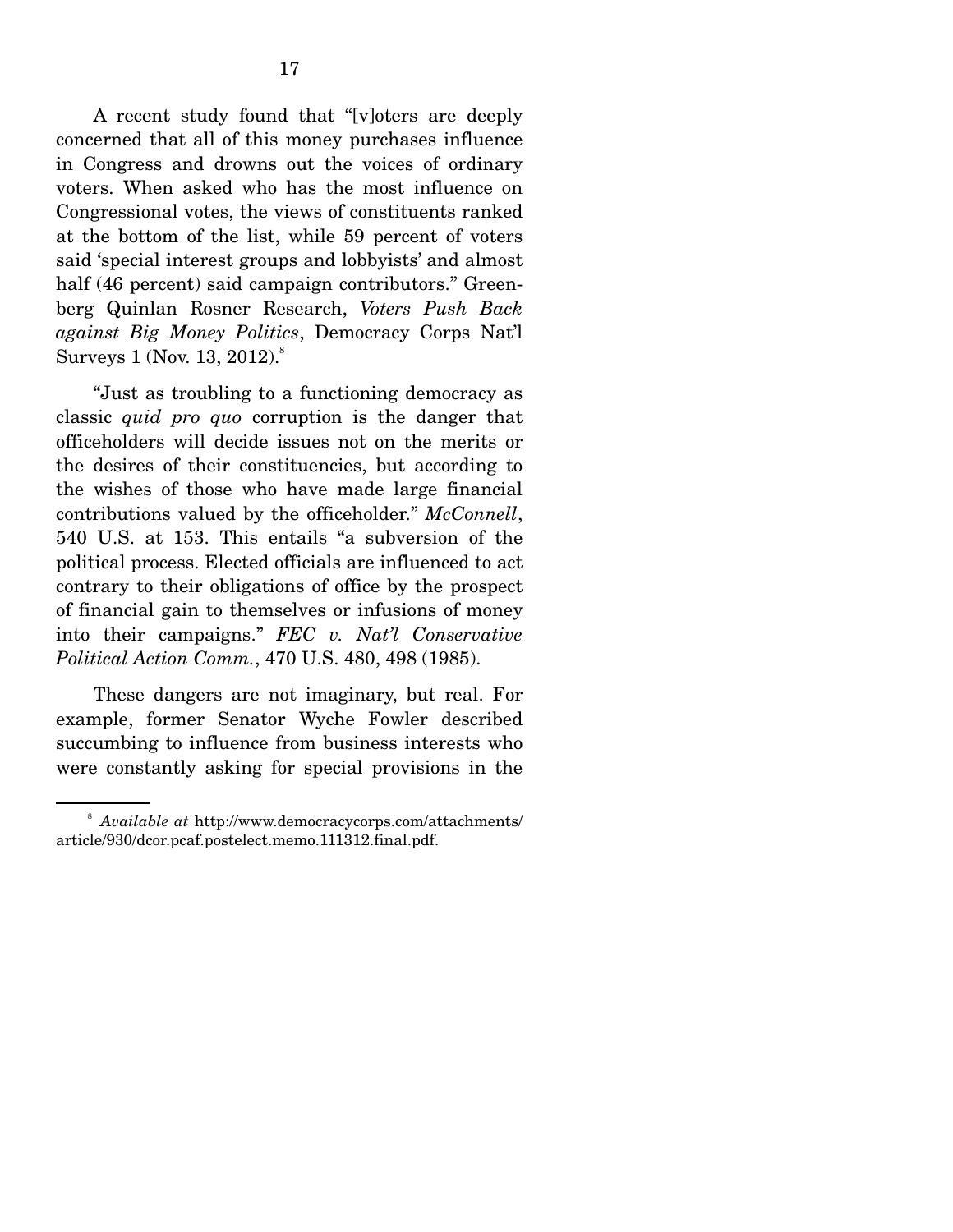A recent study found that "[v]oters are deeply concerned that all of this money purchases influence in Congress and drowns out the voices of ordinary voters. When asked who has the most influence on Congressional votes, the views of constituents ranked at the bottom of the list, while 59 percent of voters said 'special interest groups and lobbyists' and almost half (46 percent) said campaign contributors." Greenberg Quinlan Rosner Research, *Voters Push Back against Big Money Politics*, Democracy Corps Nat'l Surveys  $1$  (Nov. 13, 2012). $^8$ 

 "Just as troubling to a functioning democracy as classic *quid pro quo* corruption is the danger that officeholders will decide issues not on the merits or the desires of their constituencies, but according to the wishes of those who have made large financial contributions valued by the officeholder." *McConnell*, 540 U.S. at 153. This entails "a subversion of the political process. Elected officials are influenced to act contrary to their obligations of office by the prospect of financial gain to themselves or infusions of money into their campaigns." *FEC v. Nat'l Conservative Political Action Comm.*, 470 U.S. 480, 498 (1985).

 These dangers are not imaginary, but real. For example, former Senator Wyche Fowler described succumbing to influence from business interests who were constantly asking for special provisions in the

<sup>8</sup> *Available at* http://www.democracycorps.com/attachments/ article/930/dcor.pcaf.postelect.memo.111312.final.pdf.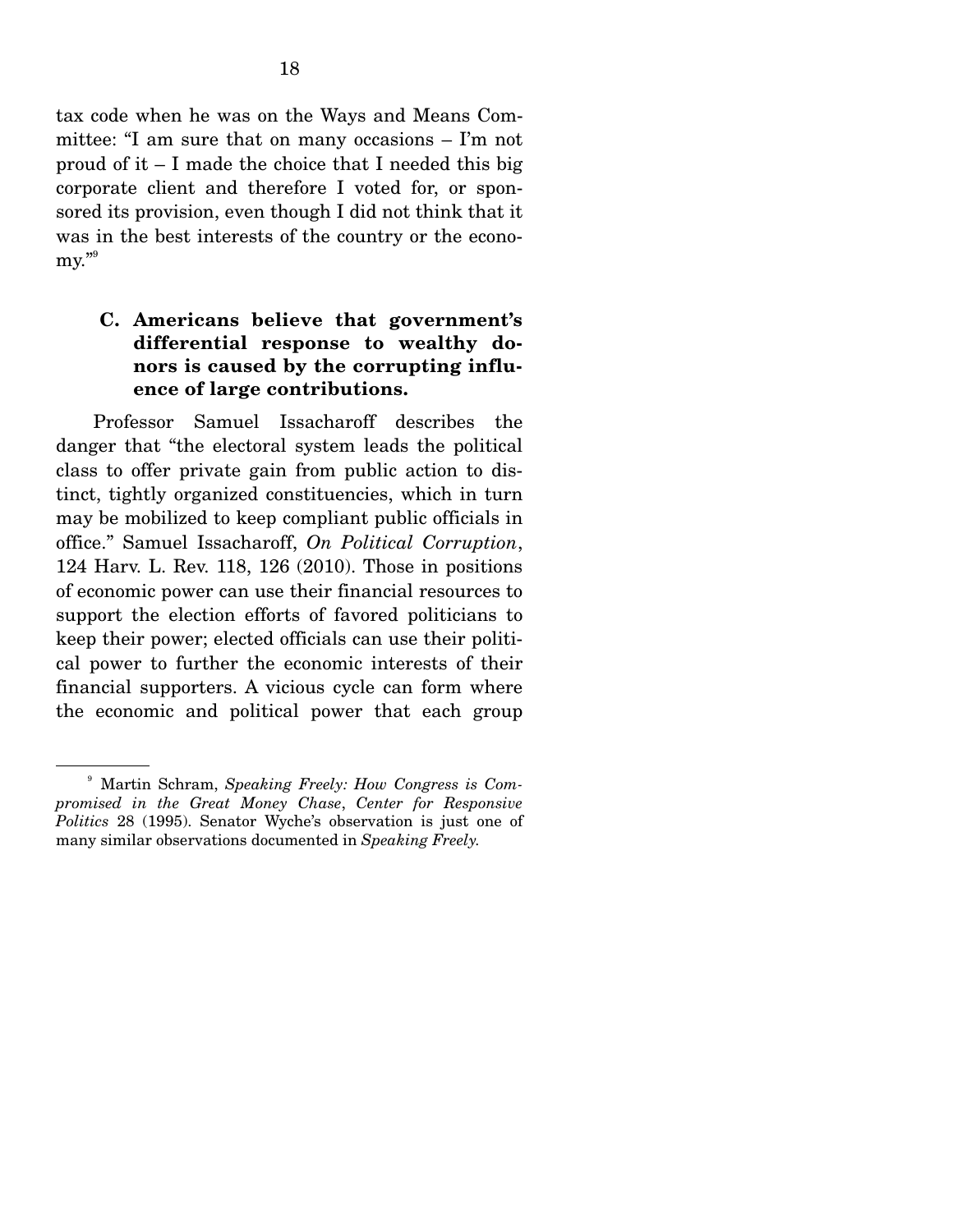tax code when he was on the Ways and Means Committee: "I am sure that on many occasions – I'm not proud of it  $- I$  made the choice that I needed this big corporate client and therefore I voted for, or sponsored its provision, even though I did not think that it was in the best interests of the country or the economy."<sup>9</sup>

### **C. Americans believe that government's differential response to wealthy donors is caused by the corrupting influence of large contributions.**

Professor Samuel Issacharoff describes the danger that "the electoral system leads the political class to offer private gain from public action to distinct, tightly organized constituencies, which in turn may be mobilized to keep compliant public officials in office." Samuel Issacharoff, *On Political Corruption*, 124 Harv. L. Rev. 118, 126 (2010). Those in positions of economic power can use their financial resources to support the election efforts of favored politicians to keep their power; elected officials can use their political power to further the economic interests of their financial supporters. A vicious cycle can form where the economic and political power that each group

<sup>9</sup> Martin Schram, *Speaking Freely: How Congress is Compromised in the Great Money Chase*, *Center for Responsive Politics* 28 (1995). Senator Wyche's observation is just one of many similar observations documented in *Speaking Freely.*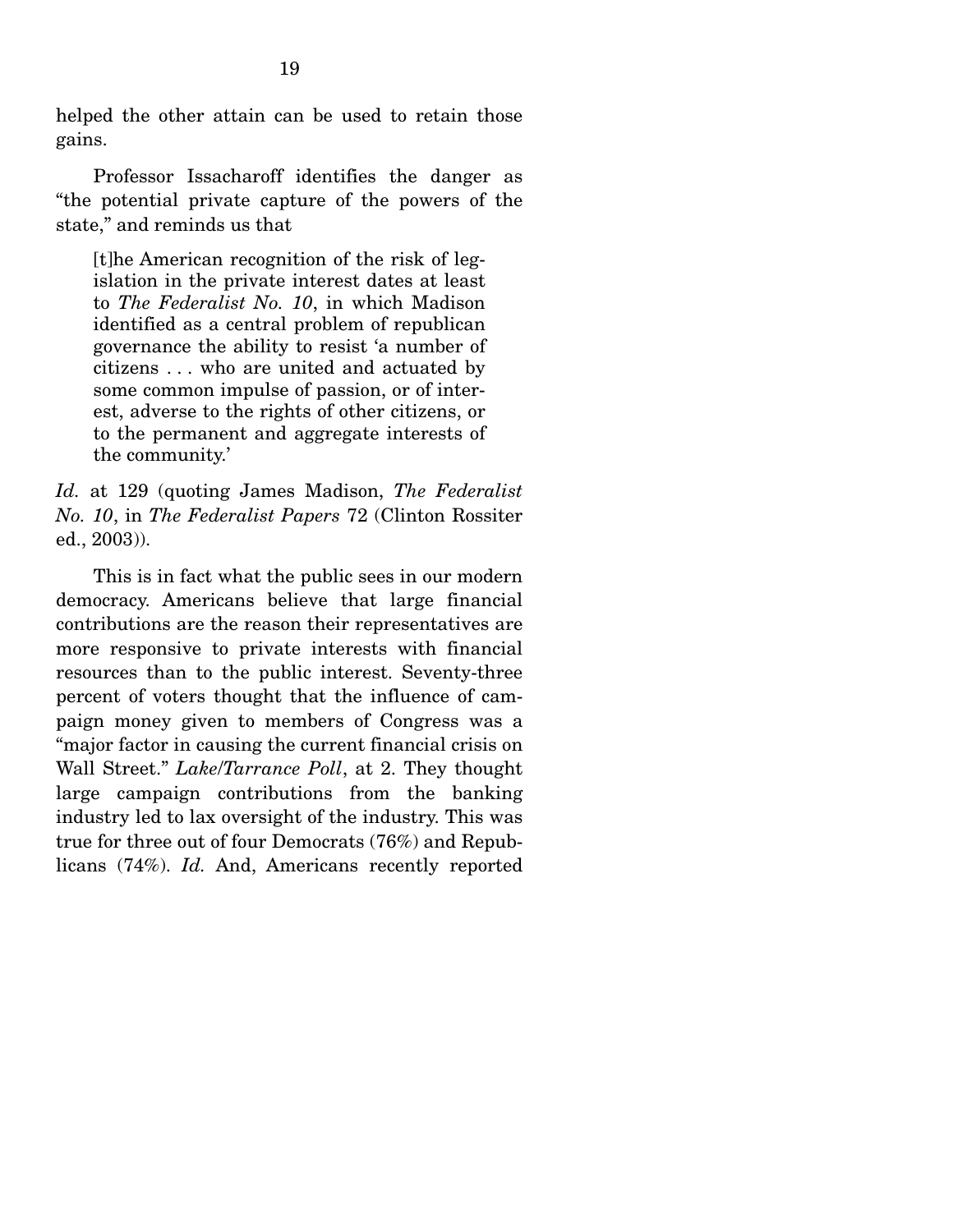helped the other attain can be used to retain those gains.

 Professor Issacharoff identifies the danger as "the potential private capture of the powers of the state," and reminds us that

[t]he American recognition of the risk of legislation in the private interest dates at least to *The Federalist No. 10*, in which Madison identified as a central problem of republican governance the ability to resist 'a number of citizens . . . who are united and actuated by some common impulse of passion, or of interest, adverse to the rights of other citizens, or to the permanent and aggregate interests of the community.'

*Id.* at 129 (quoting James Madison, *The Federalist No. 10*, in *The Federalist Papers* 72 (Clinton Rossiter ed., 2003)).

 This is in fact what the public sees in our modern democracy. Americans believe that large financial contributions are the reason their representatives are more responsive to private interests with financial resources than to the public interest. Seventy-three percent of voters thought that the influence of campaign money given to members of Congress was a "major factor in causing the current financial crisis on Wall Street." *Lake*/*Tarrance Poll*, at 2. They thought large campaign contributions from the banking industry led to lax oversight of the industry. This was true for three out of four Democrats (76%) and Republicans (74%). *Id.* And, Americans recently reported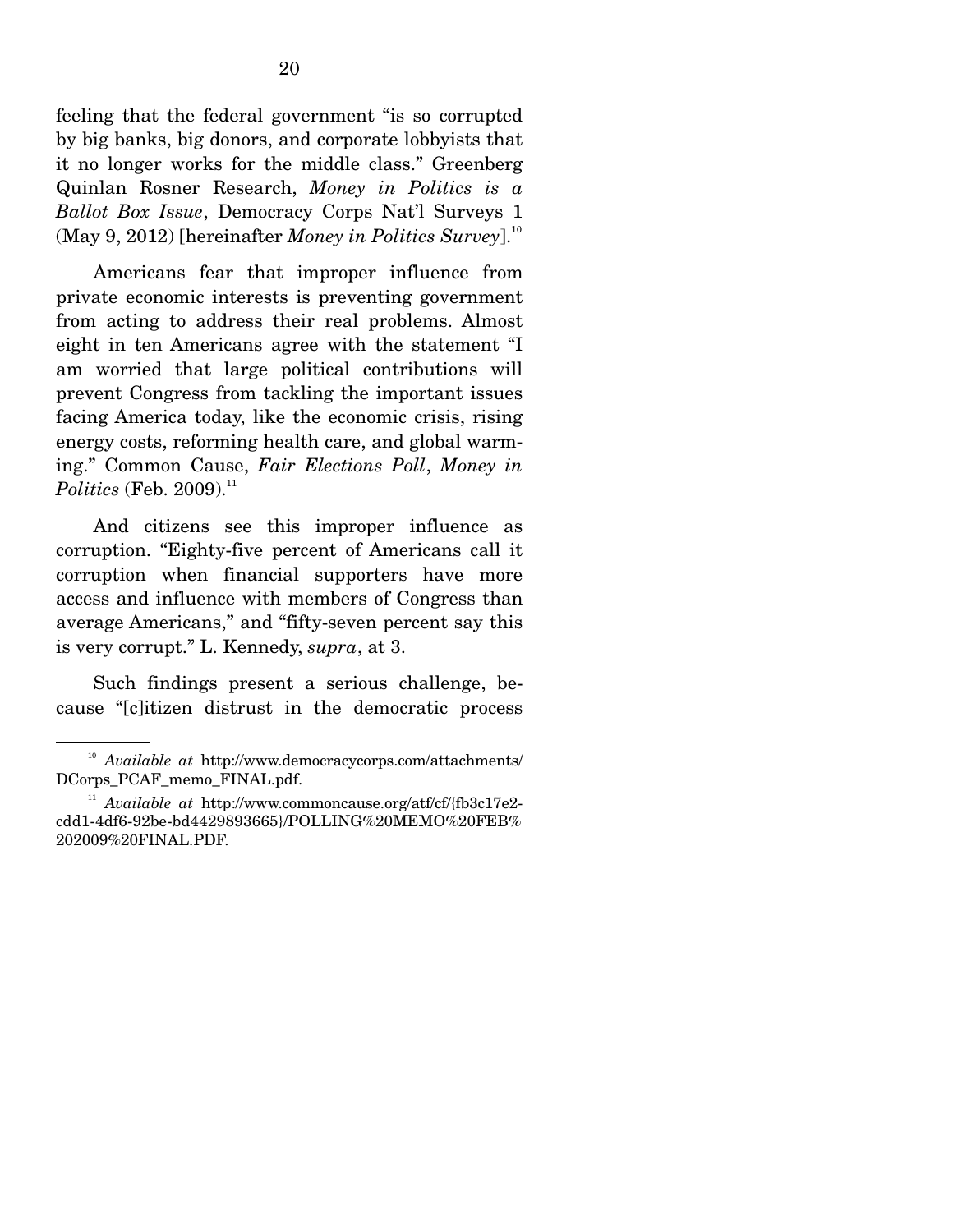feeling that the federal government "is so corrupted by big banks, big donors, and corporate lobbyists that it no longer works for the middle class." Greenberg Quinlan Rosner Research, *Money in Politics is a Ballot Box Issue*, Democracy Corps Nat'l Surveys 1  $(May 9, 2012)$  [hereinafter *Money in Politics Survey*].<sup>10</sup>

 Americans fear that improper influence from private economic interests is preventing government from acting to address their real problems. Almost eight in ten Americans agree with the statement "I am worried that large political contributions will prevent Congress from tackling the important issues facing America today, like the economic crisis, rising energy costs, reforming health care, and global warming." Common Cause, *Fair Elections Poll*, *Money in*   $Politics$  (Feb. 2009).<sup>11</sup>

 And citizens see this improper influence as corruption. "Eighty-five percent of Americans call it corruption when financial supporters have more access and influence with members of Congress than average Americans," and "fifty-seven percent say this is very corrupt." L. Kennedy, *supra*, at 3.

 Such findings present a serious challenge, because "[c]itizen distrust in the democratic process

<sup>10</sup> *Available at* http://www.democracycorps.com/attachments/ DCorps\_PCAF\_memo\_FINAL.pdf.

<sup>&</sup>lt;sup>11</sup> *Available at http://www.commoncause.org/atf/cf/{fb3c17e2*cdd1-4df6-92be-bd4429893665}/POLLING%20MEMO%20FEB% 202009%20FINAL.PDF.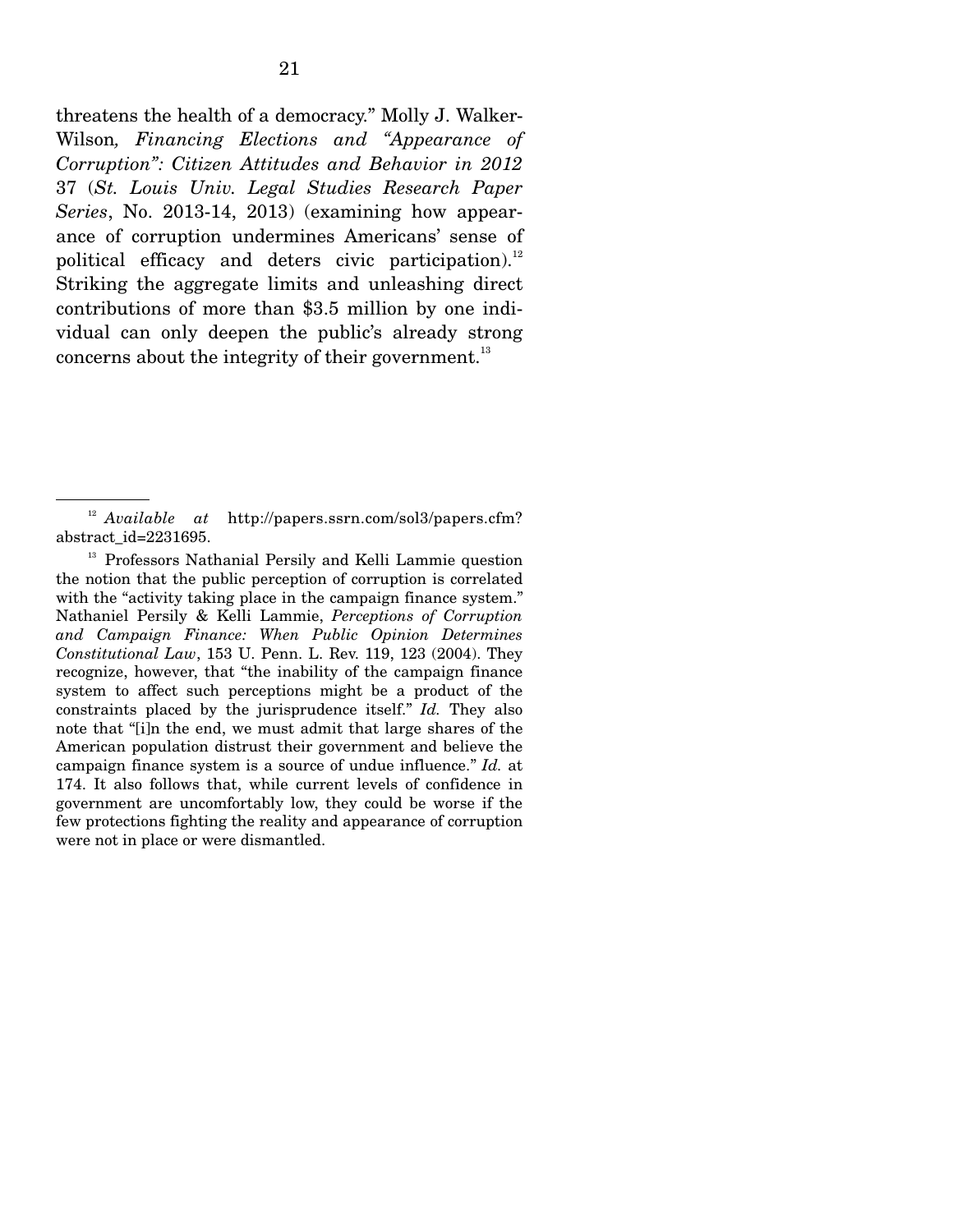threatens the health of a democracy." Molly J. Walker-Wilson*, Financing Elections and "Appearance of Corruption": Citizen Attitudes and Behavior in 2012* 37 (*St. Louis Univ. Legal Studies Research Paper Series*, No. 2013-14, 2013) (examining how appearance of corruption undermines Americans' sense of political efficacy and deters civic participation). $^{12}$ Striking the aggregate limits and unleashing direct contributions of more than \$3.5 million by one individual can only deepen the public's already strong concerns about the integrity of their government. $^{13}$ 

<sup>12</sup> *Available at* http://papers.ssrn.com/sol3/papers.cfm? abstract\_id=2231695.

<sup>&</sup>lt;sup>13</sup> Professors Nathanial Persily and Kelli Lammie question the notion that the public perception of corruption is correlated with the "activity taking place in the campaign finance system." Nathaniel Persily & Kelli Lammie, *Perceptions of Corruption and Campaign Finance: When Public Opinion Determines Constitutional Law*, 153 U. Penn. L. Rev. 119, 123 (2004). They recognize, however, that "the inability of the campaign finance system to affect such perceptions might be a product of the constraints placed by the jurisprudence itself." *Id.* They also note that "[i]n the end, we must admit that large shares of the American population distrust their government and believe the campaign finance system is a source of undue influence." *Id.* at 174. It also follows that, while current levels of confidence in government are uncomfortably low, they could be worse if the few protections fighting the reality and appearance of corruption were not in place or were dismantled.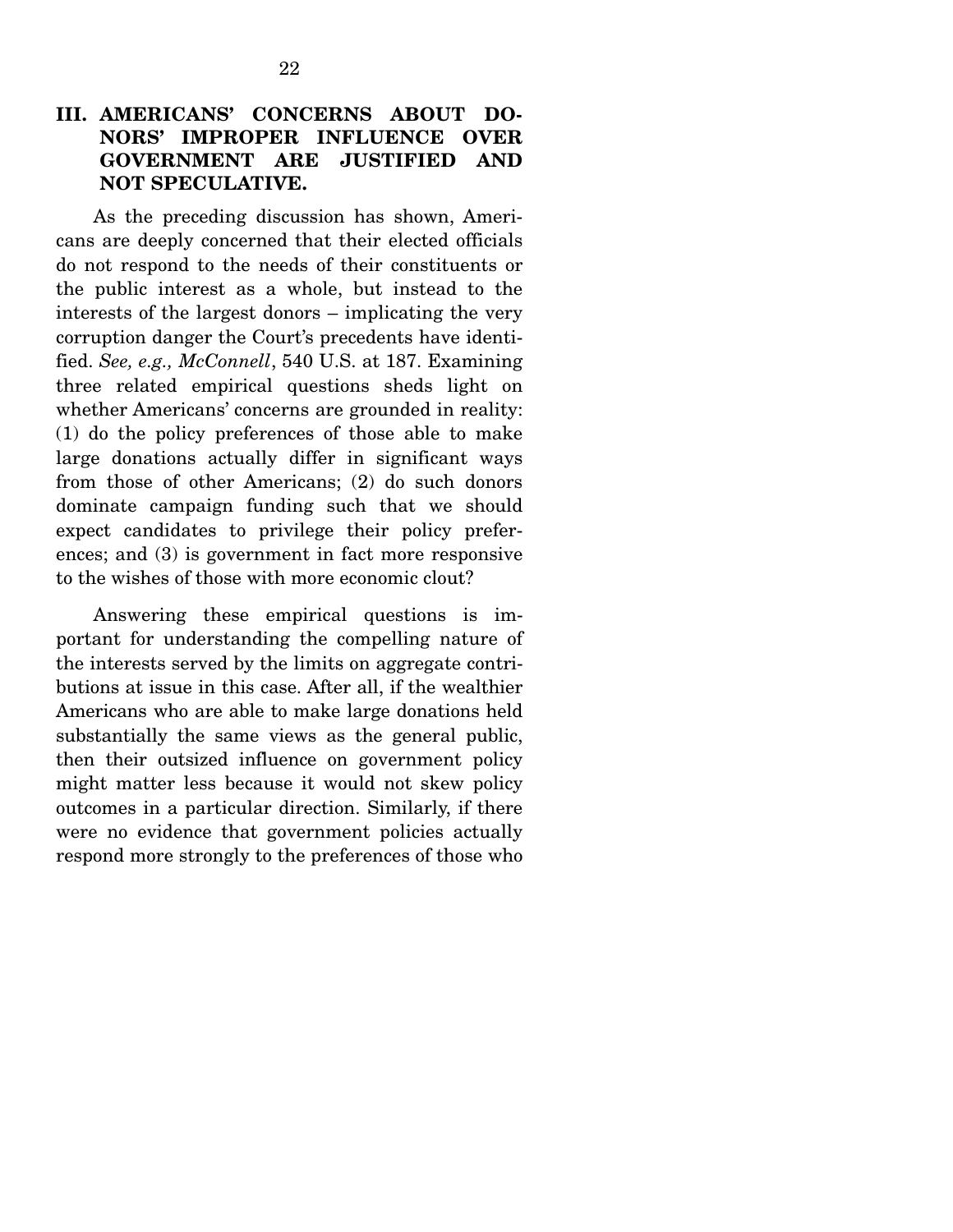As the preceding discussion has shown, Americans are deeply concerned that their elected officials do not respond to the needs of their constituents or the public interest as a whole, but instead to the interests of the largest donors – implicating the very corruption danger the Court's precedents have identified. *See, e.g., McConnell*, 540 U.S. at 187. Examining three related empirical questions sheds light on whether Americans' concerns are grounded in reality: (1) do the policy preferences of those able to make large donations actually differ in significant ways from those of other Americans; (2) do such donors dominate campaign funding such that we should expect candidates to privilege their policy preferences; and (3) is government in fact more responsive to the wishes of those with more economic clout?

 Answering these empirical questions is important for understanding the compelling nature of the interests served by the limits on aggregate contributions at issue in this case. After all, if the wealthier Americans who are able to make large donations held substantially the same views as the general public, then their outsized influence on government policy might matter less because it would not skew policy outcomes in a particular direction. Similarly, if there were no evidence that government policies actually respond more strongly to the preferences of those who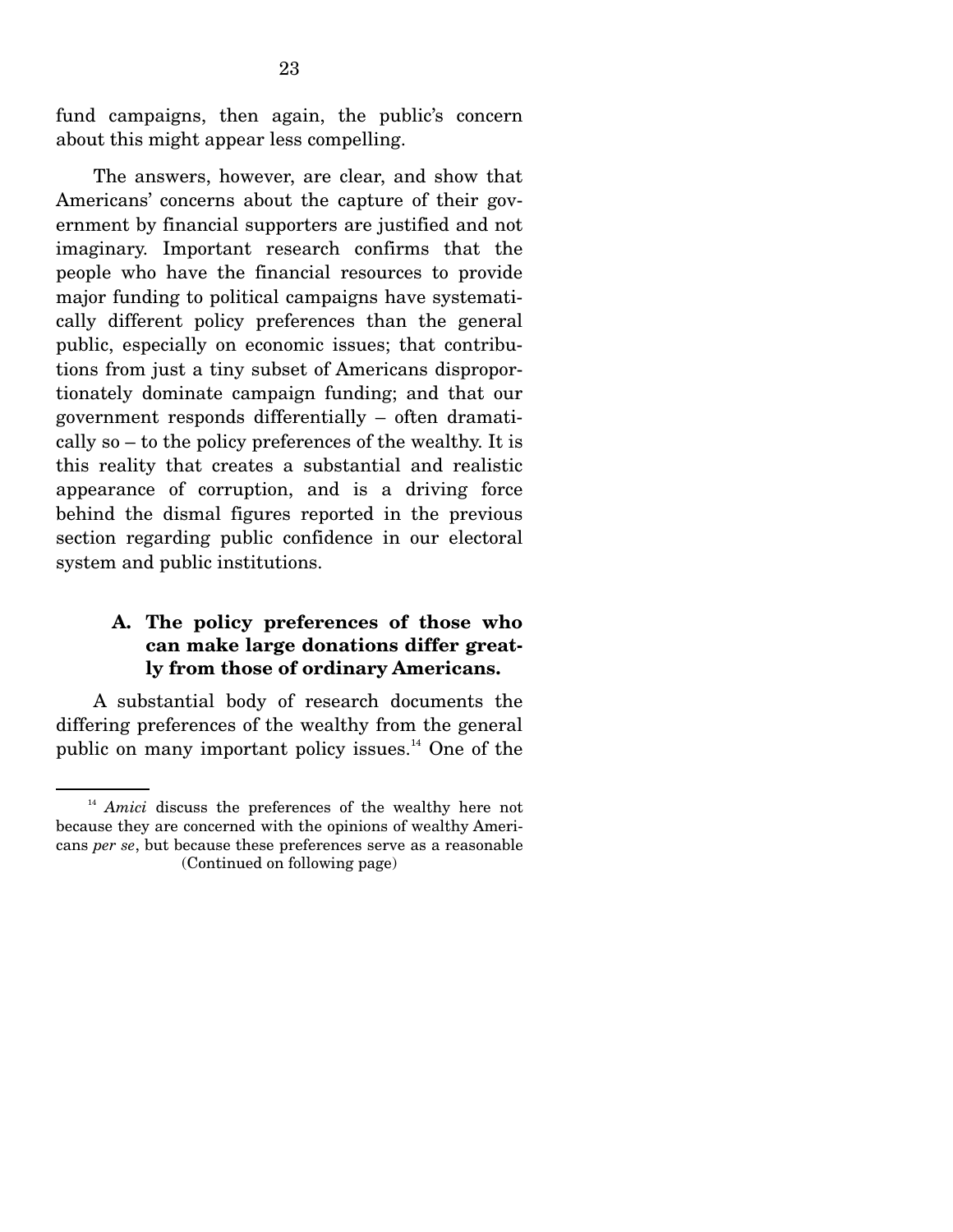fund campaigns, then again, the public's concern about this might appear less compelling.

 The answers, however, are clear, and show that Americans' concerns about the capture of their government by financial supporters are justified and not imaginary. Important research confirms that the people who have the financial resources to provide major funding to political campaigns have systematically different policy preferences than the general public, especially on economic issues; that contributions from just a tiny subset of Americans disproportionately dominate campaign funding; and that our government responds differentially – often dramatically so – to the policy preferences of the wealthy. It is this reality that creates a substantial and realistic appearance of corruption, and is a driving force behind the dismal figures reported in the previous section regarding public confidence in our electoral system and public institutions.

#### **A. The policy preferences of those who can make large donations differ greatly from those of ordinary Americans.**

A substantial body of research documents the differing preferences of the wealthy from the general public on many important policy issues. $^{14}$  One of the

<sup>&</sup>lt;sup>14</sup> *Amici* discuss the preferences of the wealthy here not because they are concerned with the opinions of wealthy Americans *per se*, but because these preferences serve as a reasonable (Continued on following page)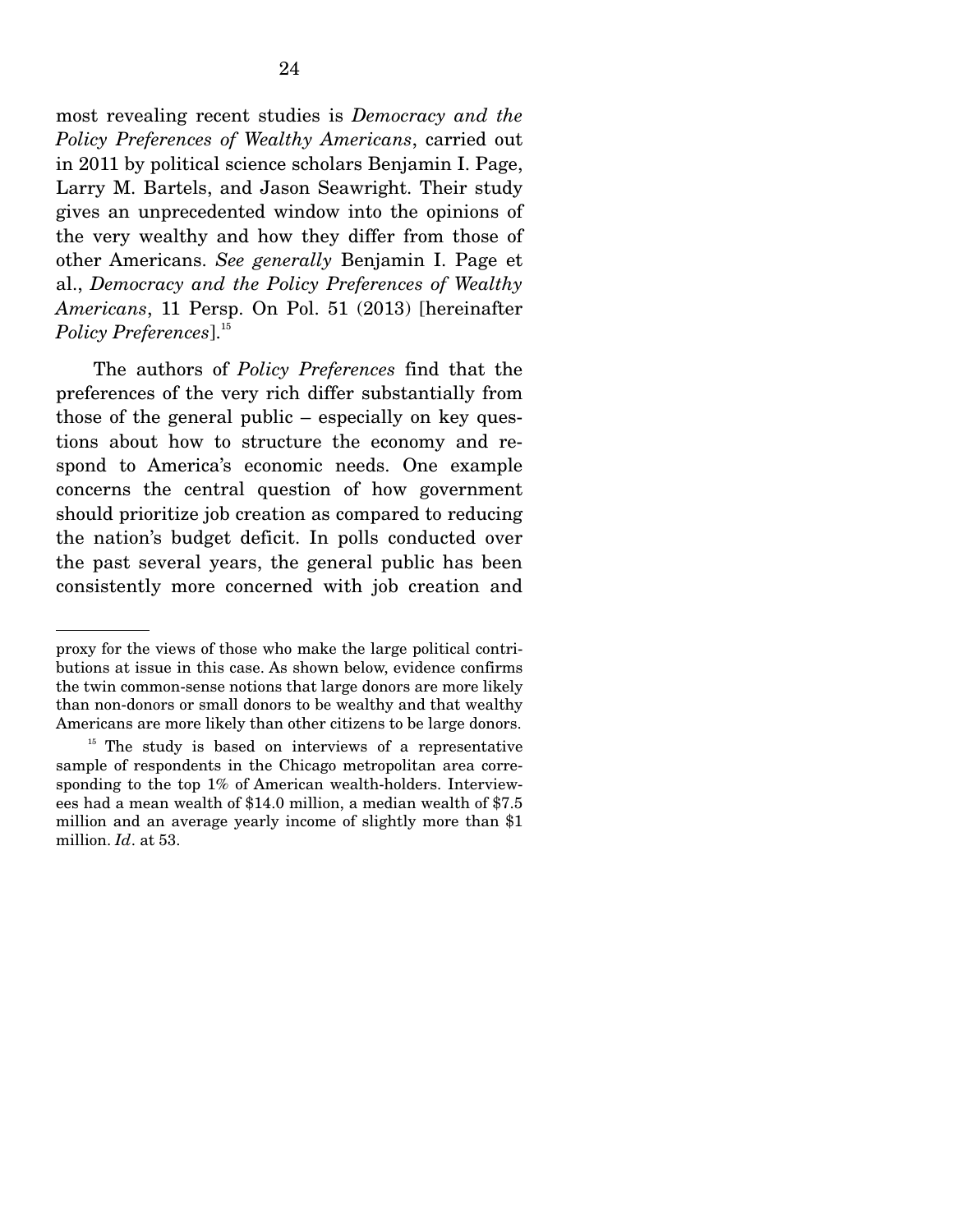most revealing recent studies is *Democracy and the Policy Preferences of Wealthy Americans*, carried out in 2011 by political science scholars Benjamin I. Page, Larry M. Bartels, and Jason Seawright. Their study gives an unprecedented window into the opinions of the very wealthy and how they differ from those of other Americans. *See generally* Benjamin I. Page et al., *Democracy and the Policy Preferences of Wealthy Americans*, 11 Persp. On Pol. 51 (2013) [hereinafter *Policy Preferences*].<sup>15</sup>

 The authors of *Policy Preferences* find that the preferences of the very rich differ substantially from those of the general public – especially on key questions about how to structure the economy and respond to America's economic needs. One example concerns the central question of how government should prioritize job creation as compared to reducing the nation's budget deficit. In polls conducted over the past several years, the general public has been consistently more concerned with job creation and

proxy for the views of those who make the large political contributions at issue in this case. As shown below, evidence confirms the twin common-sense notions that large donors are more likely than non-donors or small donors to be wealthy and that wealthy Americans are more likely than other citizens to be large donors.

 $15$  The study is based on interviews of a representative sample of respondents in the Chicago metropolitan area corresponding to the top 1% of American wealth-holders. Interviewees had a mean wealth of \$14.0 million, a median wealth of \$7.5 million and an average yearly income of slightly more than \$1 million. *Id*. at 53.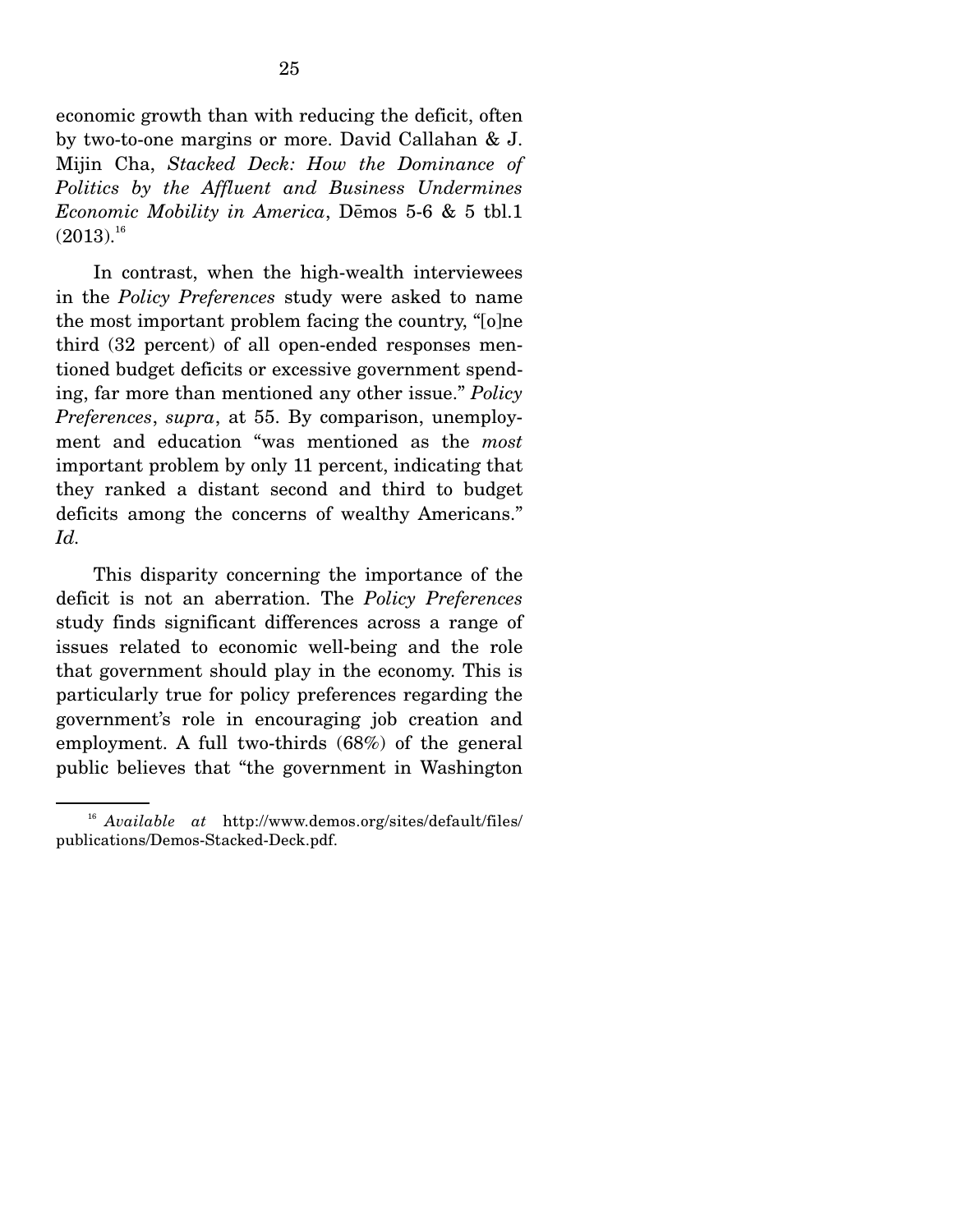economic growth than with reducing the deficit, often by two-to-one margins or more. David Callahan & J. Mijin Cha, *Stacked Deck: How the Dominance of Politics by the Affluent and Business Undermines Economic Mobility in America*, Demos 5-6 & 5 tbl.1  $\left( 2013\right) .^{16}$ 

 In contrast, when the high-wealth interviewees in the *Policy Preferences* study were asked to name the most important problem facing the country, "[o]ne third (32 percent) of all open-ended responses mentioned budget deficits or excessive government spending, far more than mentioned any other issue." *Policy Preferences*, *supra*, at 55. By comparison, unemployment and education "was mentioned as the *most*  important problem by only 11 percent, indicating that they ranked a distant second and third to budget deficits among the concerns of wealthy Americans." *Id.*

 This disparity concerning the importance of the deficit is not an aberration. The *Policy Preferences*  study finds significant differences across a range of issues related to economic well-being and the role that government should play in the economy. This is particularly true for policy preferences regarding the government's role in encouraging job creation and employment. A full two-thirds (68%) of the general public believes that "the government in Washington

<sup>16</sup> *Available at* http://www.demos.org/sites/default/files/ publications/Demos-Stacked-Deck.pdf.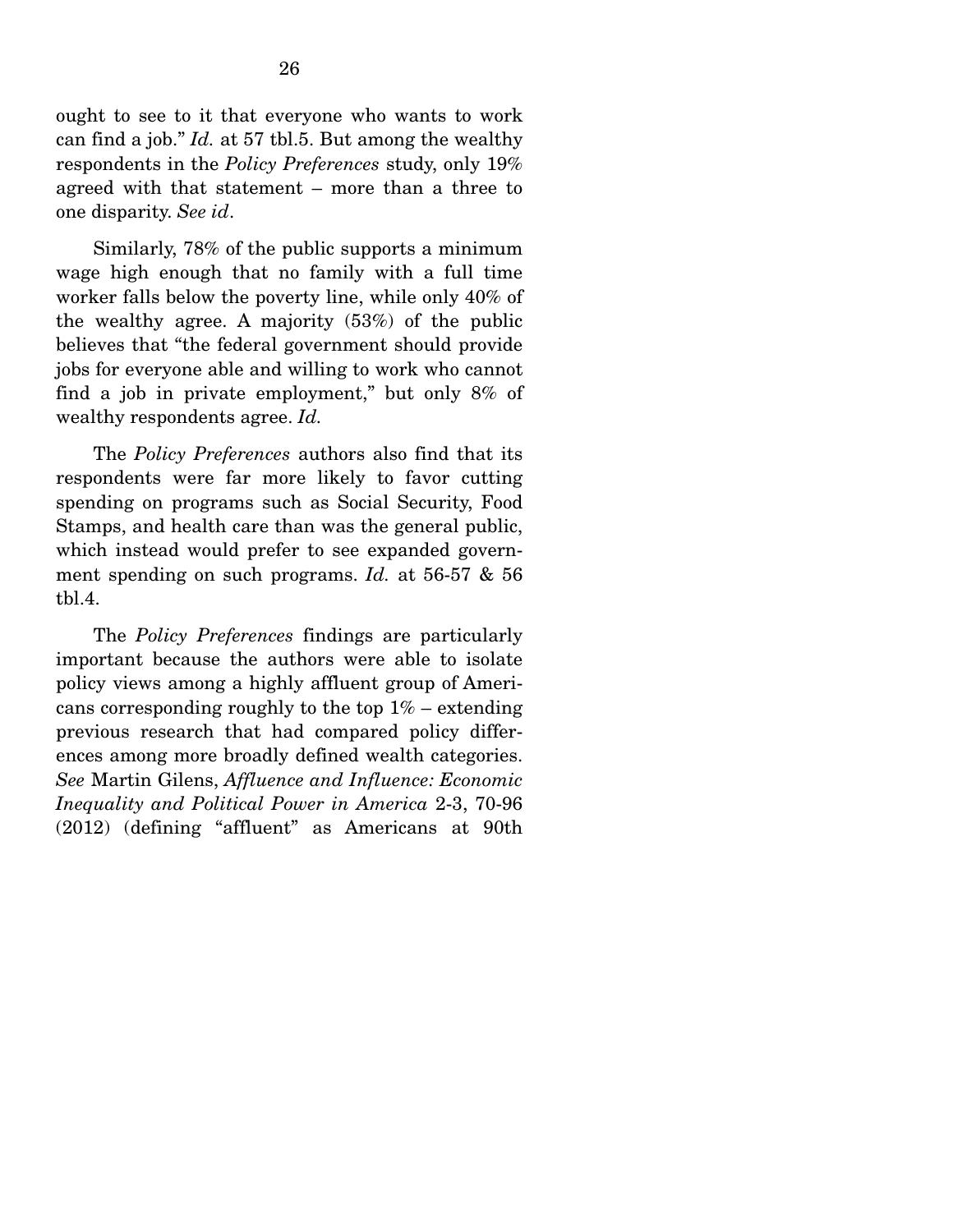ought to see to it that everyone who wants to work can find a job." *Id.* at 57 tbl.5. But among the wealthy respondents in the *Policy Preferences* study, only 19% agreed with that statement – more than a three to one disparity. *See id*.

 Similarly, 78% of the public supports a minimum wage high enough that no family with a full time worker falls below the poverty line, while only 40% of the wealthy agree. A majority (53%) of the public believes that "the federal government should provide jobs for everyone able and willing to work who cannot find a job in private employment," but only 8% of wealthy respondents agree. *Id.*

 The *Policy Preferences* authors also find that its respondents were far more likely to favor cutting spending on programs such as Social Security, Food Stamps, and health care than was the general public, which instead would prefer to see expanded government spending on such programs. *Id.* at 56-57 & 56 tbl.4.

 The *Policy Preferences* findings are particularly important because the authors were able to isolate policy views among a highly affluent group of Americans corresponding roughly to the top  $1\%$  – extending previous research that had compared policy differences among more broadly defined wealth categories. *See* Martin Gilens, *Affluence and Influence: Economic Inequality and Political Power in America* 2-3, 70-96 (2012) (defining "affluent" as Americans at 90th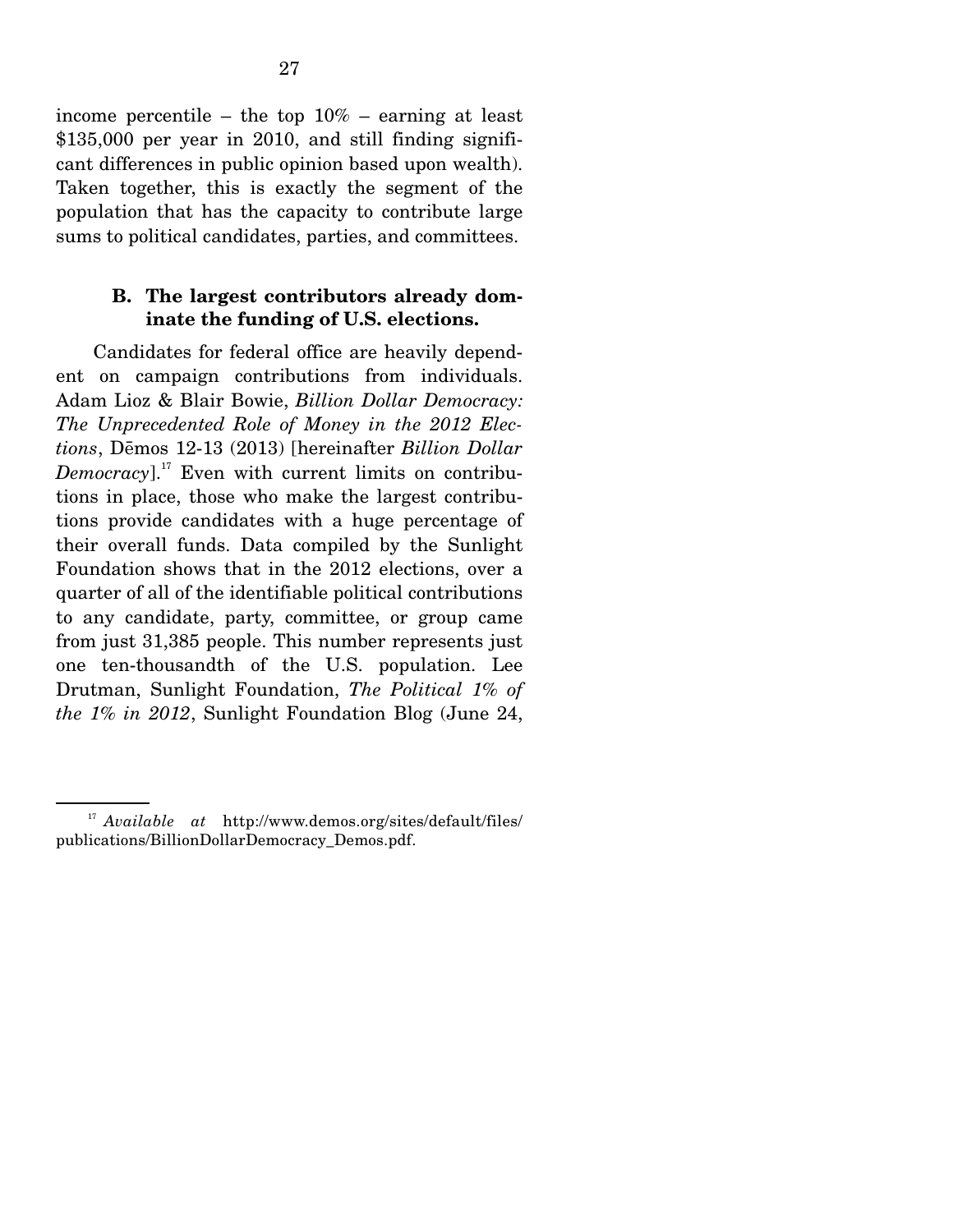income percentile – the top  $10\%$  – earning at least \$135,000 per year in 2010, and still finding significant differences in public opinion based upon wealth). Taken together, this is exactly the segment of the population that has the capacity to contribute large sums to political candidates, parties, and committees.

#### **B. The largest contributors already dominate the funding of U.S. elections.**

Candidates for federal office are heavily dependent on campaign contributions from individuals. Adam Lioz & Blair Bowie, *Billion Dollar Democracy: The Unprecedented Role of Money in the 2012 Elections*, Dřmos 12-13 (2013) [hereinafter *Billion Dollar Democracy*].<sup>17</sup> Even with current limits on contributions in place, those who make the largest contributions provide candidates with a huge percentage of their overall funds. Data compiled by the Sunlight Foundation shows that in the 2012 elections, over a quarter of all of the identifiable political contributions to any candidate, party, committee, or group came from just 31,385 people. This number represents just one ten-thousandth of the U.S. population. Lee Drutman, Sunlight Foundation, *The Political 1% of the 1% in 2012*, Sunlight Foundation Blog (June 24,

<sup>17</sup> *Available at* http://www.demos.org/sites/default/files/ publications/BillionDollarDemocracy\_Demos.pdf.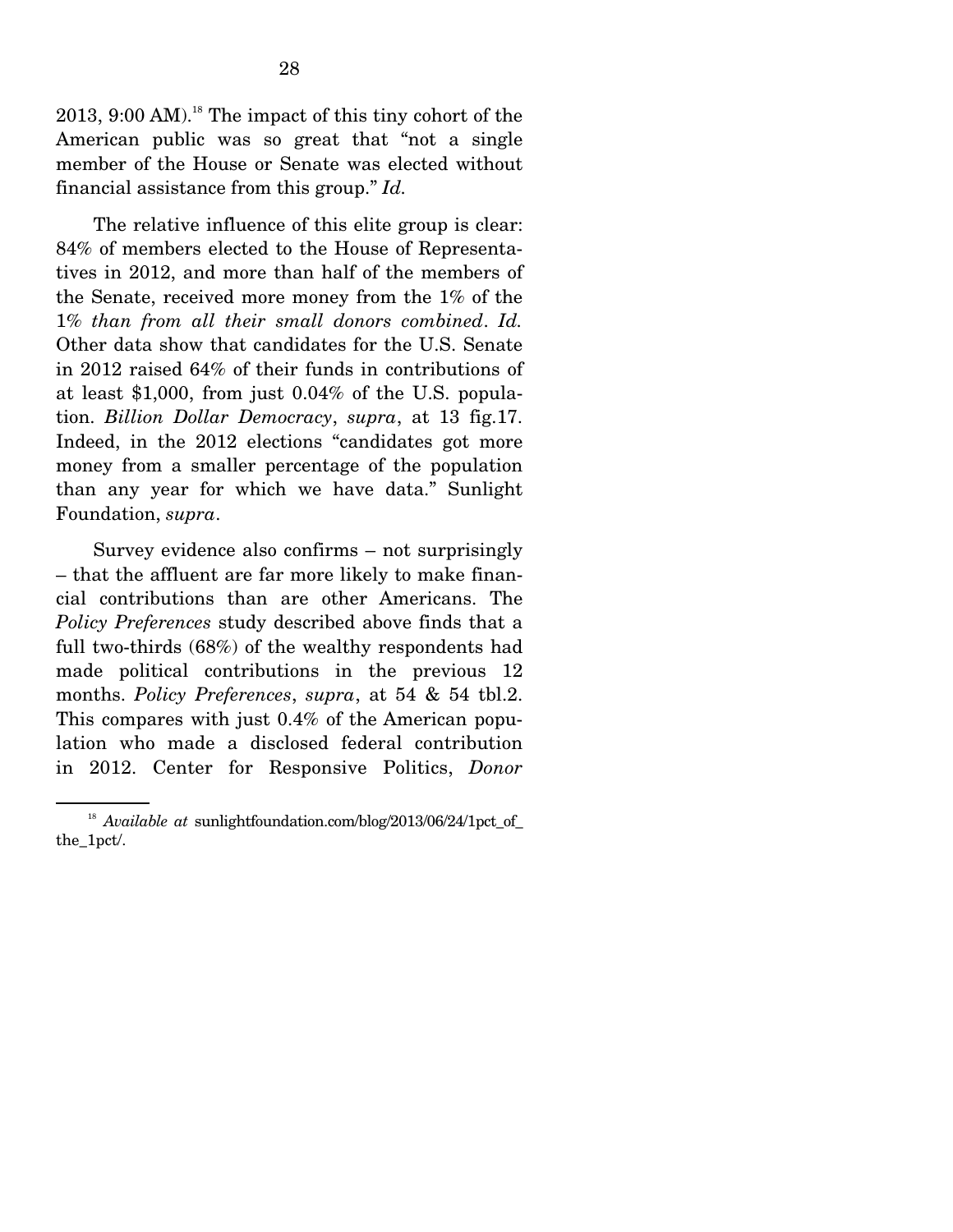$2013$ ,  $9:00$  AM).<sup>18</sup> The impact of this tiny cohort of the American public was so great that "not a single member of the House or Senate was elected without financial assistance from this group." *Id.*

 The relative influence of this elite group is clear: 84% of members elected to the House of Representatives in 2012, and more than half of the members of the Senate, received more money from the 1% of the 1% *than from all their small donors combined*. *Id.*  Other data show that candidates for the U.S. Senate in 2012 raised 64% of their funds in contributions of at least \$1,000, from just 0.04% of the U.S. population. *Billion Dollar Democracy*, *supra*, at 13 fig.17. Indeed, in the 2012 elections "candidates got more money from a smaller percentage of the population than any year for which we have data." Sunlight Foundation, *supra*.

 Survey evidence also confirms – not surprisingly – that the affluent are far more likely to make financial contributions than are other Americans. The *Policy Preferences* study described above finds that a full two-thirds (68%) of the wealthy respondents had made political contributions in the previous 12 months. *Policy Preferences*, *supra*, at 54 & 54 tbl.2. This compares with just 0.4% of the American population who made a disclosed federal contribution in 2012. Center for Responsive Politics, *Donor* 

<sup>&</sup>lt;sup>18</sup> Available at sunlightfoundation.com/blog/2013/06/24/1pct\_of\_ the\_1pct/.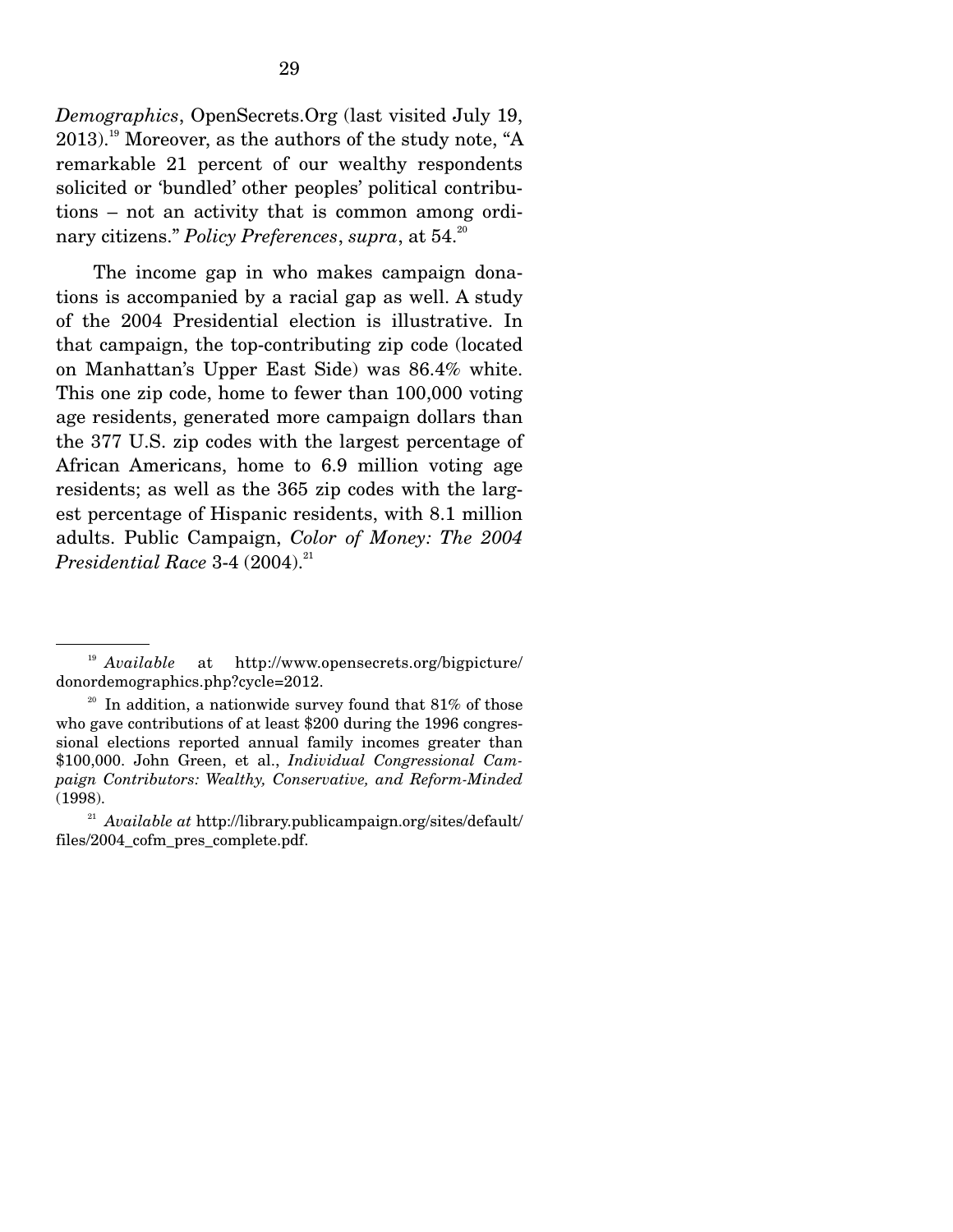*Demographics*, OpenSecrets.Org (last visited July 19,  $2013$ .<sup>19</sup> Moreover, as the authors of the study note, "A remarkable 21 percent of our wealthy respondents solicited or 'bundled' other peoples' political contributions – not an activity that is common among ordinary citizens." *Policy Preferences*, *supra*, at 54.20

 The income gap in who makes campaign donations is accompanied by a racial gap as well. A study of the 2004 Presidential election is illustrative. In that campaign, the top-contributing zip code (located on Manhattan's Upper East Side) was 86.4% white. This one zip code, home to fewer than 100,000 voting age residents, generated more campaign dollars than the 377 U.S. zip codes with the largest percentage of African Americans, home to 6.9 million voting age residents; as well as the 365 zip codes with the largest percentage of Hispanic residents, with 8.1 million adults. Public Campaign, *Color of Money: The 2004 Presidential Race* 3-4 (2004).<sup>21</sup>

<sup>19</sup> *Available* at http://www.opensecrets.org/bigpicture/ donordemographics.php?cycle=2012.

 $20$  In addition, a nationwide survey found that 81% of those who gave contributions of at least \$200 during the 1996 congressional elections reported annual family incomes greater than \$100,000. John Green, et al., *Individual Congressional Campaign Contributors: Wealthy, Conservative, and Reform-Minded*  (1998).

<sup>21</sup> *Available at* http://library.publicampaign.org/sites/default/ files/2004\_cofm\_pres\_complete.pdf.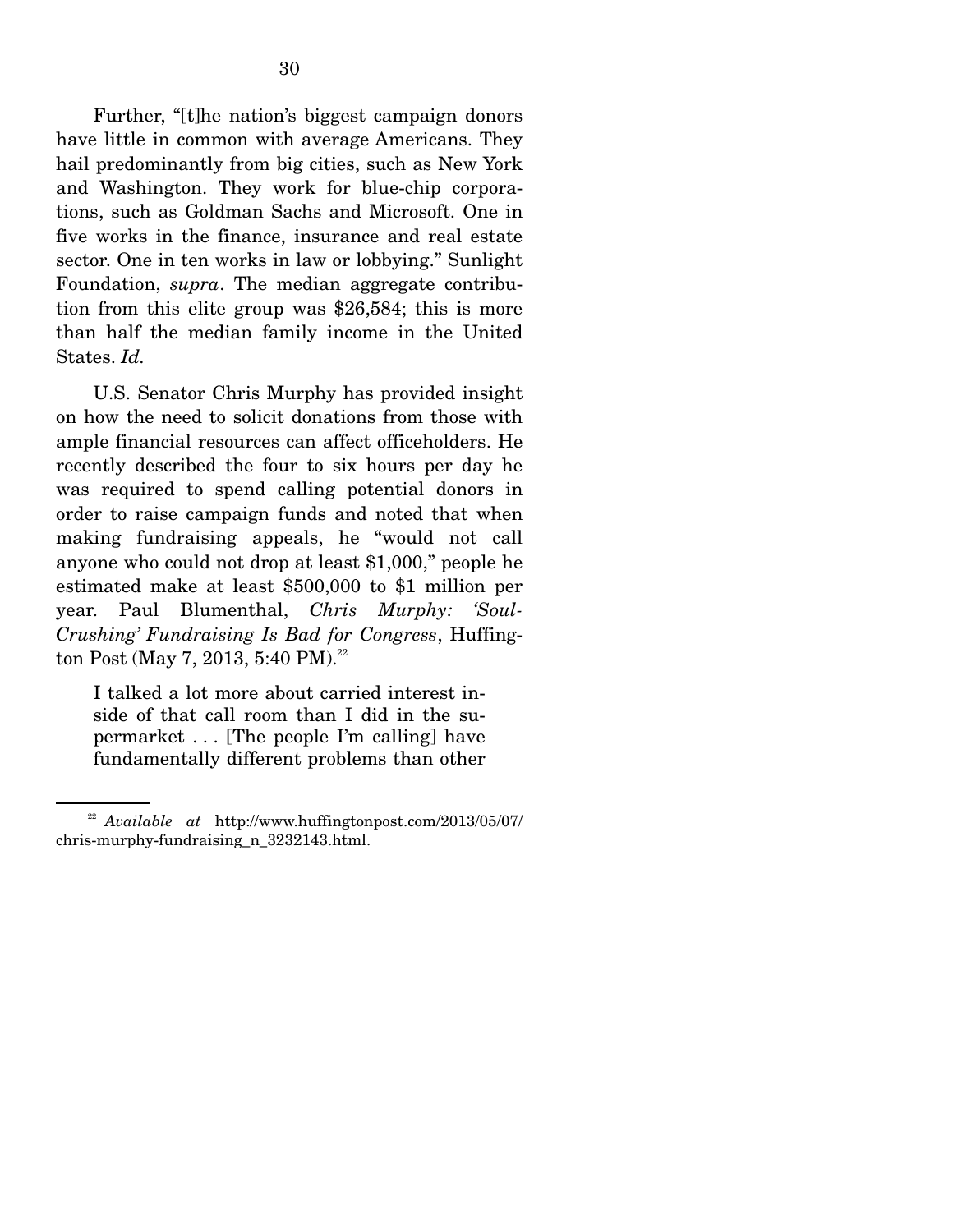Further, "[t]he nation's biggest campaign donors have little in common with average Americans. They hail predominantly from big cities, such as New York and Washington. They work for blue-chip corporations, such as Goldman Sachs and Microsoft. One in five works in the finance, insurance and real estate sector. One in ten works in law or lobbying." Sunlight Foundation, *supra*. The median aggregate contribution from this elite group was \$26,584; this is more than half the median family income in the United States. *Id.*

 U.S. Senator Chris Murphy has provided insight on how the need to solicit donations from those with ample financial resources can affect officeholders. He recently described the four to six hours per day he was required to spend calling potential donors in order to raise campaign funds and noted that when making fundraising appeals, he "would not call anyone who could not drop at least \$1,000," people he estimated make at least \$500,000 to \$1 million per year. Paul Blumenthal, *Chris Murphy: 'Soul-Crushing' Fundraising Is Bad for Congress*, Huffington Post (May 7, 2013, 5:40 PM).<sup>22</sup>

I talked a lot more about carried interest inside of that call room than I did in the supermarket . . . [The people I'm calling] have fundamentally different problems than other

<sup>22</sup> *Available at* http://www.huffingtonpost.com/2013/05/07/ chris-murphy-fundraising\_n\_3232143.html.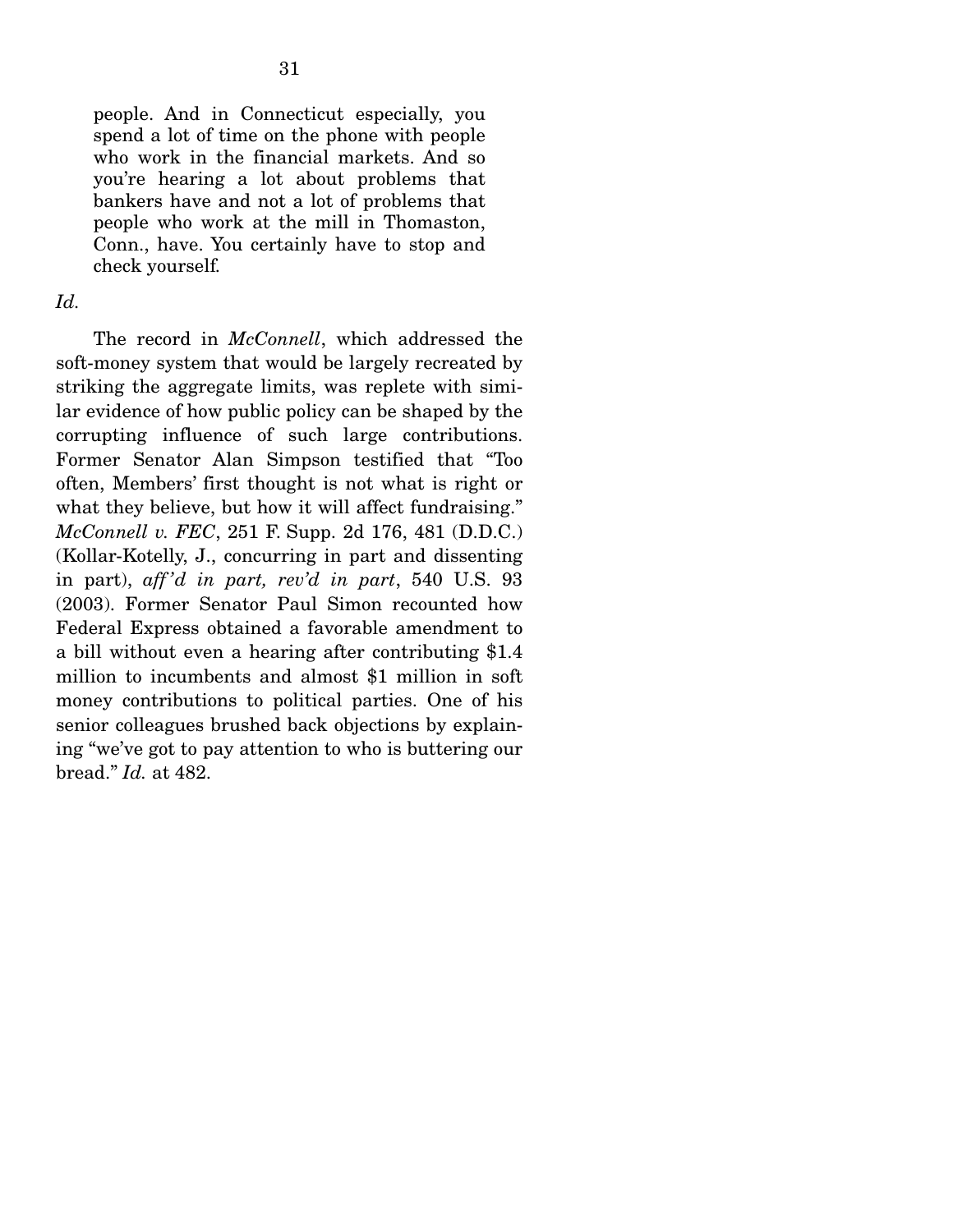people. And in Connecticut especially, you spend a lot of time on the phone with people who work in the financial markets. And so you're hearing a lot about problems that bankers have and not a lot of problems that people who work at the mill in Thomaston, Conn., have. You certainly have to stop and check yourself*.* 

#### *Id.*

 The record in *McConnell*, which addressed the soft-money system that would be largely recreated by striking the aggregate limits, was replete with similar evidence of how public policy can be shaped by the corrupting influence of such large contributions. Former Senator Alan Simpson testified that "Too often, Members' first thought is not what is right or what they believe, but how it will affect fundraising." *McConnell v. FEC*, 251 F. Supp. 2d 176, 481 (D.D.C.) (Kollar-Kotelly, J., concurring in part and dissenting in part), *aff 'd in part, rev'd in part*, 540 U.S. 93 (2003). Former Senator Paul Simon recounted how Federal Express obtained a favorable amendment to a bill without even a hearing after contributing \$1.4 million to incumbents and almost \$1 million in soft money contributions to political parties. One of his senior colleagues brushed back objections by explaining "we've got to pay attention to who is buttering our bread." *Id.* at 482.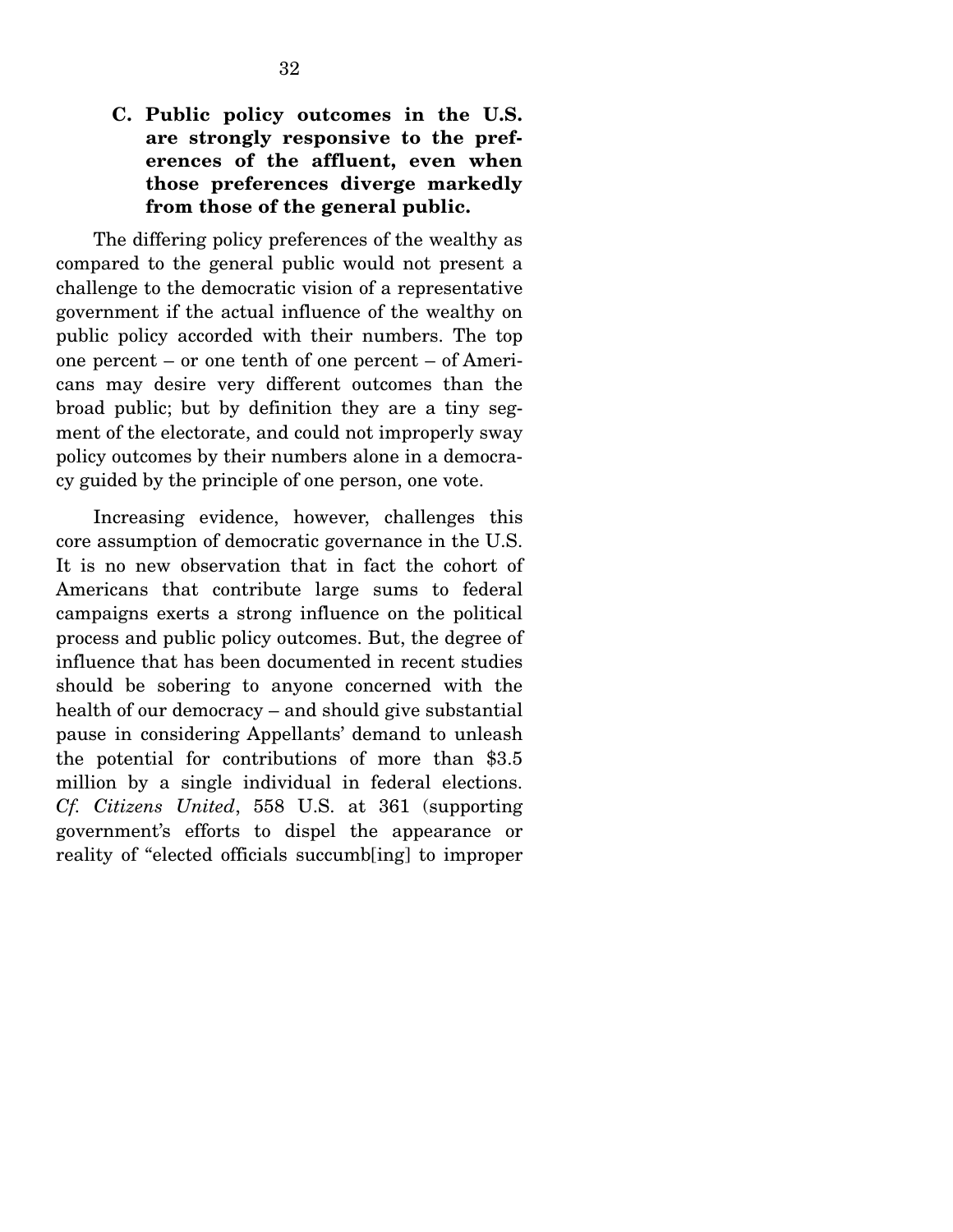### **C. Public policy outcomes in the U.S. are strongly responsive to the preferences of the affluent, even when those preferences diverge markedly from those of the general public.**

 The differing policy preferences of the wealthy as compared to the general public would not present a challenge to the democratic vision of a representative government if the actual influence of the wealthy on public policy accorded with their numbers. The top one percent – or one tenth of one percent – of Americans may desire very different outcomes than the broad public; but by definition they are a tiny segment of the electorate, and could not improperly sway policy outcomes by their numbers alone in a democracy guided by the principle of one person, one vote.

 Increasing evidence, however, challenges this core assumption of democratic governance in the U.S. It is no new observation that in fact the cohort of Americans that contribute large sums to federal campaigns exerts a strong influence on the political process and public policy outcomes. But, the degree of influence that has been documented in recent studies should be sobering to anyone concerned with the health of our democracy – and should give substantial pause in considering Appellants' demand to unleash the potential for contributions of more than \$3.5 million by a single individual in federal elections. *Cf. Citizens United*, 558 U.S. at 361 (supporting government's efforts to dispel the appearance or reality of "elected officials succumb[ing] to improper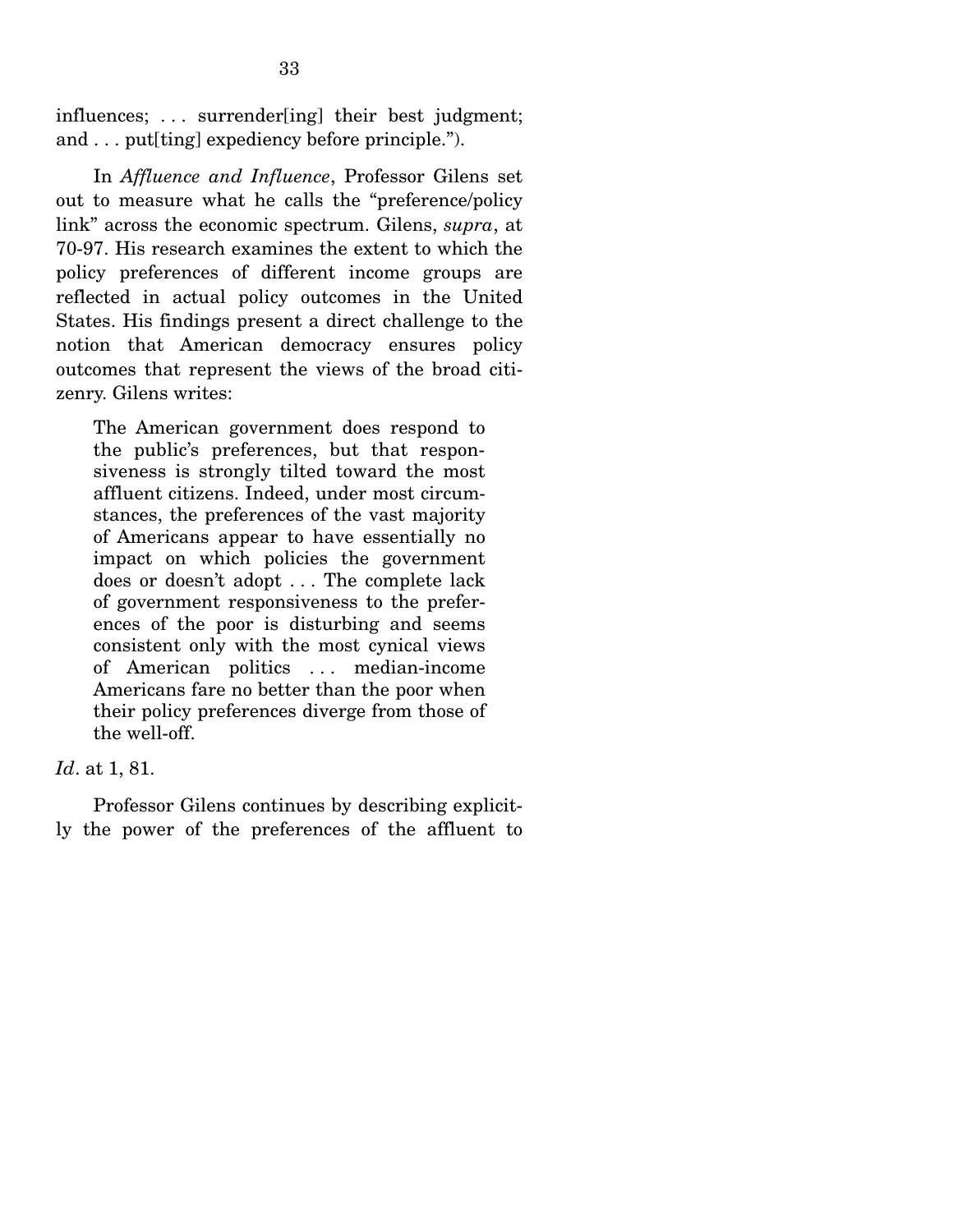influences; . . . surrender[ing] their best judgment; and . . . put[ting] expediency before principle.").

 In *Affluence and Influence*, Professor Gilens set out to measure what he calls the "preference/policy link" across the economic spectrum. Gilens, *supra*, at 70-97. His research examines the extent to which the policy preferences of different income groups are reflected in actual policy outcomes in the United States. His findings present a direct challenge to the notion that American democracy ensures policy outcomes that represent the views of the broad citizenry. Gilens writes:

The American government does respond to the public's preferences, but that responsiveness is strongly tilted toward the most affluent citizens. Indeed, under most circumstances, the preferences of the vast majority of Americans appear to have essentially no impact on which policies the government does or doesn't adopt . . . The complete lack of government responsiveness to the preferences of the poor is disturbing and seems consistent only with the most cynical views of American politics . . . median-income Americans fare no better than the poor when their policy preferences diverge from those of the well-off.

#### *Id*. at 1, 81.

 Professor Gilens continues by describing explicitly the power of the preferences of the affluent to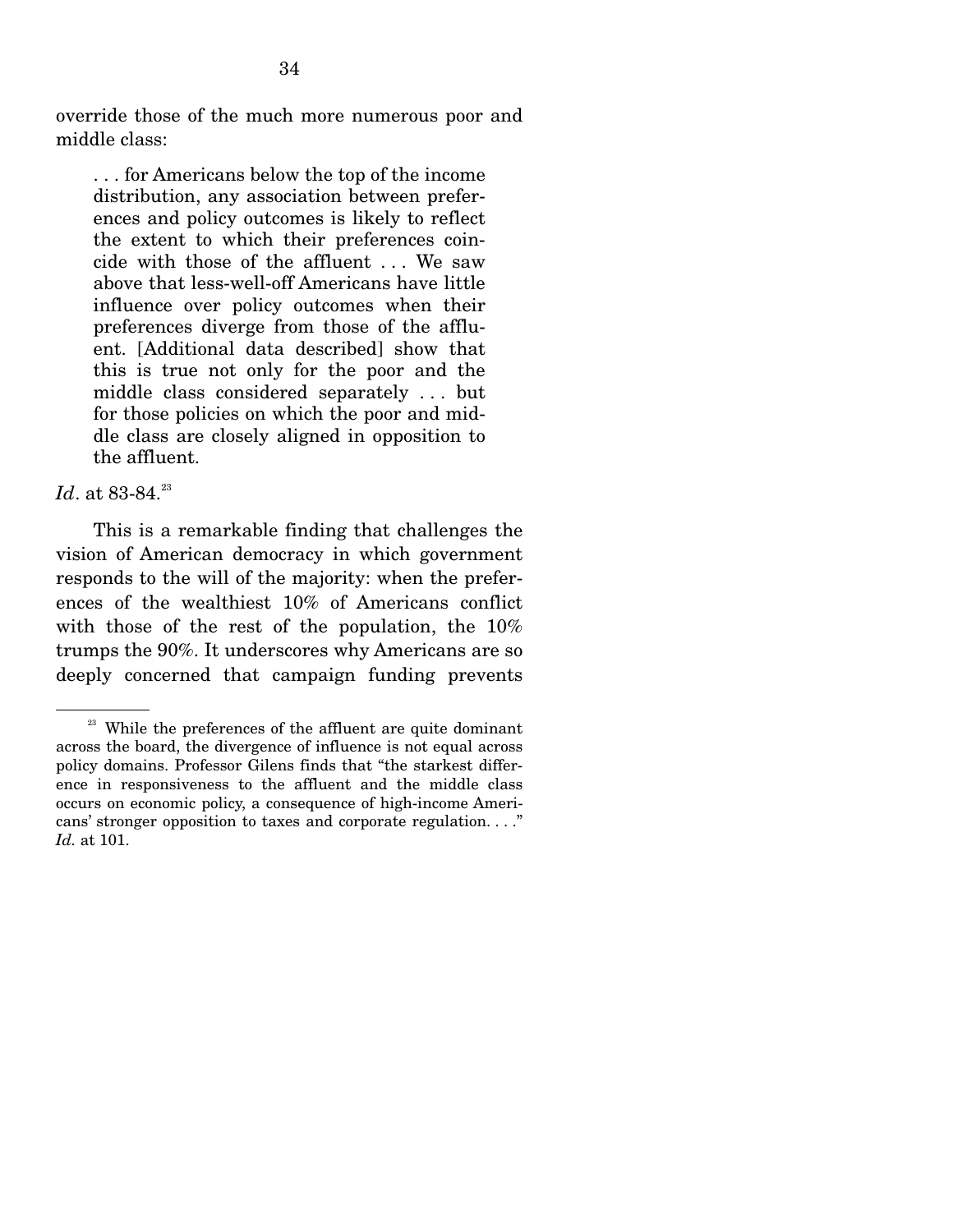override those of the much more numerous poor and middle class:

. . . for Americans below the top of the income distribution, any association between preferences and policy outcomes is likely to reflect the extent to which their preferences coincide with those of the affluent . . . We saw above that less-well-off Americans have little influence over policy outcomes when their preferences diverge from those of the affluent. [Additional data described] show that this is true not only for the poor and the middle class considered separately . . . but for those policies on which the poor and middle class are closely aligned in opposition to the affluent.

#### *Id.* at 83-84.<sup>23</sup>

 This is a remarkable finding that challenges the vision of American democracy in which government responds to the will of the majority: when the preferences of the wealthiest 10% of Americans conflict with those of the rest of the population, the 10% trumps the 90%. It underscores why Americans are so deeply concerned that campaign funding prevents

 $23$  While the preferences of the affluent are quite dominant across the board, the divergence of influence is not equal across policy domains. Professor Gilens finds that "the starkest difference in responsiveness to the affluent and the middle class occurs on economic policy, a consequence of high-income Americans' stronger opposition to taxes and corporate regulation. . . ." *Id.* at 101.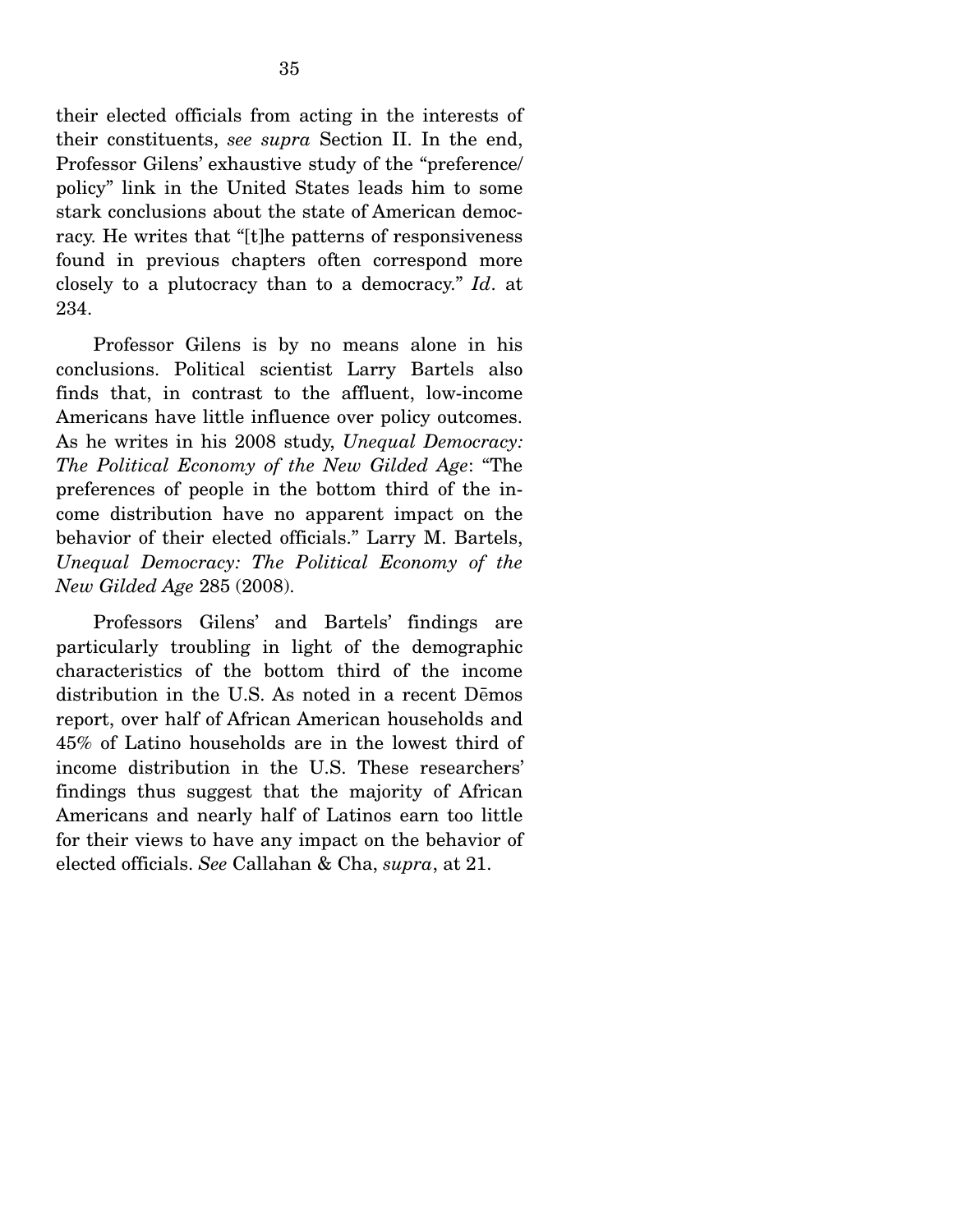their elected officials from acting in the interests of their constituents, *see supra* Section II. In the end, Professor Gilens' exhaustive study of the "preference/ policy" link in the United States leads him to some stark conclusions about the state of American democracy. He writes that "[t]he patterns of responsiveness found in previous chapters often correspond more closely to a plutocracy than to a democracy." *Id*. at 234.

 Professor Gilens is by no means alone in his conclusions. Political scientist Larry Bartels also finds that, in contrast to the affluent, low-income Americans have little influence over policy outcomes. As he writes in his 2008 study, *Unequal Democracy: The Political Economy of the New Gilded Age*: "The preferences of people in the bottom third of the income distribution have no apparent impact on the behavior of their elected officials." Larry M. Bartels, *Unequal Democracy: The Political Economy of the New Gilded Age* 285 (2008).

 Professors Gilens' and Bartels' findings are particularly troubling in light of the demographic characteristics of the bottom third of the income distribution in the U.S. As noted in a recent Demos report, over half of African American households and 45% of Latino households are in the lowest third of income distribution in the U.S. These researchers' findings thus suggest that the majority of African Americans and nearly half of Latinos earn too little for their views to have any impact on the behavior of elected officials. *See* Callahan & Cha, *supra*, at 21.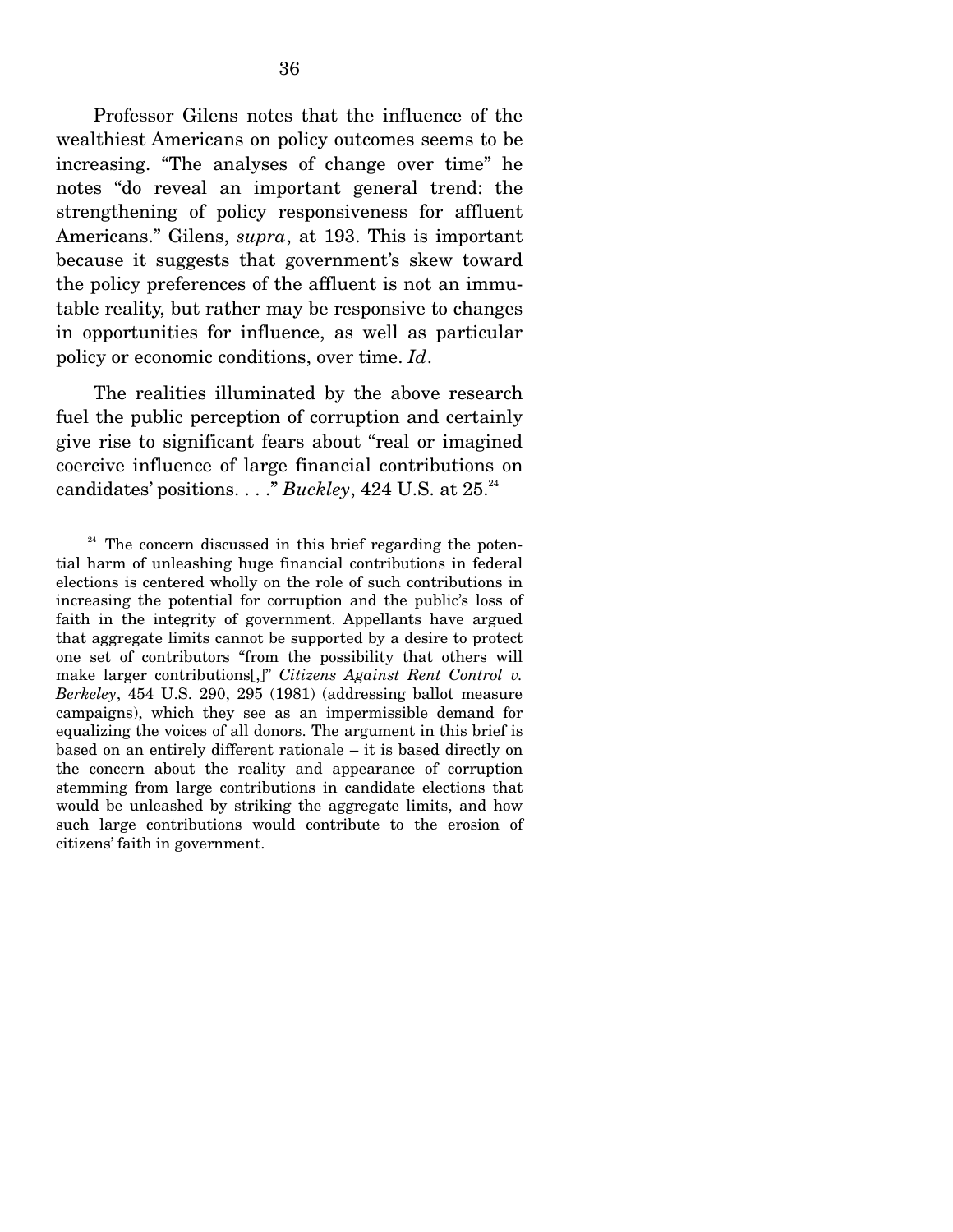Professor Gilens notes that the influence of the wealthiest Americans on policy outcomes seems to be increasing. "The analyses of change over time" he notes "do reveal an important general trend: the strengthening of policy responsiveness for affluent Americans." Gilens, *supra*, at 193. This is important because it suggests that government's skew toward the policy preferences of the affluent is not an immutable reality, but rather may be responsive to changes in opportunities for influence, as well as particular policy or economic conditions, over time. *Id*.

 The realities illuminated by the above research fuel the public perception of corruption and certainly give rise to significant fears about "real or imagined coercive influence of large financial contributions on  $\alpha$  candidates' positions.  $\dots$ ." *Buckley*, 424 U.S. at 25. $^{24}$ 

 $24$  The concern discussed in this brief regarding the potential harm of unleashing huge financial contributions in federal elections is centered wholly on the role of such contributions in increasing the potential for corruption and the public's loss of faith in the integrity of government. Appellants have argued that aggregate limits cannot be supported by a desire to protect one set of contributors "from the possibility that others will make larger contributions[,]" *Citizens Against Rent Control v. Berkeley*, 454 U.S. 290, 295 (1981) (addressing ballot measure campaigns), which they see as an impermissible demand for equalizing the voices of all donors. The argument in this brief is based on an entirely different rationale – it is based directly on the concern about the reality and appearance of corruption stemming from large contributions in candidate elections that would be unleashed by striking the aggregate limits, and how such large contributions would contribute to the erosion of citizens' faith in government.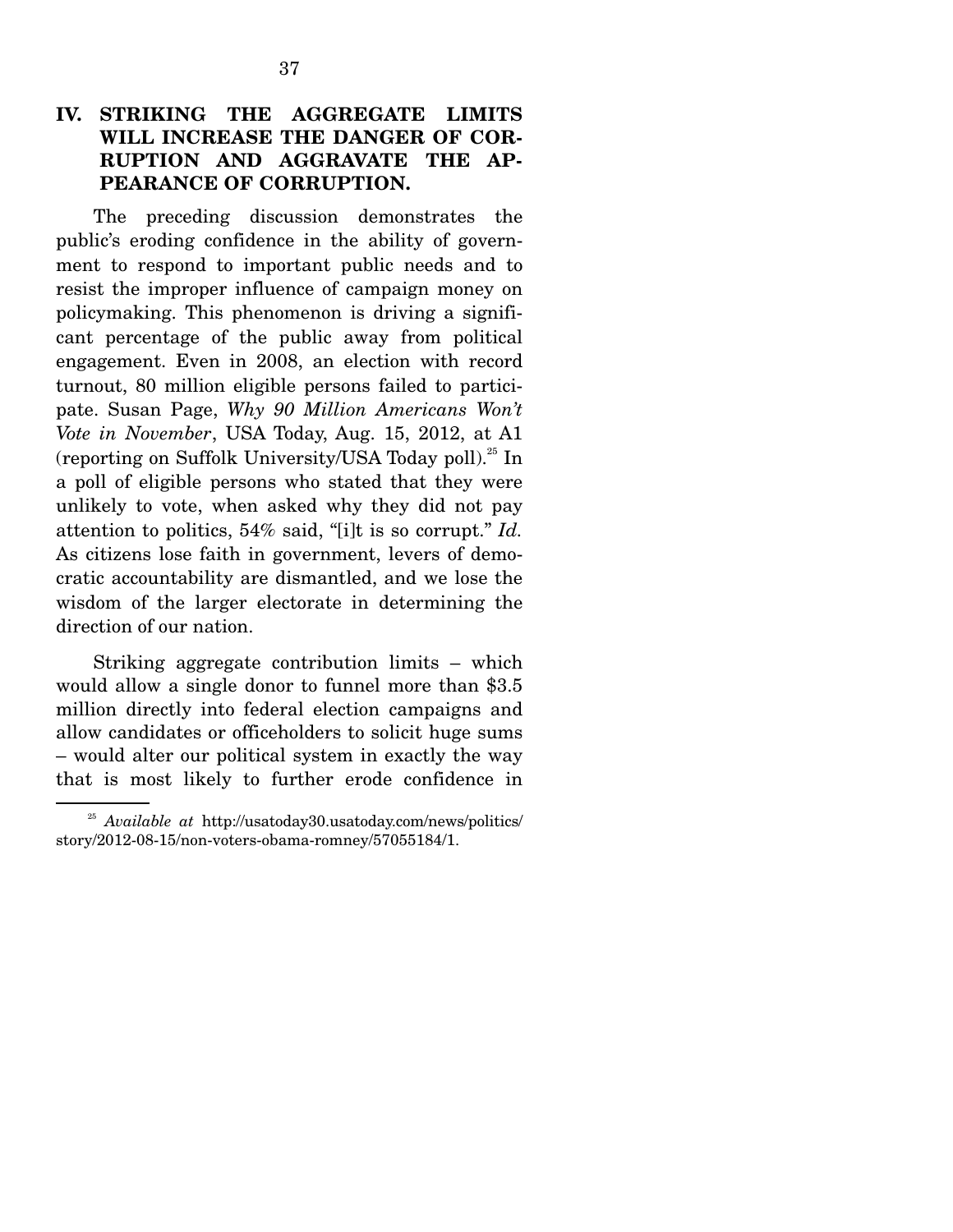#### **IV. STRIKING THE AGGREGATE LIMITS WILL INCREASE THE DANGER OF COR-RUPTION AND AGGRAVATE THE AP-PEARANCE OF CORRUPTION.**

The preceding discussion demonstrates the public's eroding confidence in the ability of government to respond to important public needs and to resist the improper influence of campaign money on policymaking. This phenomenon is driving a significant percentage of the public away from political engagement. Even in 2008, an election with record turnout, 80 million eligible persons failed to participate. Susan Page, *Why 90 Million Americans Won't Vote in November*, USA Today, Aug. 15, 2012, at A1 (reporting on Suffolk University/USA Today poll).<sup>25</sup> In a poll of eligible persons who stated that they were unlikely to vote, when asked why they did not pay attention to politics, 54% said, "[i]t is so corrupt." *Id.* As citizens lose faith in government, levers of democratic accountability are dismantled, and we lose the wisdom of the larger electorate in determining the direction of our nation.

 Striking aggregate contribution limits – which would allow a single donor to funnel more than \$3.5 million directly into federal election campaigns and allow candidates or officeholders to solicit huge sums – would alter our political system in exactly the way that is most likely to further erode confidence in

<sup>25</sup> *Available at* http://usatoday30.usatoday.com/news/politics/ story/2012-08-15/non-voters-obama-romney/57055184/1.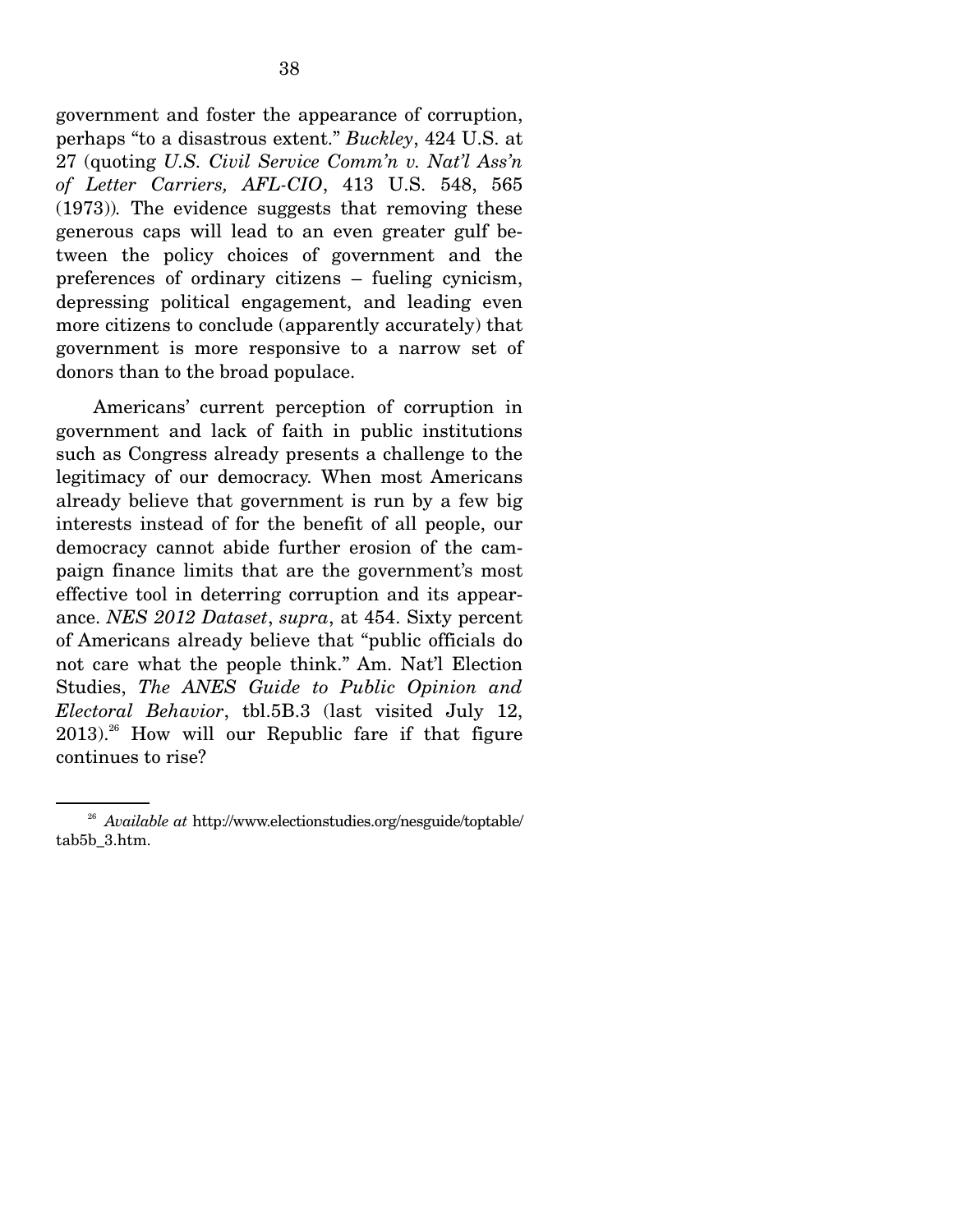government and foster the appearance of corruption, perhaps "to a disastrous extent." *Buckley*, 424 U.S. at 27 (quoting *U.S. Civil Service Comm'n v. Nat'l Ass'n of Letter Carriers, AFL-CIO*, 413 U.S. 548, 565 (1973))*.* The evidence suggests that removing these generous caps will lead to an even greater gulf between the policy choices of government and the preferences of ordinary citizens – fueling cynicism, depressing political engagement, and leading even more citizens to conclude (apparently accurately) that government is more responsive to a narrow set of donors than to the broad populace.

 Americans' current perception of corruption in government and lack of faith in public institutions such as Congress already presents a challenge to the legitimacy of our democracy. When most Americans already believe that government is run by a few big interests instead of for the benefit of all people, our democracy cannot abide further erosion of the campaign finance limits that are the government's most effective tool in deterring corruption and its appearance. *NES 2012 Dataset*, *supra*, at 454. Sixty percent of Americans already believe that "public officials do not care what the people think." Am. Nat'l Election Studies, *The ANES Guide to Public Opinion and Electoral Behavior*, tbl.5B.3 (last visited July 12,  $2013$ <sup>26</sup> How will our Republic fare if that figure continues to rise?

<sup>26</sup> *Available at* http://www.electionstudies.org/nesguide/toptable/ tab5b\_3.htm.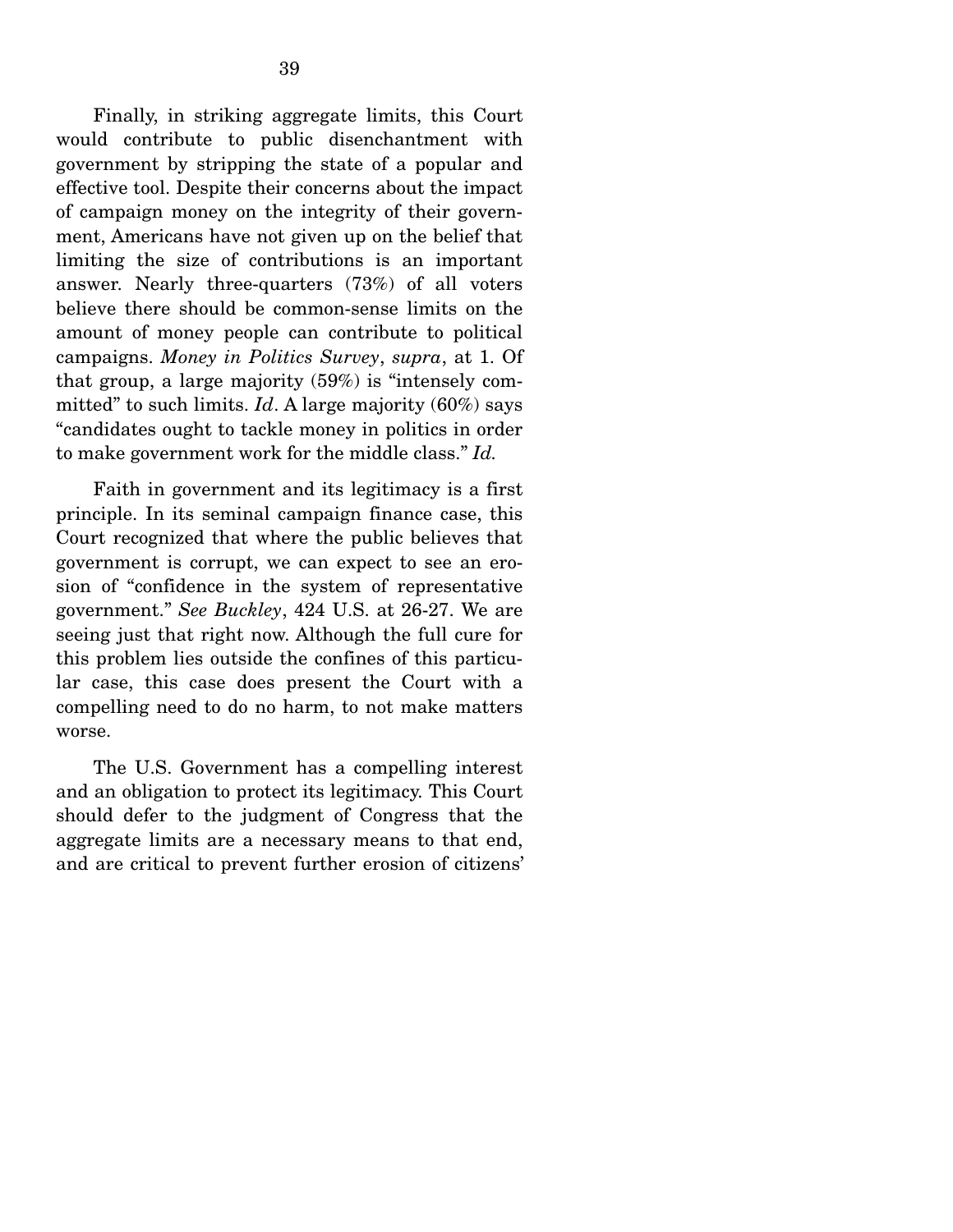Finally, in striking aggregate limits, this Court would contribute to public disenchantment with government by stripping the state of a popular and effective tool. Despite their concerns about the impact of campaign money on the integrity of their government, Americans have not given up on the belief that limiting the size of contributions is an important answer. Nearly three-quarters (73%) of all voters believe there should be common-sense limits on the amount of money people can contribute to political campaigns. *Money in Politics Survey*, *supra*, at 1. Of that group, a large majority (59%) is "intensely committed" to such limits. *Id*. A large majority (60%) says "candidates ought to tackle money in politics in order to make government work for the middle class." *Id.*

 Faith in government and its legitimacy is a first principle. In its seminal campaign finance case, this Court recognized that where the public believes that government is corrupt, we can expect to see an erosion of "confidence in the system of representative government." *See Buckley*, 424 U.S. at 26-27. We are seeing just that right now. Although the full cure for this problem lies outside the confines of this particular case, this case does present the Court with a compelling need to do no harm, to not make matters worse.

 The U.S. Government has a compelling interest and an obligation to protect its legitimacy. This Court should defer to the judgment of Congress that the aggregate limits are a necessary means to that end, and are critical to prevent further erosion of citizens'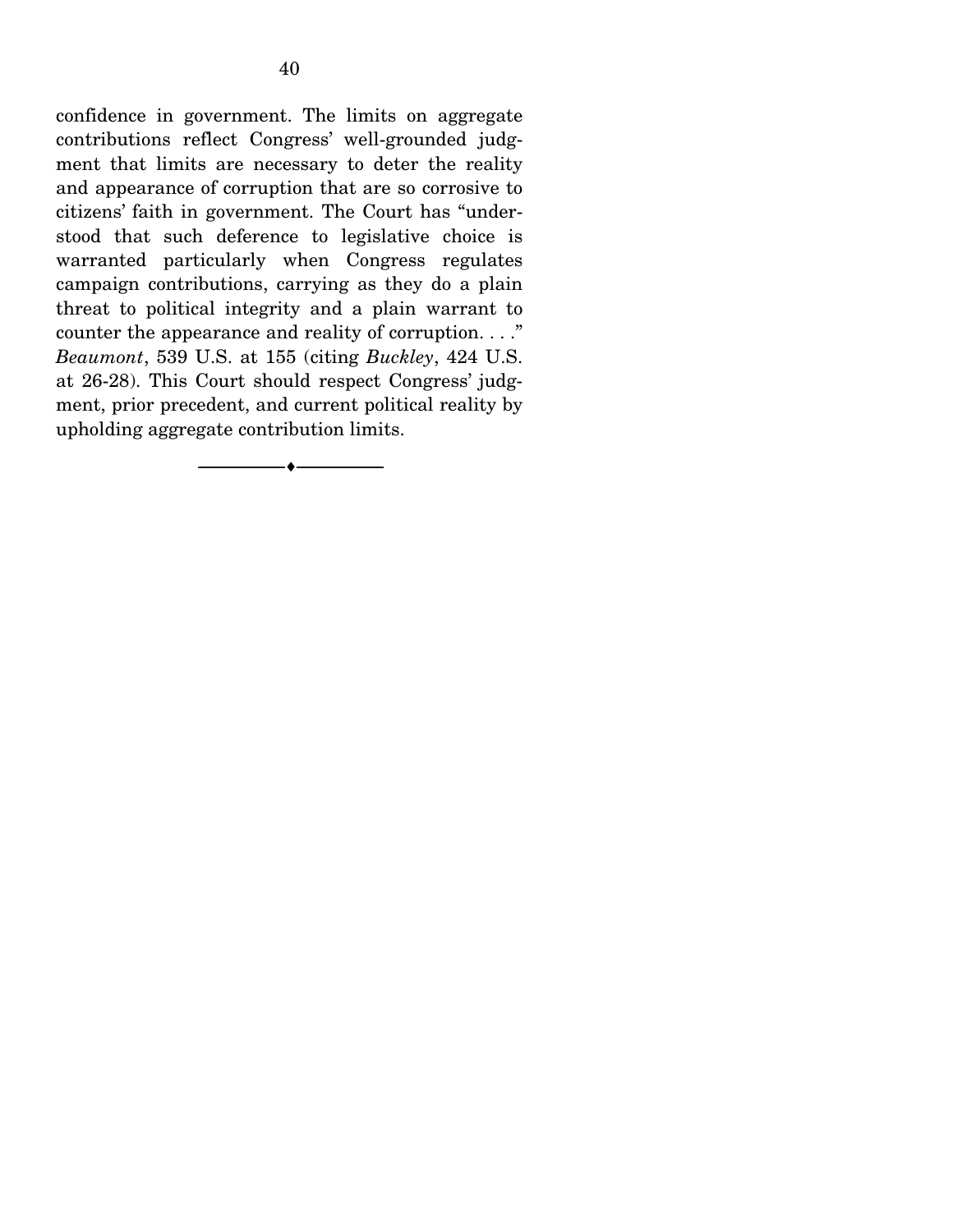confidence in government. The limits on aggregate contributions reflect Congress' well-grounded judgment that limits are necessary to deter the reality and appearance of corruption that are so corrosive to citizens' faith in government. The Court has "understood that such deference to legislative choice is warranted particularly when Congress regulates campaign contributions, carrying as they do a plain threat to political integrity and a plain warrant to counter the appearance and reality of corruption. . . ." *Beaumont*, 539 U.S. at 155 (citing *Buckley*, 424 U.S. at 26-28). This Court should respect Congress' judgment, prior precedent, and current political reality by upholding aggregate contribution limits.

 $- \bullet -$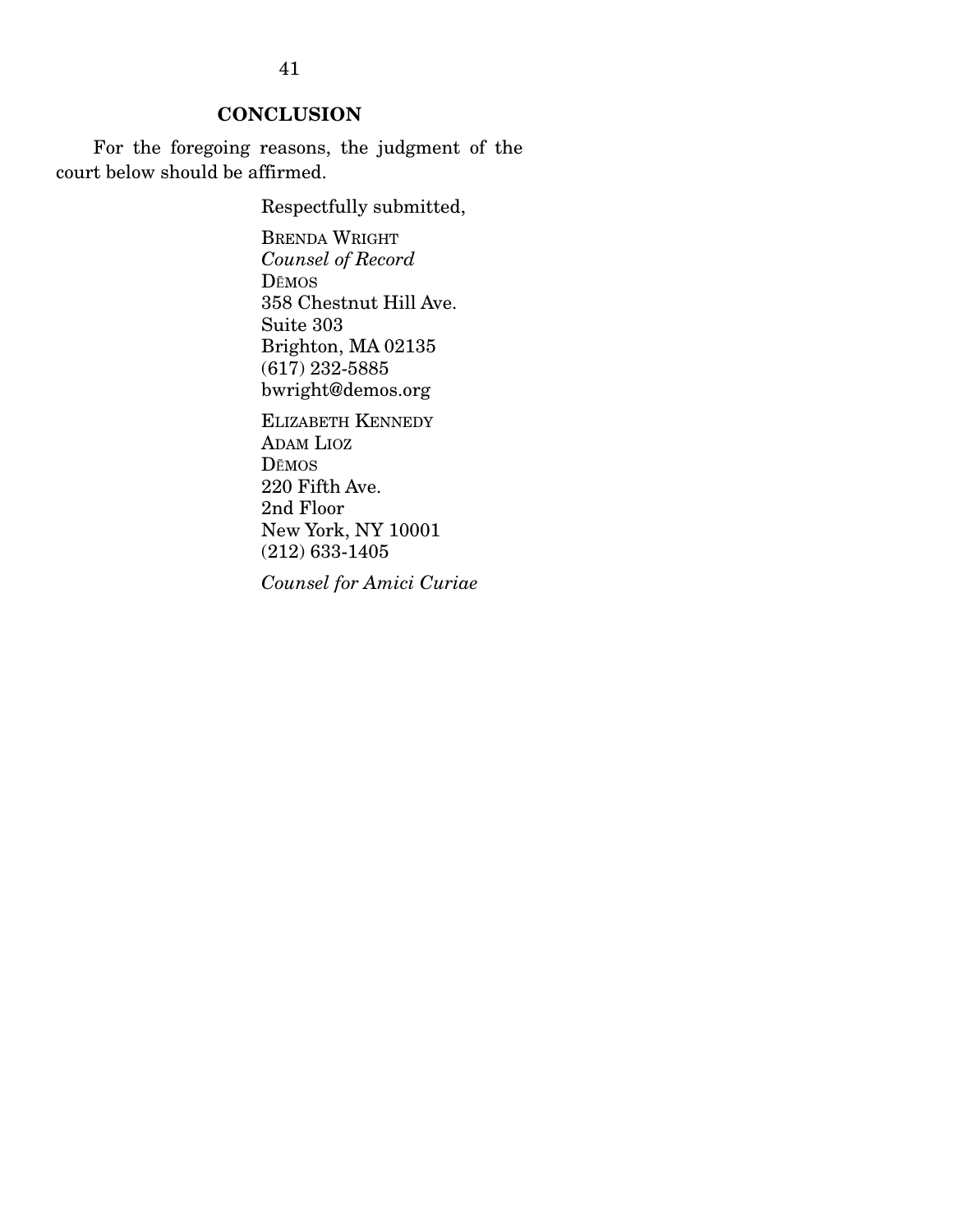### **CONCLUSION**

 For the foregoing reasons, the judgment of the court below should be affirmed.

Respectfully submitted,

BRENDA WRIGHT *Counsel of Record*  DEMOS 358 Chestnut Hill Ave. Suite 303 Brighton, MA 02135 (617) 232-5885 bwright@demos.org

ELIZABETH KENNEDY ADAM LIOZ DEMOS 220 Fifth Ave. 2nd Floor New York, NY 10001 (212) 633-1405

*Counsel for Amici Curiae*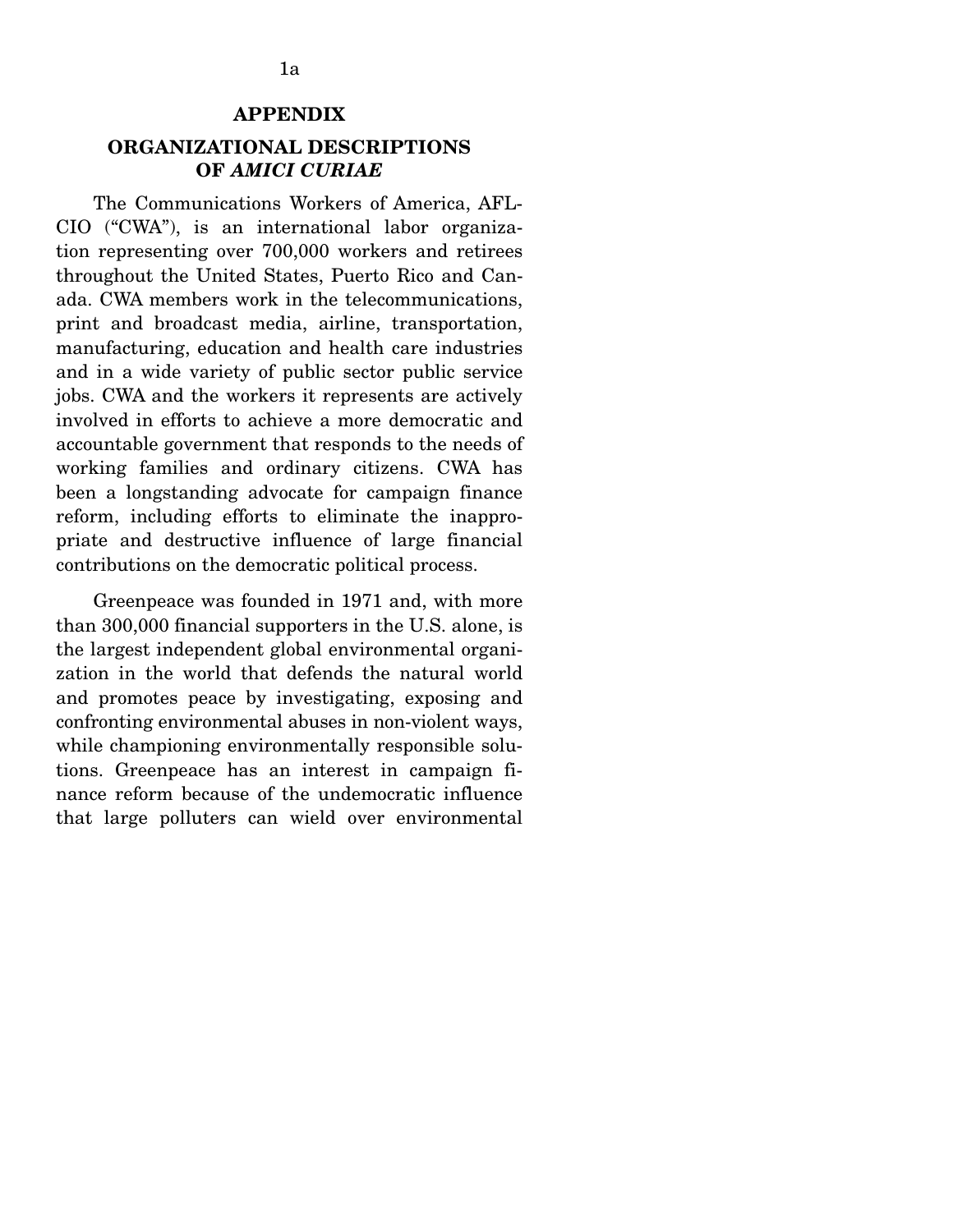#### **APPENDIX**

#### **ORGANIZATIONAL DESCRIPTIONS OF** *AMICI CURIAE*

 The Communications Workers of America, AFL-CIO ("CWA"), is an international labor organization representing over 700,000 workers and retirees throughout the United States, Puerto Rico and Canada. CWA members work in the telecommunications, print and broadcast media, airline, transportation, manufacturing, education and health care industries and in a wide variety of public sector public service jobs. CWA and the workers it represents are actively involved in efforts to achieve a more democratic and accountable government that responds to the needs of working families and ordinary citizens. CWA has been a longstanding advocate for campaign finance reform, including efforts to eliminate the inappropriate and destructive influence of large financial contributions on the democratic political process.

 Greenpeace was founded in 1971 and, with more than 300,000 financial supporters in the U.S. alone, is the largest independent global environmental organization in the world that defends the natural world and promotes peace by investigating, exposing and confronting environmental abuses in non-violent ways, while championing environmentally responsible solutions. Greenpeace has an interest in campaign finance reform because of the undemocratic influence that large polluters can wield over environmental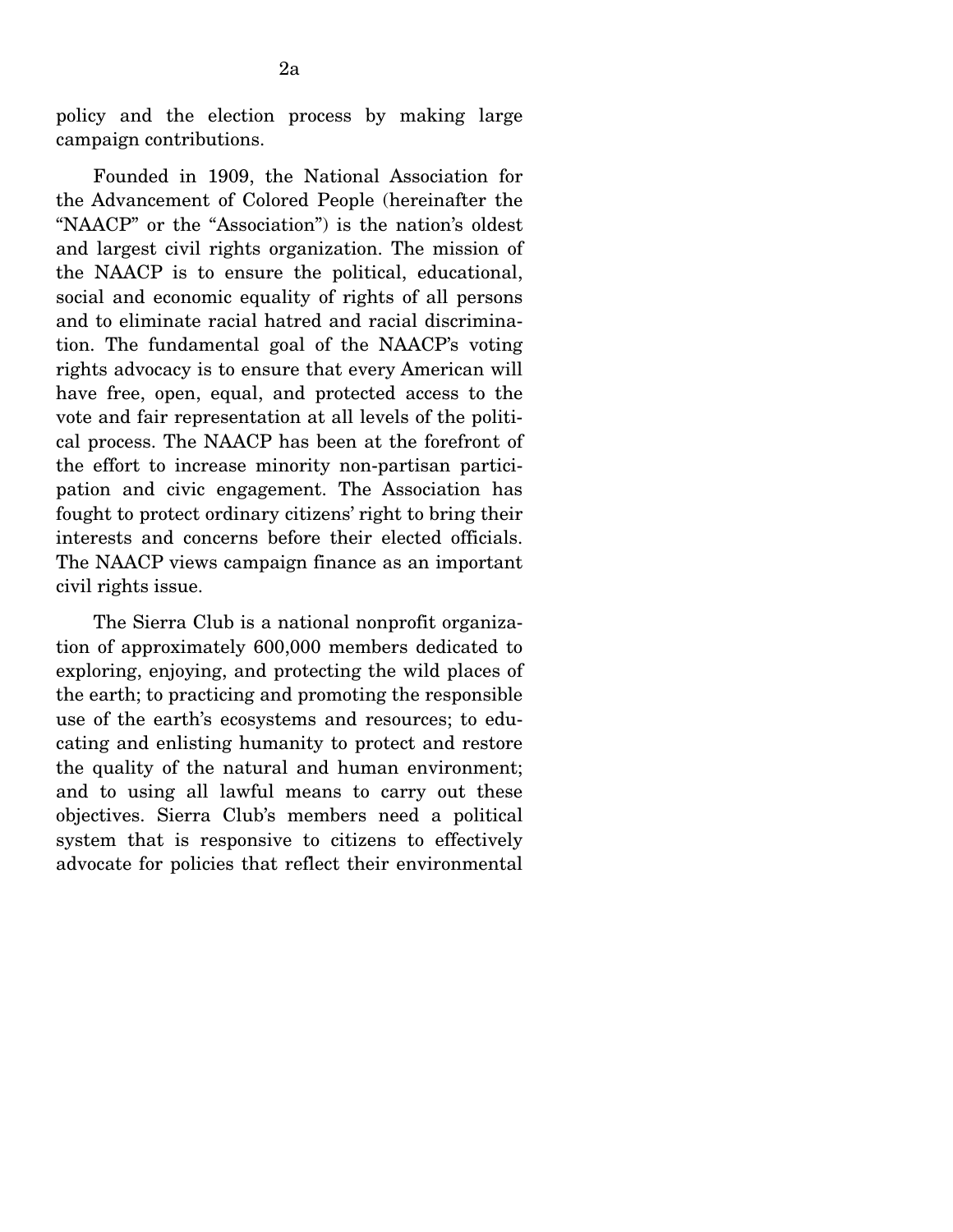policy and the election process by making large campaign contributions.

 Founded in 1909, the National Association for the Advancement of Colored People (hereinafter the "NAACP" or the "Association") is the nation's oldest and largest civil rights organization. The mission of the NAACP is to ensure the political, educational, social and economic equality of rights of all persons and to eliminate racial hatred and racial discrimination. The fundamental goal of the NAACP's voting rights advocacy is to ensure that every American will have free, open, equal, and protected access to the vote and fair representation at all levels of the political process. The NAACP has been at the forefront of the effort to increase minority non-partisan participation and civic engagement. The Association has fought to protect ordinary citizens' right to bring their interests and concerns before their elected officials. The NAACP views campaign finance as an important civil rights issue.

 The Sierra Club is a national nonprofit organization of approximately 600,000 members dedicated to exploring, enjoying, and protecting the wild places of the earth; to practicing and promoting the responsible use of the earth's ecosystems and resources; to educating and enlisting humanity to protect and restore the quality of the natural and human environment; and to using all lawful means to carry out these objectives. Sierra Club's members need a political system that is responsive to citizens to effectively advocate for policies that reflect their environmental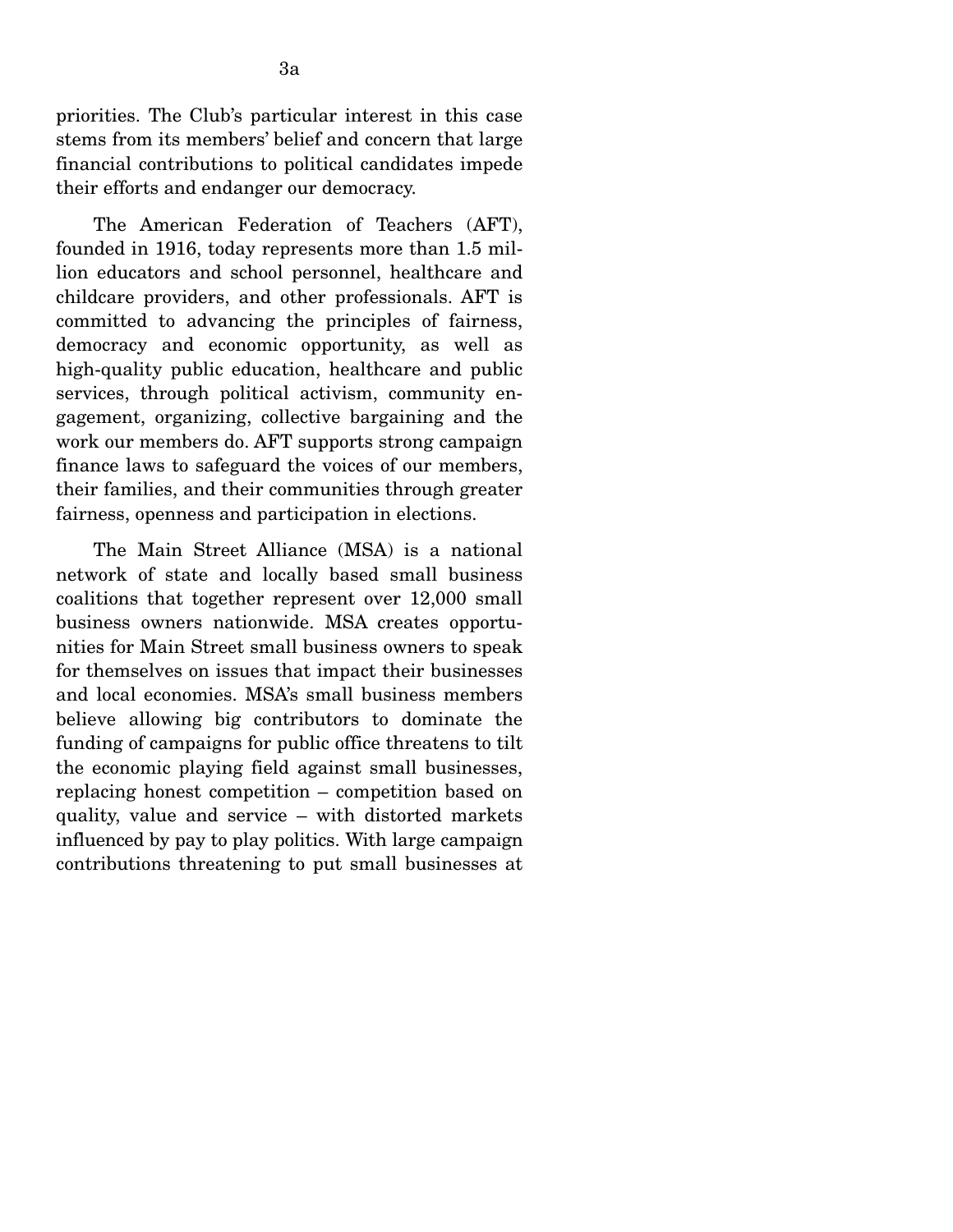priorities. The Club's particular interest in this case stems from its members' belief and concern that large financial contributions to political candidates impede their efforts and endanger our democracy.

 The American Federation of Teachers (AFT), founded in 1916, today represents more than 1.5 million educators and school personnel, healthcare and childcare providers, and other professionals. AFT is committed to advancing the principles of fairness, democracy and economic opportunity, as well as high-quality public education, healthcare and public services, through political activism, community engagement, organizing, collective bargaining and the work our members do. AFT supports strong campaign finance laws to safeguard the voices of our members, their families, and their communities through greater fairness, openness and participation in elections.

 The Main Street Alliance (MSA) is a national network of state and locally based small business coalitions that together represent over 12,000 small business owners nationwide. MSA creates opportunities for Main Street small business owners to speak for themselves on issues that impact their businesses and local economies. MSA's small business members believe allowing big contributors to dominate the funding of campaigns for public office threatens to tilt the economic playing field against small businesses, replacing honest competition – competition based on quality, value and service – with distorted markets influenced by pay to play politics. With large campaign contributions threatening to put small businesses at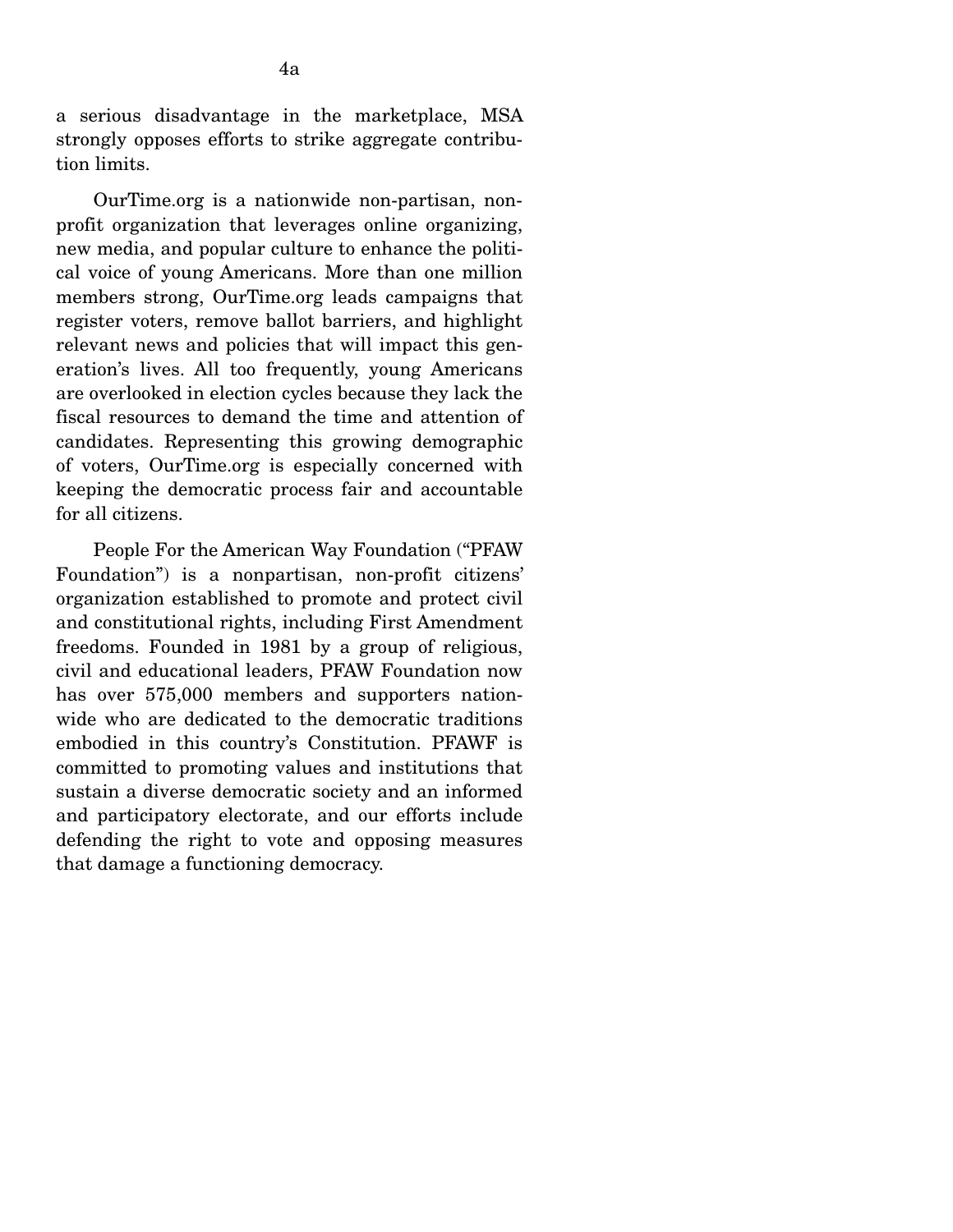a serious disadvantage in the marketplace, MSA strongly opposes efforts to strike aggregate contribution limits.

 OurTime.org is a nationwide non-partisan, nonprofit organization that leverages online organizing, new media, and popular culture to enhance the political voice of young Americans. More than one million members strong, OurTime.org leads campaigns that register voters, remove ballot barriers, and highlight relevant news and policies that will impact this generation's lives. All too frequently, young Americans are overlooked in election cycles because they lack the fiscal resources to demand the time and attention of candidates. Representing this growing demographic of voters, OurTime.org is especially concerned with keeping the democratic process fair and accountable for all citizens.

 People For the American Way Foundation ("PFAW Foundation") is a nonpartisan, non-profit citizens' organization established to promote and protect civil and constitutional rights, including First Amendment freedoms. Founded in 1981 by a group of religious, civil and educational leaders, PFAW Foundation now has over 575,000 members and supporters nationwide who are dedicated to the democratic traditions embodied in this country's Constitution. PFAWF is committed to promoting values and institutions that sustain a diverse democratic society and an informed and participatory electorate, and our efforts include defending the right to vote and opposing measures that damage a functioning democracy.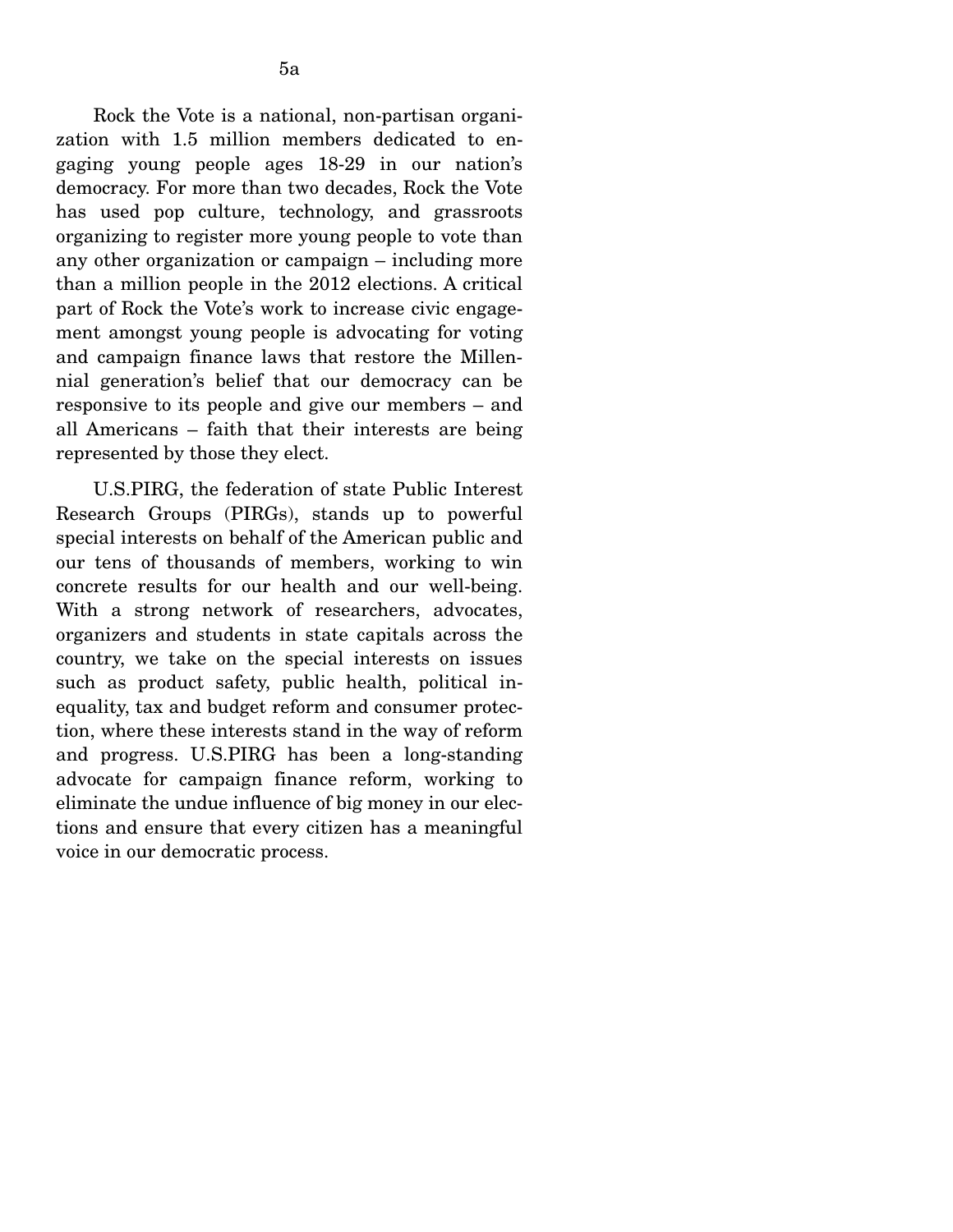Rock the Vote is a national, non-partisan organization with 1.5 million members dedicated to engaging young people ages 18-29 in our nation's democracy. For more than two decades, Rock the Vote has used pop culture, technology, and grassroots organizing to register more young people to vote than any other organization or campaign – including more than a million people in the 2012 elections. A critical part of Rock the Vote's work to increase civic engagement amongst young people is advocating for voting and campaign finance laws that restore the Millennial generation's belief that our democracy can be responsive to its people and give our members – and all Americans – faith that their interests are being represented by those they elect.

 U.S.PIRG, the federation of state Public Interest Research Groups (PIRGs), stands up to powerful special interests on behalf of the American public and our tens of thousands of members, working to win concrete results for our health and our well-being. With a strong network of researchers, advocates, organizers and students in state capitals across the country, we take on the special interests on issues such as product safety, public health, political inequality, tax and budget reform and consumer protection, where these interests stand in the way of reform and progress. U.S.PIRG has been a long-standing advocate for campaign finance reform, working to eliminate the undue influence of big money in our elections and ensure that every citizen has a meaningful voice in our democratic process.